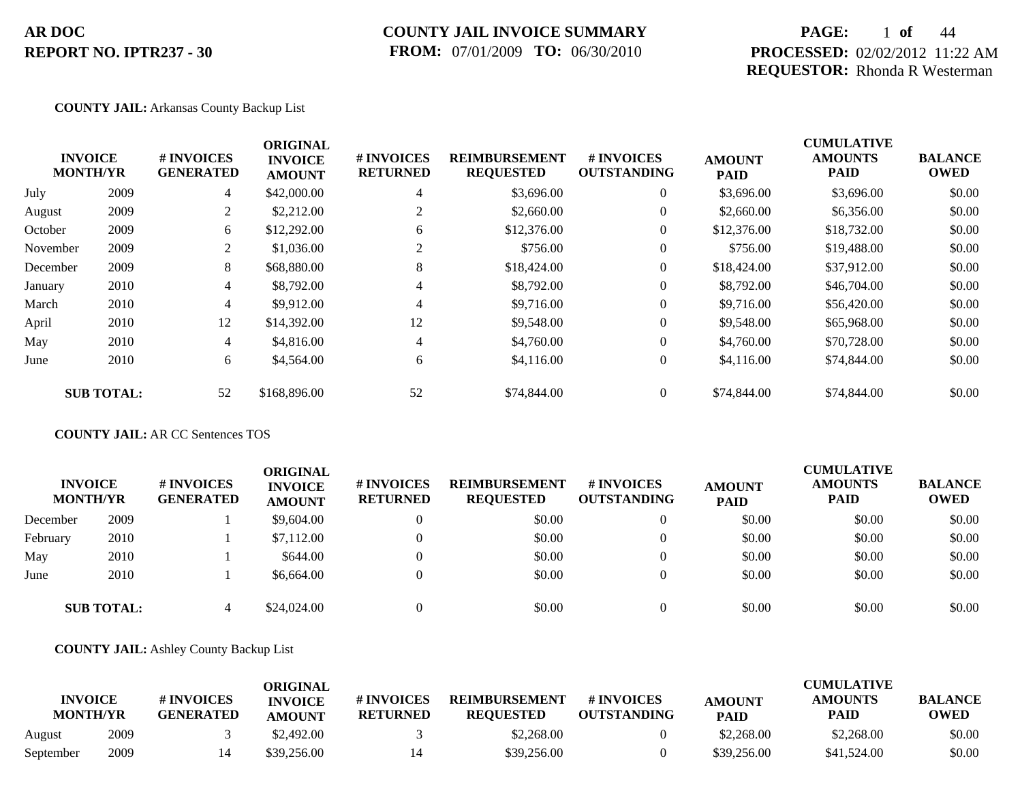### **COUNTY JAIL INVOICE SUMMARY FROM:** 07/01/2009 **TO:** 06/30/2010

## **PAGE:** 1 **of** 44 **PROCESSED:** 02/02/2012 11:22 AM **REQUESTOR:** Rhonda R Westerman

### **COUNTY JAIL:** Arkansas County Backup List

|          | <b>INVOICE</b><br><b>MONTH/YR</b> | # INVOICES<br><b>GENERATED</b> | <b>ORIGINAL</b><br><b>INVOICE</b><br><b>AMOUNT</b> | # INVOICES<br><b>RETURNED</b> | <b>REIMBURSEMENT</b><br><b>REQUESTED</b> | <b># INVOICES</b><br><b>OUTSTANDING</b> | <b>AMOUNT</b><br><b>PAID</b> | <b>CUMULATIVE</b><br><b>AMOUNTS</b><br><b>PAID</b> | <b>BALANCE</b><br><b>OWED</b> |
|----------|-----------------------------------|--------------------------------|----------------------------------------------------|-------------------------------|------------------------------------------|-----------------------------------------|------------------------------|----------------------------------------------------|-------------------------------|
| July     | 2009                              | $\overline{4}$                 | \$42,000.00                                        | 4                             | \$3,696.00                               | $\overline{0}$                          | \$3,696.00                   | \$3,696.00                                         | \$0.00                        |
| August   | 2009                              | 2                              | \$2,212.00                                         | 2                             | \$2,660.00                               | $\overline{0}$                          | \$2,660.00                   | \$6,356.00                                         | \$0.00                        |
| October  | 2009                              | 6                              | \$12,292.00                                        | 6                             | \$12,376.00                              | $\overline{0}$                          | \$12,376.00                  | \$18,732.00                                        | \$0.00                        |
| November | 2009                              | $\overline{2}$                 | \$1,036.00                                         | 2                             | \$756.00                                 | $\overline{0}$                          | \$756.00                     | \$19,488.00                                        | \$0.00                        |
| December | 2009                              | 8                              | \$68,880.00                                        | 8                             | \$18,424.00                              | $\overline{0}$                          | \$18,424.00                  | \$37,912.00                                        | \$0.00                        |
| January  | 2010                              | $\overline{4}$                 | \$8,792.00                                         | 4                             | \$8,792.00                               | $\overline{0}$                          | \$8,792.00                   | \$46,704.00                                        | \$0.00                        |
| March    | 2010                              | 4                              | \$9,912.00                                         | 4                             | \$9,716.00                               | $\overline{0}$                          | \$9,716.00                   | \$56,420.00                                        | \$0.00                        |
| April    | 2010                              | 12                             | \$14,392.00                                        | 12                            | \$9,548.00                               | $\overline{0}$                          | \$9,548.00                   | \$65,968.00                                        | \$0.00                        |
| May      | 2010                              | $\overline{4}$                 | \$4,816.00                                         | 4                             | \$4,760.00                               | $\overline{0}$                          | \$4,760.00                   | \$70,728.00                                        | \$0.00                        |
| June     | 2010                              | 6                              | \$4,564.00                                         | 6                             | \$4,116.00                               | $\overline{0}$                          | \$4,116.00                   | \$74,844.00                                        | \$0.00                        |
|          | <b>SUB TOTAL:</b>                 | 52                             | \$168,896.00                                       | 52                            | \$74,844.00                              | $\theta$                                | \$74,844.00                  | \$74,844.00                                        | \$0.00                        |

### **COUNTY JAIL:** AR CC Sentences TOS

| <b>INVOICE</b><br><b>MONTH/YR</b> |                   | # INVOICES<br><b>GENERATED</b> | ORIGINAL<br><b>INVOICE</b><br><b>AMOUNT</b> | # INVOICES<br><b>RETURNED</b> | <b>REIMBURSEMENT</b><br><b>REQUESTED</b> | # INVOICES<br><b>OUTSTANDING</b> | <b>AMOUNT</b><br><b>PAID</b> | <b>CUMULATIVE</b><br><b>AMOUNTS</b><br><b>PAID</b> | <b>BALANCE</b><br><b>OWED</b> |
|-----------------------------------|-------------------|--------------------------------|---------------------------------------------|-------------------------------|------------------------------------------|----------------------------------|------------------------------|----------------------------------------------------|-------------------------------|
| December                          | 2009              |                                | \$9,604.00                                  | $\mathbf{0}$                  | \$0.00                                   | $\overline{0}$                   | \$0.00                       | \$0.00                                             | \$0.00                        |
| February                          | 2010              |                                | \$7,112.00                                  | $\Omega$                      | \$0.00                                   | $\Omega$                         | \$0.00                       | \$0.00                                             | \$0.00                        |
| May                               | 2010              |                                | \$644.00                                    | $\Omega$                      | \$0.00                                   | $\theta$                         | \$0.00                       | \$0.00                                             | \$0.00                        |
| June                              | 2010              |                                | \$6,664.00                                  | $\Omega$                      | \$0.00                                   | $\Omega$                         | \$0.00                       | \$0.00                                             | \$0.00                        |
|                                   | <b>SUB TOTAL:</b> | 4                              | \$24,024.00                                 | $\Omega$                      | \$0.00                                   | $\Omega$                         | \$0.00                       | \$0.00                                             | \$0.00                        |

**COUNTY JAIL:** Ashley County Backup List

|           | <b>INVOICE</b><br><b>MONTH/YR</b> | # INVOICES<br><b>GENERATED</b> | <b>ORIGINAL</b><br><b>INVOICE</b> | # INVOICES<br><b>RETURNED</b> | <b>REIMBURSEMENT</b><br><b>REQUESTED</b> | # INVOICES<br><b>OUTSTANDING</b> | <b>AMOUNT</b> | <b>CUMULATIVE</b><br><b>AMOUNTS</b><br>PAID | <b>BALANCE</b><br><b>OWED</b> |
|-----------|-----------------------------------|--------------------------------|-----------------------------------|-------------------------------|------------------------------------------|----------------------------------|---------------|---------------------------------------------|-------------------------------|
|           |                                   |                                | <b>AMOUNT</b>                     |                               |                                          |                                  | <b>PAID</b>   |                                             |                               |
| August    | 2009                              |                                | \$2,492.00                        |                               | \$2,268.00                               |                                  | \$2,268.00    | \$2,268.00                                  | \$0.00                        |
| September | 2009                              |                                | \$39,256.00                       | 14                            | \$39,256.00                              |                                  | \$39,256.00   | \$41,524.00                                 | \$0.00                        |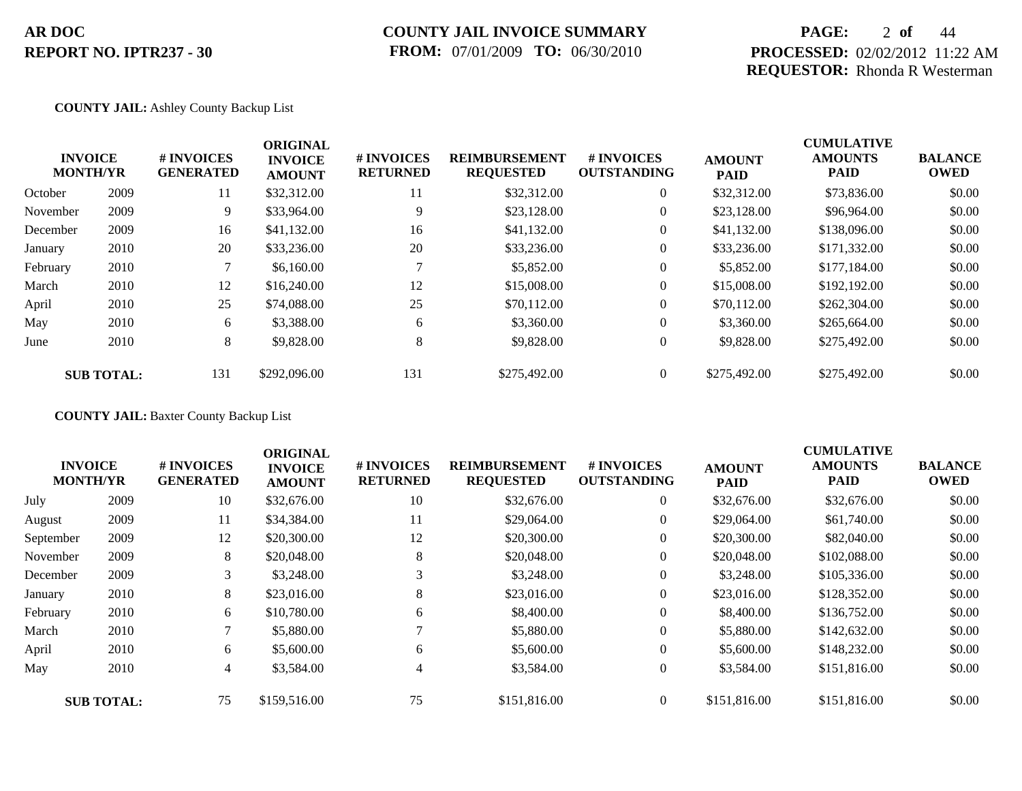## **COUNTY JAIL INVOICE SUMMARY FROM:** 07/01/2009 **TO:** 06/30/2010

## **PAGE:** 2 **of** 44 **PROCESSED:** 02/02/2012 11:22 AM **REQUESTOR:** Rhonda R Westerman

### **COUNTY JAIL:** Ashley County Backup List

|          | <b>INVOICE</b><br><b>MONTH/YR</b> | # INVOICES<br><b>GENERATED</b> | <b>ORIGINAL</b><br><b>INVOICE</b><br><b>AMOUNT</b> | # INVOICES<br><b>RETURNED</b> | <b>REIMBURSEMENT</b><br><b>REQUESTED</b> | <b>#INVOICES</b><br><b>OUTSTANDING</b> | <b>AMOUNT</b><br><b>PAID</b> | <b>CUMULATIVE</b><br><b>AMOUNTS</b><br><b>PAID</b> | <b>BALANCE</b><br><b>OWED</b> |
|----------|-----------------------------------|--------------------------------|----------------------------------------------------|-------------------------------|------------------------------------------|----------------------------------------|------------------------------|----------------------------------------------------|-------------------------------|
| October  | 2009                              | 11                             | \$32,312.00                                        | 11                            | \$32,312.00                              | $\overline{0}$                         | \$32,312.00                  | \$73,836.00                                        | \$0.00                        |
| November | 2009                              | 9                              | \$33,964.00                                        | 9                             | \$23,128.00                              | $\overline{0}$                         | \$23,128.00                  | \$96,964.00                                        | \$0.00                        |
| December | 2009                              | 16                             | \$41,132.00                                        | 16                            | \$41,132.00                              | $\overline{0}$                         | \$41,132.00                  | \$138,096.00                                       | \$0.00                        |
| January  | 2010                              | 20                             | \$33,236.00                                        | 20                            | \$33,236.00                              | $\overline{0}$                         | \$33,236.00                  | \$171,332.00                                       | \$0.00                        |
| February | 2010                              |                                | \$6,160.00                                         |                               | \$5,852.00                               | $\overline{0}$                         | \$5,852.00                   | \$177,184.00                                       | \$0.00                        |
| March    | 2010                              | 12                             | \$16,240.00                                        | 12                            | \$15,008.00                              | $\overline{0}$                         | \$15,008.00                  | \$192,192.00                                       | \$0.00                        |
| April    | 2010                              | 25                             | \$74,088.00                                        | 25                            | \$70,112.00                              | $\overline{0}$                         | \$70,112.00                  | \$262,304.00                                       | \$0.00                        |
| May      | 2010                              | 6                              | \$3,388.00                                         | 6                             | \$3,360.00                               | $\overline{0}$                         | \$3,360.00                   | \$265,664.00                                       | \$0.00                        |
| June     | 2010                              | 8                              | \$9,828.00                                         | 8                             | \$9,828.00                               | $\overline{0}$                         | \$9,828.00                   | \$275,492.00                                       | \$0.00                        |
|          | <b>SUB TOTAL:</b>                 | 131                            | \$292,096.00                                       | 131                           | \$275,492.00                             | $\overline{0}$                         | \$275,492.00                 | \$275,492.00                                       | \$0.00                        |

**COUNTY JAIL:** Baxter County Backup List

|           |                                   |                                | <b>ORIGINAL</b>                 |                               |                                          |                                         |                              | <b>CUMULATIVE</b>             |                               |
|-----------|-----------------------------------|--------------------------------|---------------------------------|-------------------------------|------------------------------------------|-----------------------------------------|------------------------------|-------------------------------|-------------------------------|
|           | <b>INVOICE</b><br><b>MONTH/YR</b> | # INVOICES<br><b>GENERATED</b> | <b>INVOICE</b><br><b>AMOUNT</b> | # INVOICES<br><b>RETURNED</b> | <b>REIMBURSEMENT</b><br><b>REQUESTED</b> | <b># INVOICES</b><br><b>OUTSTANDING</b> | <b>AMOUNT</b><br><b>PAID</b> | <b>AMOUNTS</b><br><b>PAID</b> | <b>BALANCE</b><br><b>OWED</b> |
| July      | 2009                              | 10                             | \$32,676.00                     | 10                            | \$32,676.00                              | $\overline{0}$                          | \$32,676.00                  | \$32,676.00                   | \$0.00                        |
| August    | 2009                              | 11                             | \$34,384.00                     | 11                            | \$29,064.00                              | $\overline{0}$                          | \$29,064.00                  | \$61,740.00                   | \$0.00                        |
| September | 2009                              | 12                             | \$20,300.00                     | 12                            | \$20,300.00                              | $\overline{0}$                          | \$20,300.00                  | \$82,040.00                   | \$0.00                        |
| November  | 2009                              | 8                              | \$20,048.00                     | 8                             | \$20,048.00                              | $\mathbf{0}$                            | \$20,048.00                  | \$102,088.00                  | \$0.00                        |
| December  | 2009                              | 3                              | \$3,248.00                      | 3                             | \$3,248.00                               | $\overline{0}$                          | \$3,248.00                   | \$105,336.00                  | \$0.00                        |
| January   | 2010                              | 8                              | \$23,016.00                     | 8                             | \$23,016.00                              | $\overline{0}$                          | \$23,016.00                  | \$128,352.00                  | \$0.00                        |
| February  | 2010                              | 6                              | \$10,780.00                     | 6                             | \$8,400.00                               | $\mathbf{0}$                            | \$8,400.00                   | \$136,752.00                  | \$0.00                        |
| March     | 2010                              | 7                              | \$5,880.00                      |                               | \$5,880.00                               | $\overline{0}$                          | \$5,880.00                   | \$142,632.00                  | \$0.00                        |
| April     | 2010                              | 6                              | \$5,600.00                      | 6                             | \$5,600.00                               | $\overline{0}$                          | \$5,600.00                   | \$148,232.00                  | \$0.00                        |
| May       | 2010                              | 4                              | \$3,584.00                      | $\overline{4}$                | \$3,584.00                               | $\overline{0}$                          | \$3,584.00                   | \$151,816.00                  | \$0.00                        |
|           | <b>SUB TOTAL:</b>                 | 75                             | \$159,516.00                    | 75                            | \$151,816.00                             | $\Omega$                                | \$151,816.00                 | \$151,816.00                  | \$0.00                        |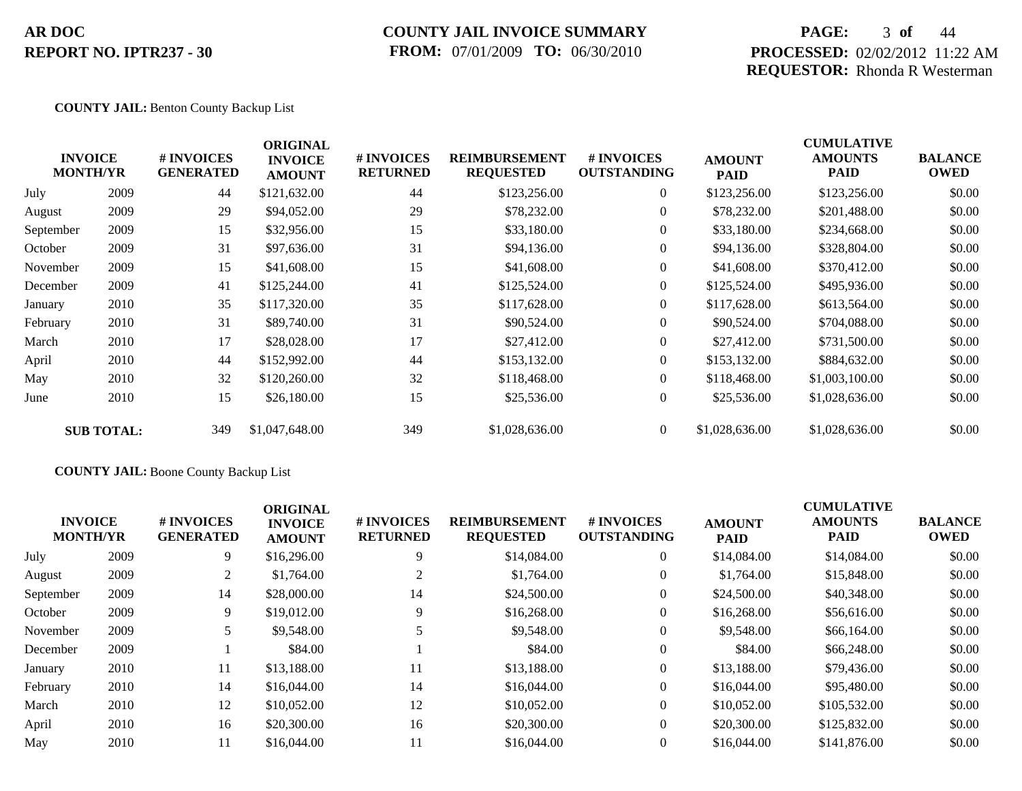## **COUNTY JAIL INVOICE SUMMARY FROM:** 07/01/2009 **TO:** 06/30/2010

## **PAGE:** 3 **of** 44 **PROCESSED:** 02/02/2012 11:22 AM **REQUESTOR:** Rhonda R Westerman

### **COUNTY JAIL:** Benton County Backup List

| <b>INVOICE</b><br><b>MONTH/YR</b> |                   | # INVOICES<br><b>GENERATED</b> | <b>ORIGINAL</b><br><b>INVOICE</b><br><b>AMOUNT</b> | # INVOICES<br><b>RETURNED</b> | <b>REIMBURSEMENT</b><br><b>REQUESTED</b> | <b>#INVOICES</b><br><b>OUTSTANDING</b> | <b>AMOUNT</b><br><b>PAID</b> | <b>CUMULATIVE</b><br><b>AMOUNTS</b><br><b>PAID</b> | <b>BALANCE</b><br><b>OWED</b> |
|-----------------------------------|-------------------|--------------------------------|----------------------------------------------------|-------------------------------|------------------------------------------|----------------------------------------|------------------------------|----------------------------------------------------|-------------------------------|
| July                              | 2009              | 44                             | \$121,632.00                                       | 44                            | \$123,256.00                             | $\overline{0}$                         | \$123,256.00                 | \$123,256.00                                       | \$0.00                        |
| August                            | 2009              | 29                             | \$94,052.00                                        | 29                            | \$78,232.00                              | $\overline{0}$                         | \$78,232.00                  | \$201,488.00                                       | \$0.00                        |
| September                         | 2009              | 15                             | \$32,956.00                                        | 15                            | \$33,180.00                              | $\overline{0}$                         | \$33,180.00                  | \$234,668.00                                       | \$0.00                        |
| October                           | 2009              | 31                             | \$97,636.00                                        | 31                            | \$94,136.00                              | $\overline{0}$                         | \$94,136.00                  | \$328,804.00                                       | \$0.00                        |
| November                          | 2009              | 15                             | \$41,608.00                                        | 15                            | \$41,608.00                              | $\overline{0}$                         | \$41,608.00                  | \$370,412.00                                       | \$0.00                        |
| December                          | 2009              | 41                             | \$125,244.00                                       | 41                            | \$125,524.00                             | $\overline{0}$                         | \$125,524.00                 | \$495,936.00                                       | \$0.00                        |
| January                           | 2010              | 35                             | \$117,320.00                                       | 35                            | \$117,628.00                             | $\theta$                               | \$117,628.00                 | \$613,564.00                                       | \$0.00                        |
| February                          | 2010              | 31                             | \$89,740.00                                        | 31                            | \$90,524.00                              | $\overline{0}$                         | \$90,524.00                  | \$704,088.00                                       | \$0.00                        |
| March                             | 2010              | 17                             | \$28,028.00                                        | 17                            | \$27,412.00                              | $\overline{0}$                         | \$27,412.00                  | \$731,500.00                                       | \$0.00                        |
| April                             | 2010              | 44                             | \$152,992.00                                       | 44                            | \$153,132.00                             | $\theta$                               | \$153,132.00                 | \$884,632.00                                       | \$0.00                        |
| May                               | 2010              | 32                             | \$120,260.00                                       | 32                            | \$118,468.00                             | $\overline{0}$                         | \$118,468.00                 | \$1,003,100.00                                     | \$0.00                        |
| June                              | 2010              | 15                             | \$26,180.00                                        | 15                            | \$25,536.00                              | $\overline{0}$                         | \$25,536.00                  | \$1,028,636.00                                     | \$0.00                        |
|                                   | <b>SUB TOTAL:</b> | 349                            | \$1,047,648.00                                     | 349                           | \$1,028,636.00                           | $\overline{0}$                         | \$1,028,636.00               | \$1,028,636.00                                     | \$0.00                        |

### **COUNTY JAIL:** Boone County Backup List

| <b>INVOICE</b><br><b>MONTH/YR</b> |      | # INVOICES<br><b>GENERATED</b> | <b>ORIGINAL</b><br><b>INVOICE</b><br><b>AMOUNT</b> | # INVOICES<br><b>RETURNED</b> | <b>REIMBURSEMENT</b><br><b>REQUESTED</b> | <b>#INVOICES</b><br><b>OUTSTANDING</b> | <b>AMOUNT</b><br><b>PAID</b> | <b>CUMULATIVE</b><br><b>AMOUNTS</b><br><b>PAID</b> | <b>BALANCE</b><br><b>OWED</b> |
|-----------------------------------|------|--------------------------------|----------------------------------------------------|-------------------------------|------------------------------------------|----------------------------------------|------------------------------|----------------------------------------------------|-------------------------------|
| July                              | 2009 | 9                              | \$16,296.00                                        | 9                             | \$14,084.00                              | $\overline{0}$                         | \$14,084.00                  | \$14,084.00                                        | \$0.00                        |
| August                            | 2009 | 2                              | \$1,764.00                                         |                               | \$1,764.00                               | $\overline{0}$                         | \$1,764.00                   | \$15,848.00                                        | \$0.00                        |
| September                         | 2009 | 14                             | \$28,000.00                                        | 14                            | \$24,500.00                              | $\overline{0}$                         | \$24,500.00                  | \$40,348.00                                        | \$0.00                        |
| October                           | 2009 | 9                              | \$19,012.00                                        | 9                             | \$16,268.00                              | $\overline{0}$                         | \$16,268.00                  | \$56,616.00                                        | \$0.00                        |
| November                          | 2009 | 5                              | \$9,548.00                                         |                               | \$9,548.00                               | $\overline{0}$                         | \$9,548.00                   | \$66,164.00                                        | \$0.00                        |
| December                          | 2009 |                                | \$84.00                                            |                               | \$84.00                                  | $\overline{0}$                         | \$84.00                      | \$66,248.00                                        | \$0.00                        |
| January                           | 2010 | 11                             | \$13,188.00                                        | 11                            | \$13,188.00                              | $\overline{0}$                         | \$13,188.00                  | \$79,436.00                                        | \$0.00                        |
| February                          | 2010 | 14                             | \$16,044.00                                        | 14                            | \$16,044.00                              | $\overline{0}$                         | \$16,044.00                  | \$95,480.00                                        | \$0.00                        |
| March                             | 2010 | 12                             | \$10,052.00                                        | 12                            | \$10,052.00                              | $\overline{0}$                         | \$10,052.00                  | \$105,532.00                                       | \$0.00                        |
| April                             | 2010 | 16                             | \$20,300.00                                        | 16                            | \$20,300.00                              | $\theta$                               | \$20,300.00                  | \$125,832.00                                       | \$0.00                        |
| May                               | 2010 | 11                             | \$16,044.00                                        | 11                            | \$16,044.00                              | $\overline{0}$                         | \$16,044.00                  | \$141,876.00                                       | \$0.00                        |
|                                   |      |                                |                                                    |                               |                                          |                                        |                              |                                                    |                               |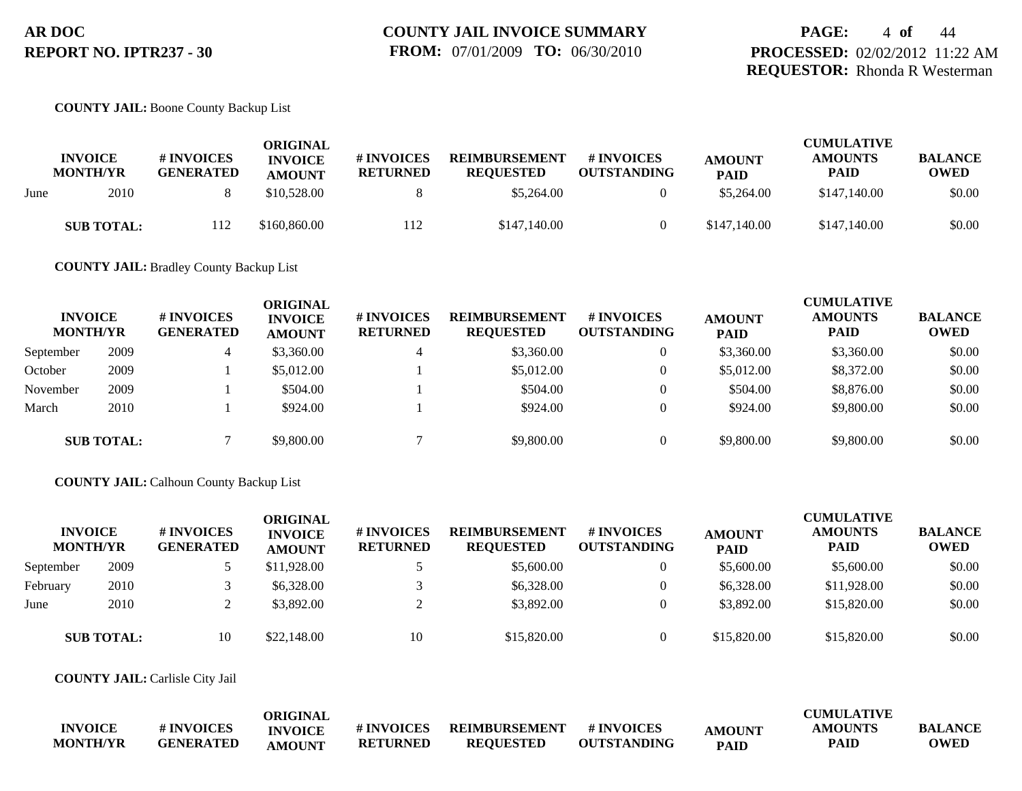#### **COUNTY JAIL:** Boone County Backup List

|      | <b>INVOICE</b><br><b>MONTH/YR</b> | <b># INVOICES</b><br><b>GENERATED</b> | ORIGINAL<br><b>INVOICE</b><br><b>AMOUNT</b> | # INVOICES<br><b>RETURNED</b> | <b>REIMBURSEMENT</b><br><b>REOUESTED</b> | # INVOICES<br><b>OUTSTANDING</b> | <b>AMOUNT</b><br><b>PAID</b> | <b>CUMULATIVE</b><br><b>AMOUNTS</b><br><b>PAID</b> | <b>BALANCE</b><br><b>OWED</b> |
|------|-----------------------------------|---------------------------------------|---------------------------------------------|-------------------------------|------------------------------------------|----------------------------------|------------------------------|----------------------------------------------------|-------------------------------|
| June | 2010                              |                                       | \$10,528.00                                 |                               | \$5,264.00                               |                                  | \$5,264.00                   | \$147,140.00                                       | \$0.00                        |
|      | <b>SUB TOTAL:</b>                 | 112                                   | \$160,860.00                                | 112                           | \$147,140.00                             |                                  | \$147,140.00                 | \$147,140.00                                       | \$0.00                        |

**COUNTY JAIL:** Bradley County Backup List

| <b>INVOICE</b><br><b>MONTH/YR</b> |                   | # INVOICES<br><b>GENERATED</b> | <b>ORIGINAL</b><br><b>INVOICE</b><br><b>AMOUNT</b> | # INVOICES<br><b>RETURNED</b> | <b>REIMBURSEMENT</b><br><b>REQUESTED</b> | <b># INVOICES</b><br><b>OUTSTANDING</b> | <b>AMOUNT</b><br><b>PAID</b> | <b>CUMULATIVE</b><br><b>AMOUNTS</b><br><b>PAID</b> | <b>BALANCE</b><br><b>OWED</b> |
|-----------------------------------|-------------------|--------------------------------|----------------------------------------------------|-------------------------------|------------------------------------------|-----------------------------------------|------------------------------|----------------------------------------------------|-------------------------------|
| September                         | 2009              | 4                              | \$3,360.00                                         |                               | \$3,360.00                               | $\overline{0}$                          | \$3,360.00                   | \$3,360.00                                         | \$0.00                        |
| October                           | 2009              |                                | \$5,012.00                                         |                               | \$5,012.00                               | $\overline{0}$                          | \$5,012.00                   | \$8,372.00                                         | \$0.00                        |
| November                          | 2009              |                                | \$504.00                                           |                               | \$504.00                                 | $\theta$                                | \$504.00                     | \$8,876.00                                         | \$0.00                        |
| March                             | 2010              |                                | \$924.00                                           |                               | \$924.00                                 | $\Omega$                                | \$924.00                     | \$9,800.00                                         | \$0.00                        |
|                                   | <b>SUB TOTAL:</b> |                                | \$9,800.00                                         |                               | \$9,800.00                               | $\Omega$                                | \$9,800.00                   | \$9,800.00                                         | \$0.00                        |

**COUNTY JAIL:** Calhoun County Backup List

| <b>INVOICE</b><br><b>MONTH/YR</b> |                   | # INVOICES<br><b>GENERATED</b> | <b>ORIGINAL</b><br><b>INVOICE</b><br><b>AMOUNT</b> | # INVOICES<br><b>RETURNED</b> | <b>REIMBURSEMENT</b><br><b>REQUESTED</b> | # INVOICES<br><b>OUTSTANDING</b> | <b>AMOUNT</b><br><b>PAID</b> | <b>CUMULATIVE</b><br><b>AMOUNTS</b><br><b>PAID</b> | <b>BALANCE</b><br><b>OWED</b> |
|-----------------------------------|-------------------|--------------------------------|----------------------------------------------------|-------------------------------|------------------------------------------|----------------------------------|------------------------------|----------------------------------------------------|-------------------------------|
| September                         | 2009              |                                | \$11,928.00                                        |                               | \$5,600.00                               | $\theta$                         | \$5,600.00                   | \$5,600.00                                         | \$0.00                        |
| February                          | 2010              |                                | \$6,328,00                                         |                               | \$6,328.00                               | $\theta$                         | \$6,328,00                   | \$11,928.00                                        | \$0.00                        |
| June                              | 2010              |                                | \$3,892.00                                         |                               | \$3,892.00                               | 0                                | \$3,892.00                   | \$15,820.00                                        | \$0.00                        |
|                                   | <b>SUB TOTAL:</b> | 10                             | \$22,148.00                                        | 10                            | \$15,820.00                              | $\theta$                         | \$15,820.00                  | \$15,820.00                                        | \$0.00                        |

**COUNTY JAIL:** Carlisle City Jail

|                 |                  | ORIGINAL       |                   |                  |                    |               | <b>CUMULATIVE</b> |                |
|-----------------|------------------|----------------|-------------------|------------------|--------------------|---------------|-------------------|----------------|
| <b>INVOICE</b>  | # INVOICES       | <b>INVOICE</b> | <b># INVOICES</b> | REIMBURSEMENT    | <b># INVOICES</b>  | <b>AMOUNT</b> | <b>AMOUNTS</b>    | <b>BALANCE</b> |
| <b>MONTH/YR</b> | <b>GENERATED</b> | <b>AMOUNT</b>  | <b>RETURNED</b>   | <b>REOUESTED</b> | <b>OUTSTANDING</b> | <b>PAID</b>   | <b>PAID</b>       | <b>OWED</b>    |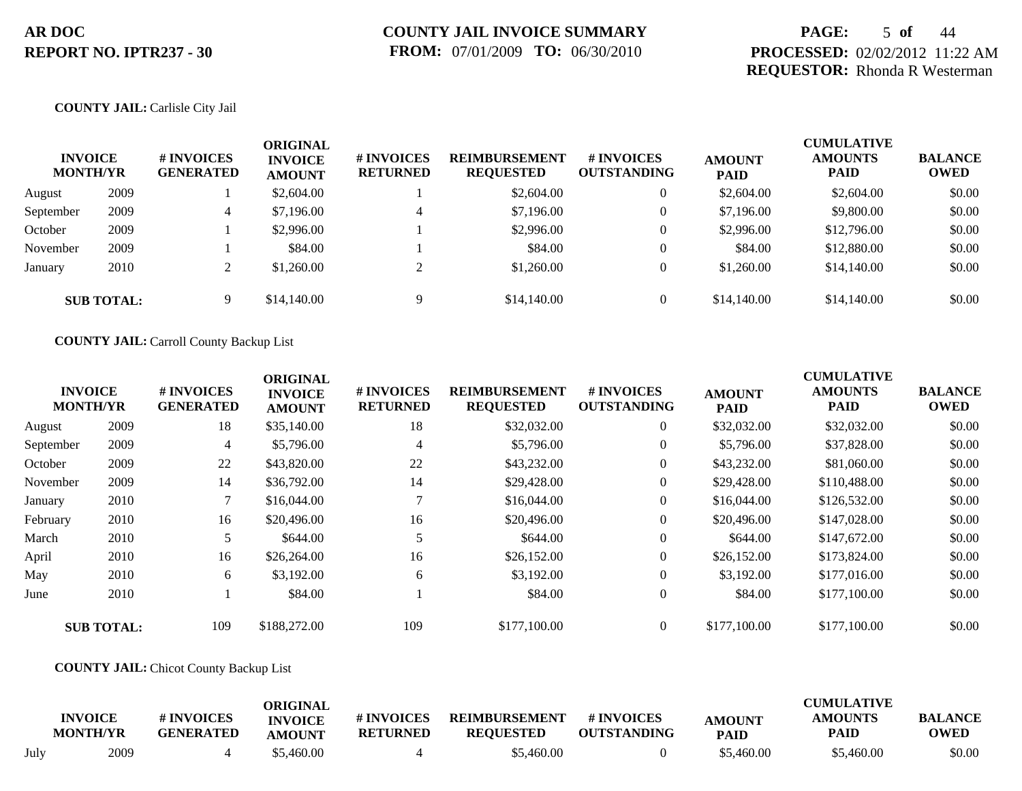## **PAGE:** 5 **of** 44 **PROCESSED:** 02/02/2012 11:22 AM **REQUESTOR:** Rhonda R Westerman

### **COUNTY JAIL:** Carlisle City Jail

| <b>INVOICE</b><br><b>MONTH/YR</b> |                   | <b># INVOICES</b><br><b>GENERATED</b> | <b>ORIGINAL</b><br><b>INVOICE</b><br><b>AMOUNT</b> | <b>#INVOICES</b><br><b>RETURNED</b> | <b>REIMBURSEMENT</b><br><b>REQUESTED</b> | # INVOICES<br><b>OUTSTANDING</b> | <b>AMOUNT</b><br><b>PAID</b> | <b>CUMULATIVE</b><br><b>AMOUNTS</b><br><b>PAID</b> | <b>BALANCE</b><br><b>OWED</b> |
|-----------------------------------|-------------------|---------------------------------------|----------------------------------------------------|-------------------------------------|------------------------------------------|----------------------------------|------------------------------|----------------------------------------------------|-------------------------------|
| August                            | 2009              |                                       | \$2,604.00                                         |                                     | \$2,604.00                               | $\overline{0}$                   | \$2,604.00                   | \$2,604.00                                         | \$0.00                        |
| September                         | 2009              | 4                                     | \$7,196.00                                         | 4                                   | \$7,196.00                               | $\theta$                         | \$7,196.00                   | \$9,800.00                                         | \$0.00                        |
| October                           | 2009              |                                       | \$2,996.00                                         |                                     | \$2,996.00                               | $\theta$                         | \$2,996.00                   | \$12,796.00                                        | \$0.00                        |
| November                          | 2009              |                                       | \$84.00                                            |                                     | \$84.00                                  | $\theta$                         | \$84.00                      | \$12,880.00                                        | \$0.00                        |
| January                           | 2010              |                                       | \$1,260.00                                         | $\bigcap$                           | \$1,260.00                               | $\theta$                         | \$1,260.00                   | \$14,140.00                                        | \$0.00                        |
|                                   | <b>SUB TOTAL:</b> | 9                                     | \$14,140.00                                        | 9                                   | \$14,140.00                              | $\overline{0}$                   | \$14,140.00                  | \$14,140.00                                        | \$0.00                        |

**COUNTY JAIL:** Carroll County Backup List

|           | <b>INVOICE</b><br><b>MONTH/YR</b> | # INVOICES<br><b>GENERATED</b> | <b>ORIGINAL</b><br><b>INVOICE</b><br><b>AMOUNT</b> | # INVOICES<br><b>RETURNED</b> | <b>REIMBURSEMENT</b><br><b>REQUESTED</b> | # INVOICES<br><b>OUTSTANDING</b> | <b>AMOUNT</b><br><b>PAID</b> | <b>CUMULATIVE</b><br><b>AMOUNTS</b><br>PAID | <b>BALANCE</b><br><b>OWED</b> |
|-----------|-----------------------------------|--------------------------------|----------------------------------------------------|-------------------------------|------------------------------------------|----------------------------------|------------------------------|---------------------------------------------|-------------------------------|
| August    | 2009                              | 18                             | \$35,140.00                                        | 18                            | \$32,032.00                              | $\overline{0}$                   | \$32,032.00                  | \$32,032.00                                 | \$0.00                        |
| September | 2009                              | 4                              | \$5,796.00                                         | $\overline{4}$                | \$5,796.00                               | $\overline{0}$                   | \$5,796.00                   | \$37,828.00                                 | \$0.00                        |
| October   | 2009                              | 22                             | \$43,820.00                                        | 22                            | \$43,232.00                              | $\overline{0}$                   | \$43,232.00                  | \$81,060.00                                 | \$0.00                        |
| November  | 2009                              | 14                             | \$36,792.00                                        | 14                            | \$29,428.00                              | $\overline{0}$                   | \$29,428.00                  | \$110,488.00                                | \$0.00                        |
| January   | 2010                              |                                | \$16,044.00                                        | $\mathbf{\tau}$               | \$16,044.00                              | $\overline{0}$                   | \$16,044.00                  | \$126,532.00                                | \$0.00                        |
| February  | 2010                              | 16                             | \$20,496.00                                        | 16                            | \$20,496.00                              | $\overline{0}$                   | \$20,496.00                  | \$147,028.00                                | \$0.00                        |
| March     | 2010                              |                                | \$644.00                                           |                               | \$644.00                                 | $\overline{0}$                   | \$644.00                     | \$147,672.00                                | \$0.00                        |
| April     | 2010                              | 16                             | \$26,264.00                                        | 16                            | \$26,152.00                              | $\overline{0}$                   | \$26,152.00                  | \$173,824.00                                | \$0.00                        |
| May       | 2010                              | 6                              | \$3,192.00                                         | 6                             | \$3,192.00                               | $\overline{0}$                   | \$3,192.00                   | \$177,016.00                                | \$0.00                        |
| June      | 2010                              |                                | \$84.00                                            |                               | \$84.00                                  | $\overline{0}$                   | \$84.00                      | \$177,100.00                                | \$0.00                        |
|           | <b>SUB TOTAL:</b>                 | 109                            | \$188,272.00                                       | 109                           | \$177,100.00                             | $\Omega$                         | \$177,100.00                 | \$177,100.00                                | \$0.00                        |

### **COUNTY JAIL:** Chicot County Backup List

|      | <b>INVOICE</b><br><b>MONTH/YR</b> | # INVOICES<br><b>GENERATED</b> | ORIGINAL<br><b>INVOICE</b><br>AMOUNT | # INVOICES<br><b>RETURNED</b> | <b>REIMBURSEMENT</b><br><b>REQUESTED</b> | # INVOICES<br><b>OUTSTANDING</b> | <b>AMOUNT</b><br><b>PAID</b> | <b>CUMULATIVE</b><br><b>AMOUNTS</b><br>PAID | <b>BALANCE</b><br><b>OWED</b> |
|------|-----------------------------------|--------------------------------|--------------------------------------|-------------------------------|------------------------------------------|----------------------------------|------------------------------|---------------------------------------------|-------------------------------|
| July | 2009                              |                                | 55,460.00                            |                               | \$5,460.00                               |                                  | \$5,460.00                   | \$5,460.00                                  | \$0.00                        |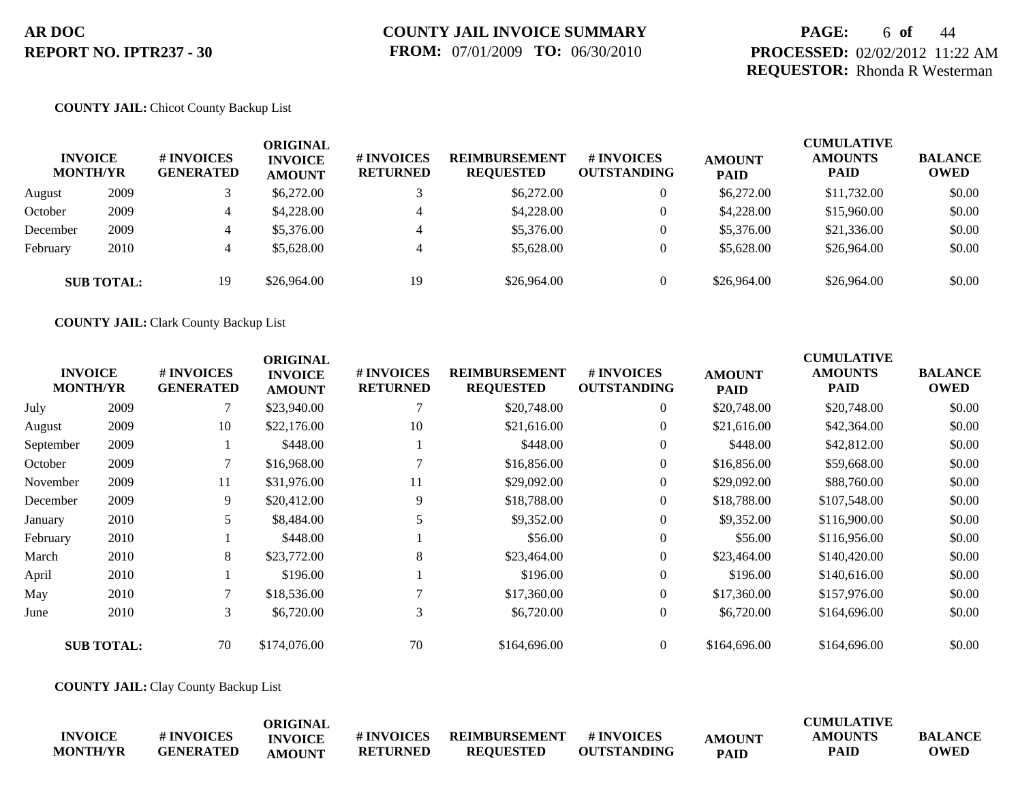## **PAGE:** 6 **of** 44 **PROCESSED:** 02/02/2012 11:22 AM **REQUESTOR:** Rhonda R Westerman

### **COUNTY JAIL:** Chicot County Backup List

| <b>INVOICE</b><br><b>MONTH/YR</b> |                   | # INVOICES<br><b>GENERATED</b> | ORIGINAL<br><b>INVOICE</b><br><b>AMOUNT</b> | # INVOICES<br><b>RETURNED</b> | <b>REIMBURSEMENT</b><br><b>REQUESTED</b> | # INVOICES<br><b>OUTSTANDING</b> | <b>AMOUNT</b><br><b>PAID</b> | <b>CUMULATIVE</b><br><b>AMOUNTS</b><br><b>PAID</b> | <b>BALANCE</b><br><b>OWED</b> |
|-----------------------------------|-------------------|--------------------------------|---------------------------------------------|-------------------------------|------------------------------------------|----------------------------------|------------------------------|----------------------------------------------------|-------------------------------|
| August                            | 2009              |                                | \$6,272.00                                  |                               | \$6,272.00                               |                                  | \$6,272.00                   | \$11,732.00                                        | \$0.00                        |
| October                           | 2009              | 4                              | \$4,228,00                                  |                               | \$4,228,00                               |                                  | \$4,228.00                   | \$15,960.00                                        | \$0.00                        |
| December                          | 2009              | 4                              | \$5,376.00                                  |                               | \$5,376.00                               |                                  | \$5,376.00                   | \$21,336.00                                        | \$0.00                        |
| February                          | 2010              | 4                              | \$5,628.00                                  |                               | \$5,628.00                               |                                  | \$5,628.00                   | \$26,964.00                                        | \$0.00                        |
|                                   | <b>SUB TOTAL:</b> | 19                             | \$26,964.00                                 | 19                            | \$26,964.00                              |                                  | \$26,964.00                  | \$26,964.00                                        | \$0.00                        |

**COUNTY JAIL:** Clark County Backup List

|           | <b>INVOICE</b><br><b>MONTH/YR</b> | # INVOICES<br><b>GENERATED</b> | <b>ORIGINAL</b><br><b>INVOICE</b><br><b>AMOUNT</b> | # INVOICES<br><b>RETURNED</b> | <b>REIMBURSEMENT</b><br><b>REQUESTED</b> | # INVOICES<br><b>OUTSTANDING</b> | <b>AMOUNT</b><br><b>PAID</b> | <b>CUMULATIVE</b><br><b>AMOUNTS</b><br><b>PAID</b> | <b>BALANCE</b><br><b>OWED</b> |
|-----------|-----------------------------------|--------------------------------|----------------------------------------------------|-------------------------------|------------------------------------------|----------------------------------|------------------------------|----------------------------------------------------|-------------------------------|
| July      | 2009                              |                                | \$23,940.00                                        |                               | \$20,748.00                              | $\overline{0}$                   | \$20,748.00                  | \$20,748.00                                        | \$0.00                        |
| August    | 2009                              | 10                             | \$22,176.00                                        | 10                            | \$21,616.00                              | $\overline{0}$                   | \$21,616.00                  | \$42,364.00                                        | \$0.00                        |
| September | 2009                              |                                | \$448.00                                           |                               | \$448.00                                 | $\Omega$                         | \$448.00                     | \$42,812.00                                        | \$0.00                        |
| October   | 2009                              |                                | \$16,968.00                                        |                               | \$16,856.00                              | $\mathbf{0}$                     | \$16,856.00                  | \$59,668.00                                        | \$0.00                        |
| November  | 2009                              | 11                             | \$31,976.00                                        | 11                            | \$29,092.00                              | $\overline{0}$                   | \$29,092.00                  | \$88,760.00                                        | \$0.00                        |
| December  | 2009                              | 9                              | \$20,412.00                                        | 9                             | \$18,788.00                              | $\mathbf{0}$                     | \$18,788.00                  | \$107,548.00                                       | \$0.00                        |
| January   | 2010                              | 5                              | \$8,484.00                                         |                               | \$9,352.00                               | $\overline{0}$                   | \$9,352.00                   | \$116,900.00                                       | \$0.00                        |
| February  | 2010                              |                                | \$448.00                                           |                               | \$56.00                                  | $\mathbf{0}$                     | \$56.00                      | \$116,956.00                                       | \$0.00                        |
| March     | 2010                              | 8                              | \$23,772.00                                        | 8                             | \$23,464.00                              | $\theta$                         | \$23,464.00                  | \$140,420.00                                       | \$0.00                        |
| April     | 2010                              |                                | \$196.00                                           |                               | \$196.00                                 | $\Omega$                         | \$196.00                     | \$140,616.00                                       | \$0.00                        |
| May       | 2010                              |                                | \$18,536.00                                        |                               | \$17,360.00                              | $\theta$                         | \$17,360.00                  | \$157,976.00                                       | \$0.00                        |
| June      | 2010                              | 3                              | \$6,720.00                                         | 3                             | \$6,720.00                               | $\theta$                         | \$6,720.00                   | \$164,696.00                                       | \$0.00                        |
|           | <b>SUB TOTAL:</b>                 | 70                             | \$174,076.00                                       | 70                            | \$164,696.00                             | $\Omega$                         | \$164,696.00                 | \$164,696.00                                       | \$0.00                        |

**COUNTY JAIL:** Clay County Backup List

|                 |                  | ORIGINAL       |                   |                  |                    |               | <b>CUMULATIVE</b> |                |
|-----------------|------------------|----------------|-------------------|------------------|--------------------|---------------|-------------------|----------------|
| <b>INVOICE</b>  | # INVOICES       | <b>INVOICE</b> | <b># INVOICES</b> | REIMBURSEMENT    | # INVOICES         | <b>AMOUNT</b> | AMOUNTS           | <b>BALANCE</b> |
| <b>MONTH/YR</b> | <b>GENERATED</b> | <b>AMOUNT</b>  | <b>RETURNED</b>   | <b>REQUESTED</b> | <b>OUTSTANDING</b> | <b>PAID</b>   | <b>PAID</b>       | <b>OWED</b>    |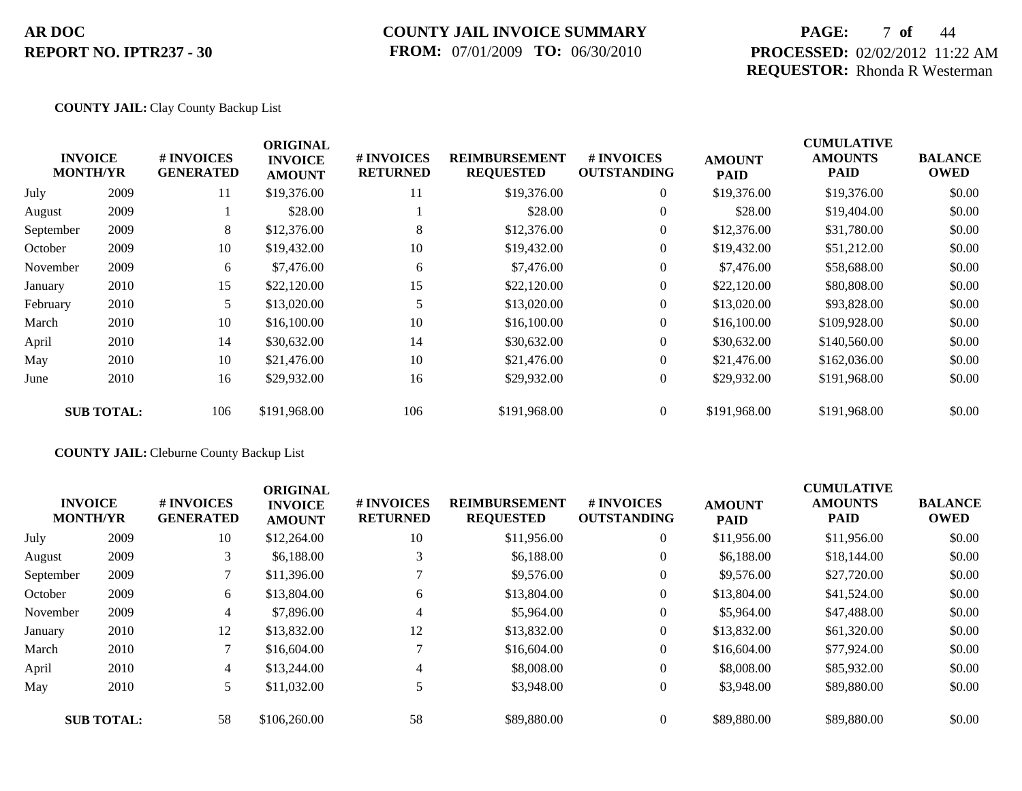## **COUNTY JAIL INVOICE SUMMARY FROM:** 07/01/2009 **TO:** 06/30/2010

## **PAGE:** 7 **of** 44 **PROCESSED:** 02/02/2012 11:22 AM **REQUESTOR:** Rhonda R Westerman

### **COUNTY JAIL:** Clay County Backup List

|           |                                   |                                | <b>ORIGINAL</b>                 |                               |                                          |                                  |                              | <b>CUMULATIVE</b>             |                               |
|-----------|-----------------------------------|--------------------------------|---------------------------------|-------------------------------|------------------------------------------|----------------------------------|------------------------------|-------------------------------|-------------------------------|
|           | <b>INVOICE</b><br><b>MONTH/YR</b> | # INVOICES<br><b>GENERATED</b> | <b>INVOICE</b><br><b>AMOUNT</b> | # INVOICES<br><b>RETURNED</b> | <b>REIMBURSEMENT</b><br><b>REQUESTED</b> | # INVOICES<br><b>OUTSTANDING</b> | <b>AMOUNT</b><br><b>PAID</b> | <b>AMOUNTS</b><br><b>PAID</b> | <b>BALANCE</b><br><b>OWED</b> |
| July      | 2009                              | 11                             | \$19,376.00                     | 11                            | \$19,376.00                              | $\overline{0}$                   | \$19,376.00                  | \$19,376.00                   | \$0.00                        |
| August    | 2009                              |                                | \$28.00                         |                               | \$28.00                                  | $\overline{0}$                   | \$28.00                      | \$19,404.00                   | \$0.00                        |
| September | 2009                              | 8                              | \$12,376.00                     | 8                             | \$12,376.00                              | $\overline{0}$                   | \$12,376.00                  | \$31,780.00                   | \$0.00                        |
| October   | 2009                              | 10                             | \$19,432.00                     | 10                            | \$19,432.00                              | $\overline{0}$                   | \$19,432.00                  | \$51,212.00                   | \$0.00                        |
| November  | 2009                              | 6                              | \$7,476.00                      | 6                             | \$7,476.00                               | $\overline{0}$                   | \$7,476.00                   | \$58,688.00                   | \$0.00                        |
| January   | 2010                              | 15                             | \$22,120.00                     | 15                            | \$22,120.00                              | $\overline{0}$                   | \$22,120.00                  | \$80,808.00                   | \$0.00                        |
| February  | 2010                              |                                | \$13,020.00                     |                               | \$13,020.00                              | $\overline{0}$                   | \$13,020.00                  | \$93,828.00                   | \$0.00                        |
| March     | 2010                              | 10                             | \$16,100.00                     | 10                            | \$16,100.00                              | $\overline{0}$                   | \$16,100.00                  | \$109,928.00                  | \$0.00                        |
| April     | 2010                              | 14                             | \$30,632.00                     | 14                            | \$30,632.00                              | $\overline{0}$                   | \$30,632.00                  | \$140,560.00                  | \$0.00                        |
| May       | 2010                              | 10                             | \$21,476.00                     | 10                            | \$21,476.00                              | $\overline{0}$                   | \$21,476.00                  | \$162,036.00                  | \$0.00                        |
| June      | 2010                              | 16                             | \$29,932.00                     | 16                            | \$29,932.00                              | $\overline{0}$                   | \$29,932.00                  | \$191,968.00                  | \$0.00                        |
|           | <b>SUB TOTAL:</b>                 | 106                            | \$191,968.00                    | 106                           | \$191,968.00                             | $\overline{0}$                   | \$191,968.00                 | \$191,968.00                  | \$0.00                        |

### **COUNTY JAIL:** Cleburne County Backup List

|           | <b>INVOICE</b><br><b>MONTH/YR</b> | # INVOICES<br><b>GENERATED</b> | <b>ORIGINAL</b><br><b>INVOICE</b><br><b>AMOUNT</b> | # INVOICES<br><b>RETURNED</b> | <b>REIMBURSEMENT</b><br><b>REQUESTED</b> | # INVOICES<br><b>OUTSTANDING</b> | <b>AMOUNT</b><br><b>PAID</b> | <b>CUMULATIVE</b><br><b>AMOUNTS</b><br><b>PAID</b> | <b>BALANCE</b><br><b>OWED</b> |
|-----------|-----------------------------------|--------------------------------|----------------------------------------------------|-------------------------------|------------------------------------------|----------------------------------|------------------------------|----------------------------------------------------|-------------------------------|
| July      | 2009                              | 10                             | \$12,264.00                                        | 10                            | \$11,956.00                              | $\Omega$                         | \$11,956.00                  | \$11,956.00                                        | \$0.00                        |
| August    | 2009                              | 3                              | \$6,188,00                                         | 3                             | \$6,188.00                               | $\theta$                         | \$6,188.00                   | \$18,144.00                                        | \$0.00                        |
| September | 2009                              |                                | \$11,396.00                                        |                               | \$9,576.00                               | $\Omega$                         | \$9,576.00                   | \$27,720.00                                        | \$0.00                        |
| October   | 2009                              | 6                              | \$13,804.00                                        | 6                             | \$13,804.00                              | $\theta$                         | \$13,804.00                  | \$41,524.00                                        | \$0.00                        |
| November  | 2009                              | 4                              | \$7,896.00                                         | 4                             | \$5,964.00                               | $\theta$                         | \$5,964.00                   | \$47,488.00                                        | \$0.00                        |
| January   | 2010                              | 12                             | \$13,832.00                                        | 12                            | \$13,832.00                              | $\theta$                         | \$13,832.00                  | \$61,320.00                                        | \$0.00                        |
| March     | 2010                              |                                | \$16,604.00                                        | $\mathcal{L}$                 | \$16,604.00                              | $\Omega$                         | \$16,604.00                  | \$77,924.00                                        | \$0.00                        |
| April     | 2010                              | 4                              | \$13,244.00                                        | 4                             | \$8,008.00                               | $\theta$                         | \$8,008.00                   | \$85,932.00                                        | \$0.00                        |
| May       | 2010                              |                                | \$11,032.00                                        | 5                             | \$3,948.00                               | $\theta$                         | \$3,948.00                   | \$89,880.00                                        | \$0.00                        |
|           | <b>SUB TOTAL:</b>                 | 58                             | \$106,260.00                                       | 58                            | \$89,880.00                              | $\Omega$                         | \$89,880.00                  | \$89,880.00                                        | \$0.00                        |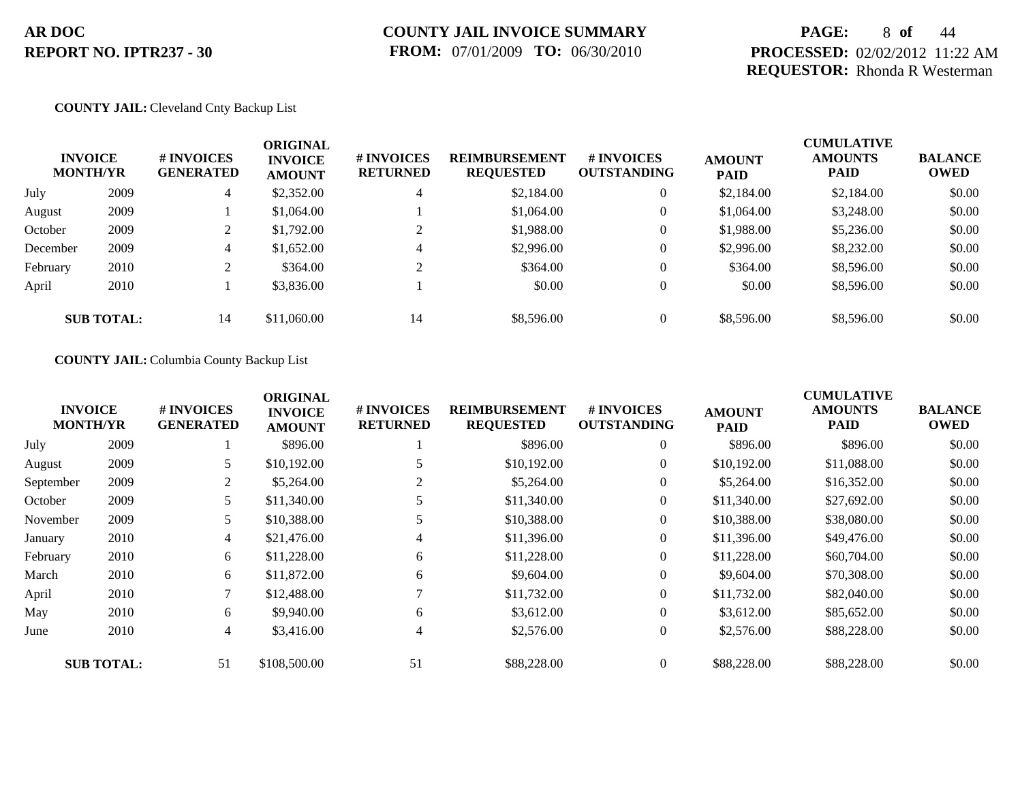## **PAGE:** 8 **of** 44 **PROCESSED:** 02/02/2012 11:22 AM **REQUESTOR:** Rhonda R Westerman

#### **COUNTY JAIL:** Cleveland Cnty Backup List

|          | <b>INVOICE</b><br><b>MONTH/YR</b> | # INVOICES<br><b>GENERATED</b> | <b>ORIGINAL</b><br><b>INVOICE</b><br><b>AMOUNT</b> | # INVOICES<br><b>RETURNED</b> | <b>REIMBURSEMENT</b><br><b>REQUESTED</b> | <b>#INVOICES</b><br><b>OUTSTANDING</b> | <b>AMOUNT</b><br><b>PAID</b> | <b>CUMULATIVE</b><br><b>AMOUNTS</b><br><b>PAID</b> | <b>BALANCE</b><br><b>OWED</b> |
|----------|-----------------------------------|--------------------------------|----------------------------------------------------|-------------------------------|------------------------------------------|----------------------------------------|------------------------------|----------------------------------------------------|-------------------------------|
| July     | 2009                              | 4                              | \$2,352.00                                         | 4                             | \$2,184.00                               | $\overline{0}$                         | \$2,184.00                   | \$2,184.00                                         | \$0.00                        |
| August   | 2009                              |                                | \$1,064.00                                         |                               | \$1,064.00                               | $\overline{0}$                         | \$1,064.00                   | \$3,248.00                                         | \$0.00                        |
| October  | 2009                              |                                | \$1,792.00                                         | ◠                             | \$1,988.00                               | $\overline{0}$                         | \$1,988.00                   | \$5,236.00                                         | \$0.00                        |
| December | 2009                              | 4                              | \$1,652.00                                         | 4                             | \$2,996.00                               | $\mathbf{0}$                           | \$2,996.00                   | \$8,232,00                                         | \$0.00                        |
| February | 2010                              |                                | \$364.00                                           | $\sim$                        | \$364.00                                 | $\overline{0}$                         | \$364.00                     | \$8,596.00                                         | \$0.00                        |
| April    | 2010                              |                                | \$3,836.00                                         |                               | \$0.00                                   | $\overline{0}$                         | \$0.00                       | \$8,596.00                                         | \$0.00                        |
|          | <b>SUB TOTAL:</b>                 | 14                             | \$11,060.00                                        | 14                            | \$8,596.00                               | $\overline{0}$                         | \$8,596.00                   | \$8,596.00                                         | \$0.00                        |

#### **COUNTY JAIL:** Columbia County Backup List

|           |                                   |                                | <b>ORIGINAL</b>                 |                               |                                          |                                  |                              | <b>CUMULATIVE</b>             |                               |
|-----------|-----------------------------------|--------------------------------|---------------------------------|-------------------------------|------------------------------------------|----------------------------------|------------------------------|-------------------------------|-------------------------------|
|           | <b>INVOICE</b><br><b>MONTH/YR</b> | # INVOICES<br><b>GENERATED</b> | <b>INVOICE</b><br><b>AMOUNT</b> | # INVOICES<br><b>RETURNED</b> | <b>REIMBURSEMENT</b><br><b>REQUESTED</b> | # INVOICES<br><b>OUTSTANDING</b> | <b>AMOUNT</b><br><b>PAID</b> | <b>AMOUNTS</b><br><b>PAID</b> | <b>BALANCE</b><br><b>OWED</b> |
| July      | 2009                              |                                | \$896.00                        |                               | \$896.00                                 | $\overline{0}$                   | \$896.00                     | \$896.00                      | \$0.00                        |
| August    | 2009                              | 5                              | \$10,192.00                     |                               | \$10,192.00                              | $\overline{0}$                   | \$10,192.00                  | \$11,088.00                   | \$0.00                        |
| September | 2009                              | 2                              | \$5,264.00                      |                               | \$5,264.00                               | $\overline{0}$                   | \$5,264.00                   | \$16,352.00                   | \$0.00                        |
| October   | 2009                              | 5                              | \$11,340.00                     |                               | \$11,340.00                              | $\overline{0}$                   | \$11,340.00                  | \$27,692.00                   | \$0.00                        |
| November  | 2009                              | 5                              | \$10,388.00                     |                               | \$10,388.00                              | $\overline{0}$                   | \$10,388.00                  | \$38,080.00                   | \$0.00                        |
| January   | 2010                              | $\overline{4}$                 | \$21,476.00                     | 4                             | \$11,396.00                              | $\overline{0}$                   | \$11,396.00                  | \$49,476.00                   | \$0.00                        |
| February  | 2010                              | 6                              | \$11,228.00                     | 6                             | \$11,228.00                              | $\overline{0}$                   | \$11,228.00                  | \$60,704.00                   | \$0.00                        |
| March     | 2010                              | 6                              | \$11,872.00                     | 6                             | \$9,604.00                               | $\overline{0}$                   | \$9,604.00                   | \$70,308.00                   | \$0.00                        |
| April     | 2010                              | 7                              | \$12,488.00                     |                               | \$11,732.00                              | $\overline{0}$                   | \$11,732.00                  | \$82,040.00                   | \$0.00                        |
| May       | 2010                              | 6                              | \$9,940.00                      | 6                             | \$3,612.00                               | $\overline{0}$                   | \$3,612.00                   | \$85,652.00                   | \$0.00                        |
| June      | 2010                              | $\overline{4}$                 | \$3,416.00                      | 4                             | \$2,576.00                               | $\overline{0}$                   | \$2,576.00                   | \$88,228.00                   | \$0.00                        |
|           | <b>SUB TOTAL:</b>                 | 51                             | \$108,500.00                    | 51                            | \$88,228.00                              | $\overline{0}$                   | \$88,228.00                  | \$88,228.00                   | \$0.00                        |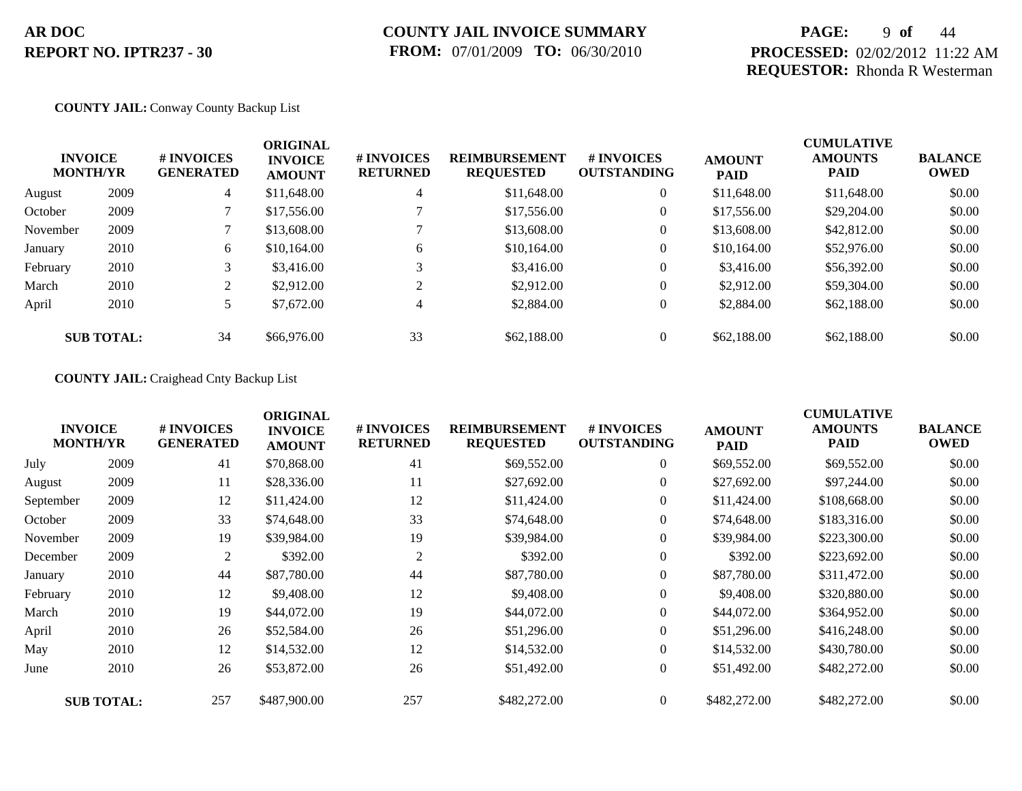## **PAGE:** 9 **of** 44 **PROCESSED:** 02/02/2012 11:22 AM **REQUESTOR:** Rhonda R Westerman

### **COUNTY JAIL:** Conway County Backup List

| <b>INVOICE</b> | <b>MONTH/YR</b>   | # INVOICES<br><b>GENERATED</b> | <b>ORIGINAL</b><br><b>INVOICE</b><br><b>AMOUNT</b> | # INVOICES<br><b>RETURNED</b> | <b>REIMBURSEMENT</b><br><b>REQUESTED</b> | # INVOICES<br><b>OUTSTANDING</b> | <b>AMOUNT</b><br><b>PAID</b> | <b>CUMULATIVE</b><br><b>AMOUNTS</b><br>PAID | <b>BALANCE</b><br><b>OWED</b> |
|----------------|-------------------|--------------------------------|----------------------------------------------------|-------------------------------|------------------------------------------|----------------------------------|------------------------------|---------------------------------------------|-------------------------------|
| August         | 2009              | 4                              | \$11,648.00                                        | $\overline{4}$                | \$11,648.00                              | $\theta$                         | \$11,648.00                  | \$11,648.00                                 | \$0.00                        |
| October        | 2009              |                                | \$17,556.00                                        |                               | \$17,556.00                              | $\boldsymbol{0}$                 | \$17,556.00                  | \$29,204.00                                 | \$0.00                        |
| November       | 2009              |                                | \$13,608.00                                        |                               | \$13,608.00                              | $\boldsymbol{0}$                 | \$13,608.00                  | \$42,812.00                                 | \$0.00                        |
| January        | 2010              | 6                              | \$10,164.00                                        | 6                             | \$10,164.00                              | $\theta$                         | \$10,164.00                  | \$52,976.00                                 | \$0.00                        |
| February       | 2010              |                                | \$3,416.00                                         |                               | \$3,416.00                               | $\theta$                         | \$3,416.00                   | \$56,392.00                                 | \$0.00                        |
| March          | 2010              |                                | \$2,912.00                                         | ↑                             | \$2,912.00                               | $\boldsymbol{0}$                 | \$2,912.00                   | \$59,304.00                                 | \$0.00                        |
| April          | 2010              |                                | \$7,672.00                                         | 4                             | \$2,884.00                               | $\theta$                         | \$2,884.00                   | \$62,188.00                                 | \$0.00                        |
|                | <b>SUB TOTAL:</b> | 34                             | \$66,976.00                                        | 33                            | \$62,188.00                              | $\theta$                         | \$62,188,00                  | \$62,188,00                                 | \$0.00                        |

#### **COUNTY JAIL:** Craighead Cnty Backup List

|           | <b>INVOICE</b><br><b>MONTH/YR</b> | # INVOICES<br><b>GENERATED</b> | <b>ORIGINAL</b><br><b>INVOICE</b><br><b>AMOUNT</b> | # INVOICES<br><b>RETURNED</b> | <b>REIMBURSEMENT</b><br><b>REQUESTED</b> | <b># INVOICES</b><br><b>OUTSTANDING</b> | <b>AMOUNT</b><br><b>PAID</b> | <b>CUMULATIVE</b><br><b>AMOUNTS</b><br>PAID | <b>BALANCE</b><br><b>OWED</b> |
|-----------|-----------------------------------|--------------------------------|----------------------------------------------------|-------------------------------|------------------------------------------|-----------------------------------------|------------------------------|---------------------------------------------|-------------------------------|
| July      | 2009                              | 41                             | \$70,868.00                                        | 41                            | \$69,552.00                              | $\overline{0}$                          | \$69,552.00                  | \$69,552.00                                 | \$0.00                        |
| August    | 2009                              | 11                             | \$28,336.00                                        | 11                            | \$27,692.00                              | $\overline{0}$                          | \$27,692.00                  | \$97,244.00                                 | \$0.00                        |
| September | 2009                              | 12                             | \$11,424.00                                        | 12                            | \$11,424.00                              | $\overline{0}$                          | \$11,424.00                  | \$108,668.00                                | \$0.00                        |
| October   | 2009                              | 33                             | \$74,648.00                                        | 33                            | \$74,648.00                              | $\overline{0}$                          | \$74,648.00                  | \$183,316.00                                | \$0.00                        |
| November  | 2009                              | 19                             | \$39,984.00                                        | 19                            | \$39,984.00                              | $\overline{0}$                          | \$39,984.00                  | \$223,300.00                                | \$0.00                        |
| December  | 2009                              | 2                              | \$392.00                                           | 2                             | \$392.00                                 | $\overline{0}$                          | \$392.00                     | \$223,692.00                                | \$0.00                        |
| January   | 2010                              | 44                             | \$87,780.00                                        | 44                            | \$87,780.00                              | $\overline{0}$                          | \$87,780.00                  | \$311,472.00                                | \$0.00                        |
| February  | 2010                              | 12                             | \$9,408.00                                         | 12                            | \$9,408.00                               | $\overline{0}$                          | \$9,408.00                   | \$320,880.00                                | \$0.00                        |
| March     | 2010                              | 19                             | \$44,072.00                                        | 19                            | \$44,072.00                              | $\overline{0}$                          | \$44,072.00                  | \$364,952.00                                | \$0.00                        |
| April     | 2010                              | 26                             | \$52,584.00                                        | 26                            | \$51,296.00                              | $\overline{0}$                          | \$51,296.00                  | \$416,248.00                                | \$0.00                        |
| May       | 2010                              | 12                             | \$14,532.00                                        | 12                            | \$14,532.00                              | $\overline{0}$                          | \$14,532.00                  | \$430,780.00                                | \$0.00                        |
| June      | 2010                              | 26                             | \$53,872.00                                        | 26                            | \$51,492.00                              | $\overline{0}$                          | \$51,492.00                  | \$482,272.00                                | \$0.00                        |
|           | <b>SUB TOTAL:</b>                 | 257                            | \$487,900.00                                       | 257                           | \$482,272.00                             | $\overline{0}$                          | \$482,272.00                 | \$482,272.00                                | \$0.00                        |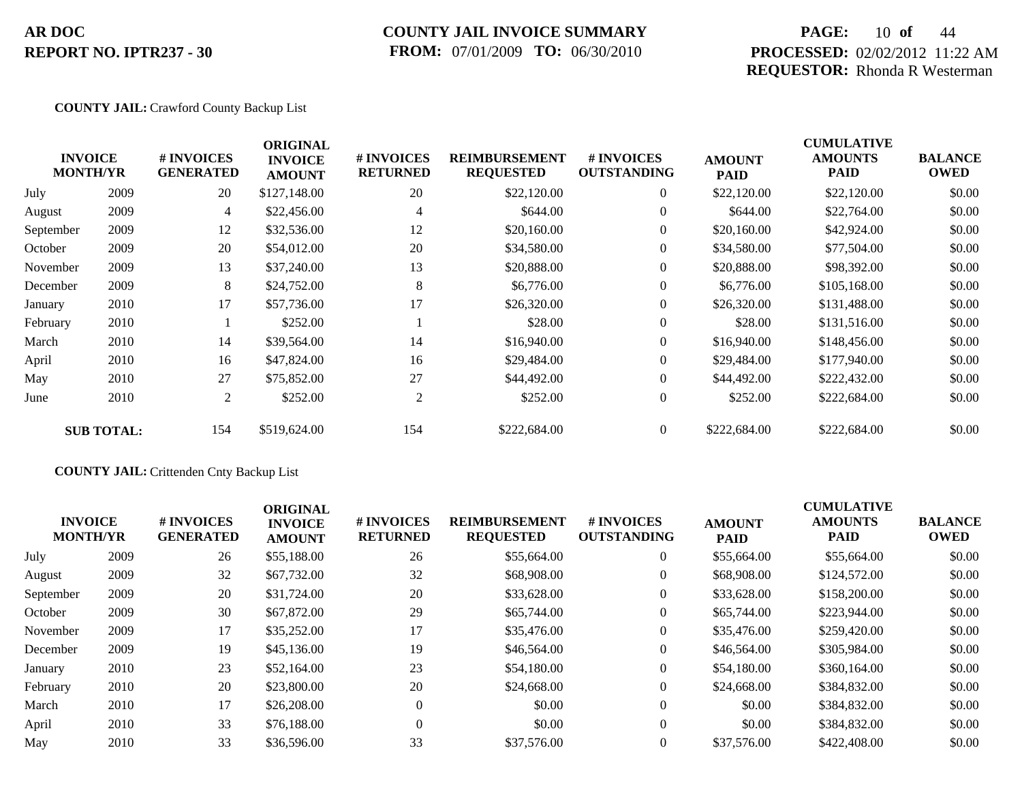### **COUNTY JAIL INVOICE SUMMARY FROM:** 07/01/2009 **TO:** 06/30/2010

## **PAGE:** 10 **of** 44 **PROCESSED:** 02/02/2012 11:22 AM **REQUESTOR:** Rhonda R Westerman

### **COUNTY JAIL:** Crawford County Backup List

|           | <b>INVOICE</b><br><b>MONTH/YR</b> | # INVOICES<br><b>GENERATED</b> | <b>ORIGINAL</b><br><b>INVOICE</b><br><b>AMOUNT</b> | # INVOICES<br><b>RETURNED</b> | <b>REIMBURSEMENT</b><br><b>REQUESTED</b> | # INVOICES<br><b>OUTSTANDING</b> | <b>AMOUNT</b><br><b>PAID</b> | <b>CUMULATIVE</b><br><b>AMOUNTS</b><br>PAID | <b>BALANCE</b><br><b>OWED</b> |
|-----------|-----------------------------------|--------------------------------|----------------------------------------------------|-------------------------------|------------------------------------------|----------------------------------|------------------------------|---------------------------------------------|-------------------------------|
| July      | 2009                              | 20                             | \$127,148.00                                       | 20                            | \$22,120.00                              | $\overline{0}$                   | \$22,120.00                  | \$22,120.00                                 | \$0.00                        |
| August    | 2009                              | 4                              | \$22,456.00                                        | $\overline{4}$                | \$644.00                                 | $\overline{0}$                   | \$644.00                     | \$22,764.00                                 | \$0.00                        |
| September | 2009                              | 12                             | \$32,536.00                                        | 12                            | \$20,160.00                              | $\overline{0}$                   | \$20,160.00                  | \$42,924.00                                 | \$0.00                        |
| October   | 2009                              | 20                             | \$54,012.00                                        | 20                            | \$34,580.00                              | $\overline{0}$                   | \$34,580.00                  | \$77,504.00                                 | \$0.00                        |
| November  | 2009                              | 13                             | \$37,240.00                                        | 13                            | \$20,888.00                              | $\overline{0}$                   | \$20,888.00                  | \$98,392.00                                 | \$0.00                        |
| December  | 2009                              | 8                              | \$24,752.00                                        | 8                             | \$6,776.00                               | $\overline{0}$                   | \$6,776.00                   | \$105,168.00                                | \$0.00                        |
| January   | 2010                              | 17                             | \$57,736.00                                        | 17                            | \$26,320.00                              | $\overline{0}$                   | \$26,320.00                  | \$131,488.00                                | \$0.00                        |
| February  | 2010                              |                                | \$252.00                                           |                               | \$28.00                                  | $\overline{0}$                   | \$28.00                      | \$131,516.00                                | \$0.00                        |
| March     | 2010                              | 14                             | \$39,564.00                                        | 14                            | \$16,940.00                              | $\overline{0}$                   | \$16,940.00                  | \$148,456.00                                | \$0.00                        |
| April     | 2010                              | 16                             | \$47,824.00                                        | 16                            | \$29,484.00                              | $\overline{0}$                   | \$29,484.00                  | \$177,940.00                                | \$0.00                        |
| May       | 2010                              | 27                             | \$75,852.00                                        | 27                            | \$44,492.00                              | $\overline{0}$                   | \$44,492.00                  | \$222,432.00                                | \$0.00                        |
| June      | 2010                              | 2                              | \$252.00                                           | 2                             | \$252.00                                 | $\mathbf{0}$                     | \$252.00                     | \$222,684.00                                | \$0.00                        |
|           | <b>SUB TOTAL:</b>                 | 154                            | \$519,624.00                                       | 154                           | \$222,684.00                             | $\overline{0}$                   | \$222,684.00                 | \$222,684.00                                | \$0.00                        |

### **COUNTY JAIL:** Crittenden Cnty Backup List

| <b>INVOICE</b><br><b>MONTH/YR</b> |      | # INVOICES<br><b>GENERATED</b> | <b>ORIGINAL</b><br><b>INVOICE</b><br><b>AMOUNT</b> | # INVOICES<br><b>RETURNED</b> | <b>REIMBURSEMENT</b><br><b>REQUESTED</b> | <b>#INVOICES</b><br><b>OUTSTANDING</b> | <b>AMOUNT</b><br><b>PAID</b> | <b>CUMULATIVE</b><br><b>AMOUNTS</b><br><b>PAID</b> | <b>BALANCE</b><br><b>OWED</b> |
|-----------------------------------|------|--------------------------------|----------------------------------------------------|-------------------------------|------------------------------------------|----------------------------------------|------------------------------|----------------------------------------------------|-------------------------------|
| July                              | 2009 | 26                             | \$55,188.00                                        | 26                            | \$55,664.00                              | $\overline{0}$                         | \$55,664.00                  | \$55,664.00                                        | \$0.00                        |
| August                            | 2009 | 32                             | \$67,732.00                                        | 32                            | \$68,908.00                              | $\overline{0}$                         | \$68,908.00                  | \$124,572.00                                       | \$0.00                        |
| September                         | 2009 | 20                             | \$31,724.00                                        | 20                            | \$33,628.00                              | $\overline{0}$                         | \$33,628.00                  | \$158,200.00                                       | \$0.00                        |
| October                           | 2009 | 30                             | \$67,872.00                                        | 29                            | \$65,744.00                              | $\overline{0}$                         | \$65,744.00                  | \$223,944.00                                       | \$0.00                        |
| November                          | 2009 | 17                             | \$35,252.00                                        | 17                            | \$35,476.00                              | $\overline{0}$                         | \$35,476.00                  | \$259,420.00                                       | \$0.00                        |
| December                          | 2009 | 19                             | \$45,136.00                                        | 19                            | \$46,564.00                              | $\overline{0}$                         | \$46,564.00                  | \$305,984.00                                       | \$0.00                        |
| January                           | 2010 | 23                             | \$52,164.00                                        | 23                            | \$54,180.00                              | $\overline{0}$                         | \$54,180.00                  | \$360,164.00                                       | \$0.00                        |
| February                          | 2010 | 20                             | \$23,800.00                                        | 20                            | \$24,668.00                              | $\overline{0}$                         | \$24,668.00                  | \$384,832.00                                       | \$0.00                        |
| March                             | 2010 | 17                             | \$26,208.00                                        | $\Omega$                      | \$0.00                                   | $\overline{0}$                         | \$0.00                       | \$384,832.00                                       | \$0.00                        |
| April                             | 2010 | 33                             | \$76,188.00                                        | $\Omega$                      | \$0.00                                   | $\theta$                               | \$0.00                       | \$384,832.00                                       | \$0.00                        |
| May                               | 2010 | 33                             | \$36,596.00                                        | 33                            | \$37,576.00                              | $\overline{0}$                         | \$37,576.00                  | \$422,408.00                                       | \$0.00                        |
|                                   |      |                                |                                                    |                               |                                          |                                        |                              |                                                    |                               |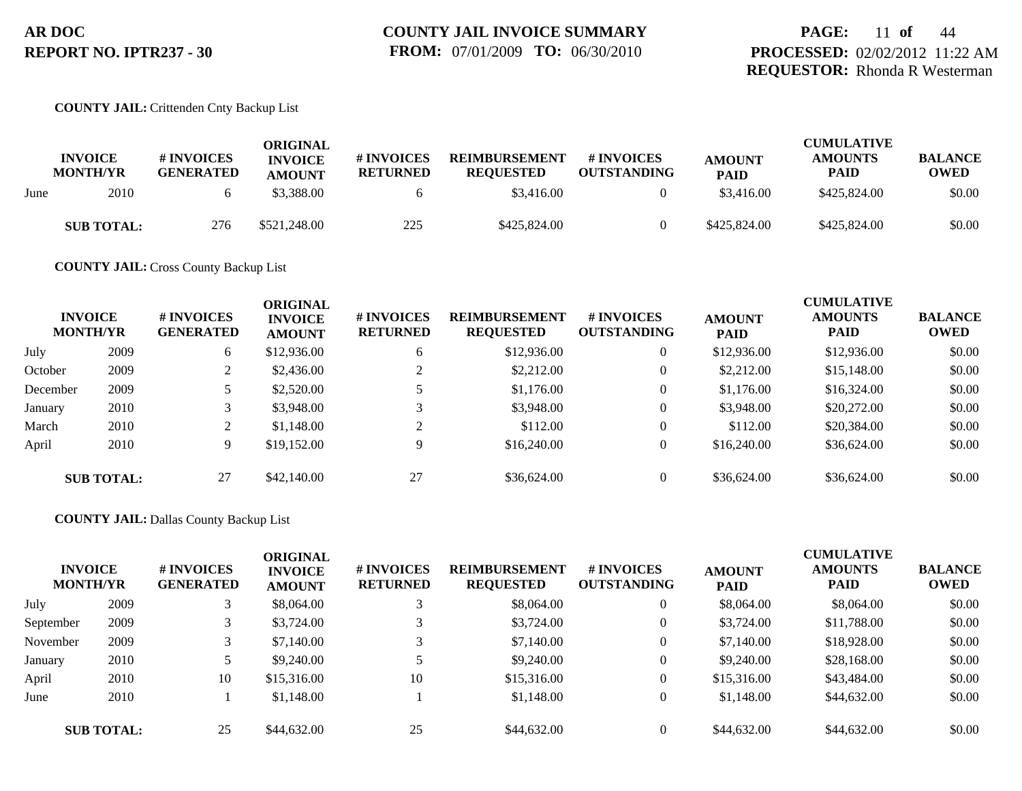#### **COUNTY JAIL:** Crittenden Cnty Backup List

|      | <b>INVOICE</b>    | # INVOICES       | ORIGINAL<br><b>INVOICE</b> | # INVOICES      | <b>REIMBURSEMENT</b> | # INVOICES         | <b>AMOUNT</b> | <b>CUMULATIVE</b><br><b>AMOUNTS</b> | <b>BALANCE</b> |
|------|-------------------|------------------|----------------------------|-----------------|----------------------|--------------------|---------------|-------------------------------------|----------------|
|      | <b>MONTH/YR</b>   | <b>GENERATED</b> | <b>AMOUNT</b>              | <b>RETURNED</b> | <b>REQUESTED</b>     | <b>OUTSTANDING</b> | <b>PAID</b>   | <b>PAID</b>                         | <b>OWED</b>    |
| June | 2010              |                  | \$3,388.00                 |                 | \$3,416.00           |                    | \$3,416.00    | \$425,824,00                        | \$0.00         |
|      | <b>SUB TOTAL:</b> | 276              | \$521,248.00               | 225             | \$425,824.00         |                    | \$425,824.00  | \$425,824.00                        | \$0.00         |

**COUNTY JAIL:** Cross County Backup List

|          | <b>INVOICE</b><br><b>MONTH/YR</b> | # INVOICES<br><b>GENERATED</b> | <b>ORIGINAL</b><br><b>INVOICE</b><br><b>AMOUNT</b> | # INVOICES<br><b>RETURNED</b> | <b>REIMBURSEMENT</b><br><b>REQUESTED</b> | <b>#INVOICES</b><br><b>OUTSTANDING</b> | <b>AMOUNT</b><br><b>PAID</b> | <b>CUMULATIVE</b><br><b>AMOUNTS</b><br><b>PAID</b> | <b>BALANCE</b><br><b>OWED</b> |
|----------|-----------------------------------|--------------------------------|----------------------------------------------------|-------------------------------|------------------------------------------|----------------------------------------|------------------------------|----------------------------------------------------|-------------------------------|
| July     | 2009                              | 6                              | \$12,936.00                                        | 6                             | \$12,936.00                              | $\overline{0}$                         | \$12,936.00                  | \$12,936.00                                        | \$0.00                        |
| October  | 2009                              |                                | \$2,436.00                                         |                               | \$2,212.00                               | $\theta$                               | \$2,212.00                   | \$15,148.00                                        | \$0.00                        |
| December | 2009                              |                                | \$2,520.00                                         |                               | \$1,176.00                               | $\overline{0}$                         | \$1,176.00                   | \$16,324.00                                        | \$0.00                        |
| January  | 2010                              |                                | \$3,948.00                                         |                               | \$3,948.00                               | $\overline{0}$                         | \$3,948.00                   | \$20,272.00                                        | \$0.00                        |
| March    | 2010                              | $\sim$                         | \$1,148.00                                         | ◠                             | \$112.00                                 | $\overline{0}$                         | \$112.00                     | \$20,384.00                                        | \$0.00                        |
| April    | 2010                              | Q                              | \$19,152.00                                        | 9                             | \$16,240.00                              | $\overline{0}$                         | \$16,240.00                  | \$36,624.00                                        | \$0.00                        |
|          | <b>SUB TOTAL:</b>                 | 27                             | \$42,140.00                                        | 27                            | \$36,624.00                              | $\overline{0}$                         | \$36,624.00                  | \$36,624.00                                        | \$0.00                        |

#### **COUNTY JAIL:** Dallas County Backup List

| <b>INVOICE</b><br><b>MONTH/YR</b> |                   | <b>#INVOICES</b><br><b>GENERATED</b> | <b>ORIGINAL</b><br><b>INVOICE</b><br><b>AMOUNT</b> | <b>#INVOICES</b><br><b>RETURNED</b> | <b>REIMBURSEMENT</b><br><b>REQUESTED</b> | <b># INVOICES</b><br><b>OUTSTANDING</b> | <b>AMOUNT</b><br><b>PAID</b> | <b>CUMULATIVE</b><br><b>AMOUNTS</b><br><b>PAID</b> | <b>BALANCE</b><br><b>OWED</b> |
|-----------------------------------|-------------------|--------------------------------------|----------------------------------------------------|-------------------------------------|------------------------------------------|-----------------------------------------|------------------------------|----------------------------------------------------|-------------------------------|
| July                              | 2009              |                                      | \$8,064.00                                         | 3                                   | \$8,064.00                               | $\theta$                                | \$8,064.00                   | \$8,064.00                                         | \$0.00                        |
| September                         | 2009              |                                      | \$3,724.00                                         |                                     | \$3,724.00                               | $\theta$                                | \$3,724.00                   | \$11,788.00                                        | \$0.00                        |
| November                          | 2009              |                                      | \$7,140.00                                         | 3                                   | \$7,140.00                               |                                         | \$7,140.00                   | \$18,928.00                                        | \$0.00                        |
| January                           | 2010              |                                      | \$9,240.00                                         |                                     | \$9,240.00                               | $\theta$                                | \$9,240.00                   | \$28,168.00                                        | \$0.00                        |
| April                             | 2010              | 10                                   | \$15,316.00                                        | 10                                  | \$15,316.00                              | $\theta$                                | \$15,316.00                  | \$43,484.00                                        | \$0.00                        |
| June                              | 2010              |                                      | \$1,148.00                                         |                                     | \$1,148.00                               | $\mathbf{0}$                            | \$1,148.00                   | \$44,632.00                                        | \$0.00                        |
|                                   | <b>SUB TOTAL:</b> | 25                                   | \$44,632.00                                        | 25                                  | \$44,632.00                              |                                         | \$44,632.00                  | \$44,632.00                                        | \$0.00                        |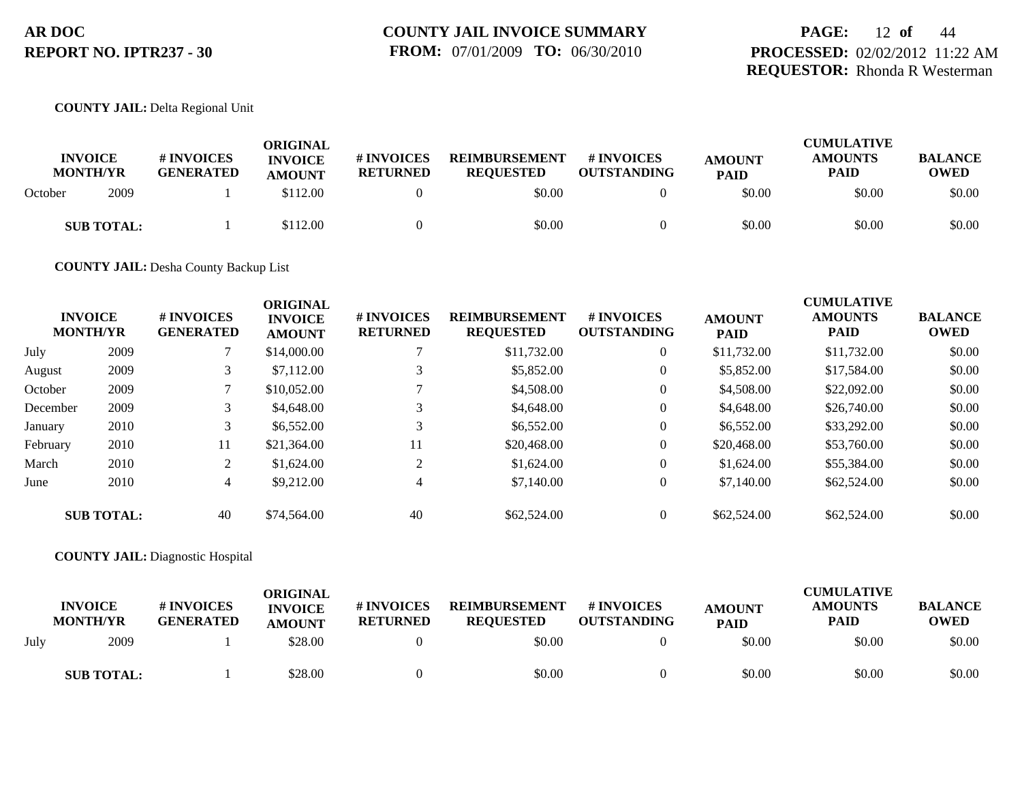## **PAGE:** 12 **of** 44 **PROCESSED:** 02/02/2012 11:22 AM **REQUESTOR:** Rhonda R Westerman

### **COUNTY JAIL:** Delta Regional Unit

| <b>INVOICE</b><br><b>MONTH/YR</b> |      | # INVOICES<br><b>GENERATED</b> | ORIGINAL<br><b>INVOICE</b><br><b>AMOUNT</b> | # INVOICES<br><b>RETURNED</b> | <b>REIMBURSEMENT</b><br><b>REOUESTED</b> | # INVOICES<br><b>OUTSTANDING</b> | <b>AMOUNT</b><br><b>PAID</b> | <b>CUMULATIVE</b><br><b>AMOUNTS</b><br><b>PAID</b> | <b>BALANCE</b><br><b>OWED</b> |
|-----------------------------------|------|--------------------------------|---------------------------------------------|-------------------------------|------------------------------------------|----------------------------------|------------------------------|----------------------------------------------------|-------------------------------|
| October                           | 2009 |                                | \$112.00                                    |                               | \$0.00                                   |                                  | \$0.00                       | \$0.00                                             | \$0.00                        |
| <b>SUB TOTAL:</b>                 |      |                                | \$112.00                                    |                               | \$0.00                                   |                                  | \$0.00                       | \$0.00                                             | \$0.00                        |

**COUNTY JAIL:** Desha County Backup List

| <b>INVOICE</b><br><b>MONTH/YR</b> |                   | # INVOICES<br><b>GENERATED</b> | <b>ORIGINAL</b><br><b>INVOICE</b><br><b>AMOUNT</b> | <b># INVOICES</b><br><b>RETURNED</b> | <b>REIMBURSEMENT</b><br><b>REQUESTED</b> | # INVOICES<br><b>OUTSTANDING</b> | <b>AMOUNT</b><br><b>PAID</b> | <b>CUMULATIVE</b><br><b>AMOUNTS</b><br><b>PAID</b> | <b>BALANCE</b><br><b>OWED</b> |
|-----------------------------------|-------------------|--------------------------------|----------------------------------------------------|--------------------------------------|------------------------------------------|----------------------------------|------------------------------|----------------------------------------------------|-------------------------------|
| July                              | 2009              |                                | \$14,000.00                                        |                                      | \$11,732.00                              | $\overline{0}$                   | \$11,732.00                  | \$11,732.00                                        | \$0.00                        |
| August                            | 2009              | 3                              | \$7,112.00                                         |                                      | \$5,852.00                               | $\overline{0}$                   | \$5,852.00                   | \$17,584.00                                        | \$0.00                        |
| October                           | 2009              |                                | \$10,052.00                                        |                                      | \$4,508.00                               | $\overline{0}$                   | \$4,508.00                   | \$22,092.00                                        | \$0.00                        |
| December                          | 2009              | 3                              | \$4,648.00                                         |                                      | \$4,648.00                               | $\overline{0}$                   | \$4,648.00                   | \$26,740.00                                        | \$0.00                        |
| January                           | 2010              | 3                              | \$6,552.00                                         |                                      | \$6,552.00                               | $\overline{0}$                   | \$6,552.00                   | \$33,292.00                                        | \$0.00                        |
| February                          | 2010              | 11                             | \$21,364.00                                        | 11                                   | \$20,468.00                              | $\overline{0}$                   | \$20,468.00                  | \$53,760.00                                        | \$0.00                        |
| March                             | 2010              | 2                              | \$1,624.00                                         |                                      | \$1,624.00                               | $\overline{0}$                   | \$1,624.00                   | \$55,384.00                                        | \$0.00                        |
| June                              | 2010              | 4                              | \$9,212.00                                         |                                      | \$7,140.00                               | $\overline{0}$                   | \$7,140.00                   | \$62,524.00                                        | \$0.00                        |
|                                   | <b>SUB TOTAL:</b> | 40                             | \$74,564.00                                        | 40                                   | \$62,524.00                              | $\theta$                         | \$62,524.00                  | \$62,524.00                                        | \$0.00                        |

**COUNTY JAIL:** Diagnostic Hospital

|      | <b>INVOICE</b><br><b>MONTH/YR</b> | # INVOICES<br><b>GENERATED</b> | ORIGINAL<br><b>INVOICE</b><br><b>AMOUNT</b> | <b># INVOICES</b><br><b>RETURNED</b> | <b>REIMBURSEMENT</b><br><b>REQUESTED</b> | # INVOICES<br><b>OUTSTANDING</b> | <b>AMOUNT</b><br><b>PAID</b> | <b>CUMULATIVE</b><br><b>AMOUNTS</b><br><b>PAID</b> | <b>BALANCE</b><br><b>OWED</b> |
|------|-----------------------------------|--------------------------------|---------------------------------------------|--------------------------------------|------------------------------------------|----------------------------------|------------------------------|----------------------------------------------------|-------------------------------|
| July | 2009                              |                                | \$28.00                                     |                                      | \$0.00                                   |                                  | \$0.00                       | \$0.00                                             | \$0.00                        |
|      | <b>SUB TOTAL:</b>                 |                                | \$28.00                                     |                                      | \$0.00                                   |                                  | \$0.00                       | \$0.00                                             | \$0.00                        |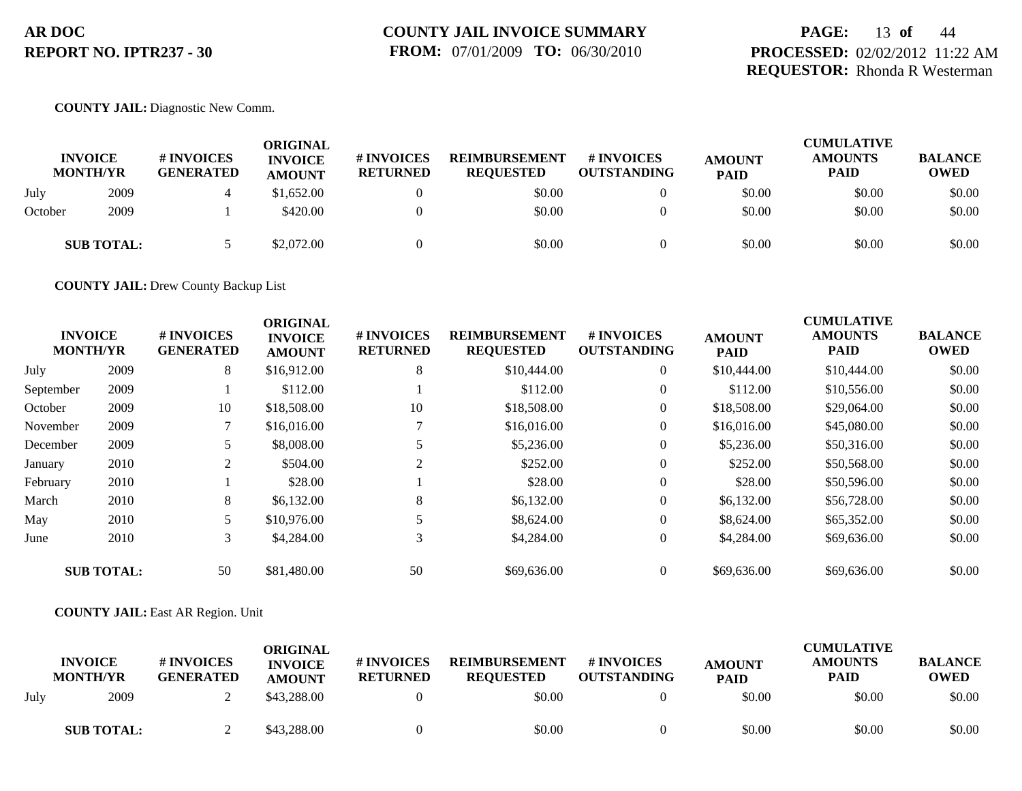## **PAGE:** 13 **of** 44 **PROCESSED:** 02/02/2012 11:22 AM **REQUESTOR:** Rhonda R Westerman

### **COUNTY JAIL:** Diagnostic New Comm.

|         | <b>INVOICE</b><br><b>MONTH/YR</b> | # INVOICES<br><b>GENERATED</b> | <b>ORIGINAL</b><br><b>INVOICE</b><br><b>AMOUNT</b> | # INVOICES<br><b>RETURNED</b> | <b>REIMBURSEMENT</b><br><b>REQUESTED</b> | <b>#INVOICES</b><br><b>OUTSTANDING</b> | <b>AMOUNT</b><br><b>PAID</b> | <b>CUMULATIVE</b><br><b>AMOUNTS</b><br><b>PAID</b> | <b>BALANCE</b><br><b>OWED</b> |
|---------|-----------------------------------|--------------------------------|----------------------------------------------------|-------------------------------|------------------------------------------|----------------------------------------|------------------------------|----------------------------------------------------|-------------------------------|
| July    | 2009                              |                                | \$1,652.00                                         |                               | \$0.00                                   |                                        | \$0.00                       | \$0.00                                             | \$0.00                        |
| October | 2009                              |                                | \$420.00                                           |                               | \$0.00                                   |                                        | \$0.00                       | \$0.00                                             | \$0.00                        |
|         | <b>SUB TOTAL:</b>                 |                                | \$2,072.00                                         |                               | \$0.00                                   |                                        | \$0.00                       | \$0.00                                             | \$0.00                        |

**COUNTY JAIL:** Drew County Backup List

|           | <b>INVOICE</b><br><b>MONTH/YR</b> | # INVOICES<br><b>GENERATED</b> | <b>ORIGINAL</b><br><b>INVOICE</b><br><b>AMOUNT</b> | # INVOICES<br><b>RETURNED</b> | <b>REIMBURSEMENT</b><br><b>REQUESTED</b> | <b>#INVOICES</b><br><b>OUTSTANDING</b> | <b>AMOUNT</b><br><b>PAID</b> | <b>CUMULATIVE</b><br><b>AMOUNTS</b><br><b>PAID</b> | <b>BALANCE</b><br><b>OWED</b> |
|-----------|-----------------------------------|--------------------------------|----------------------------------------------------|-------------------------------|------------------------------------------|----------------------------------------|------------------------------|----------------------------------------------------|-------------------------------|
| July      | 2009                              | 8                              | \$16,912.00                                        | 8                             | \$10,444.00                              | $\overline{0}$                         | \$10,444.00                  | \$10,444.00                                        | \$0.00                        |
| September | 2009                              |                                | \$112.00                                           |                               | \$112.00                                 | 0                                      | \$112.00                     | \$10,556.00                                        | \$0.00                        |
| October   | 2009                              | 10                             | \$18,508.00                                        | 10                            | \$18,508.00                              | $\overline{0}$                         | \$18,508.00                  | \$29,064.00                                        | \$0.00                        |
| November  | 2009                              |                                | \$16,016.00                                        |                               | \$16,016.00                              | $\overline{0}$                         | \$16,016.00                  | \$45,080.00                                        | \$0.00                        |
| December  | 2009                              | 5                              | \$8,008.00                                         |                               | \$5,236.00                               | $\overline{0}$                         | \$5,236.00                   | \$50,316.00                                        | \$0.00                        |
| January   | 2010                              | 2                              | \$504.00                                           |                               | \$252.00                                 | $\overline{0}$                         | \$252.00                     | \$50,568.00                                        | \$0.00                        |
| February  | 2010                              |                                | \$28.00                                            |                               | \$28.00                                  | $\overline{0}$                         | \$28.00                      | \$50,596.00                                        | \$0.00                        |
| March     | 2010                              | 8                              | \$6,132.00                                         | 8                             | \$6,132.00                               | $\overline{0}$                         | \$6,132.00                   | \$56,728.00                                        | \$0.00                        |
| May       | 2010                              |                                | \$10,976.00                                        |                               | \$8,624.00                               | $\boldsymbol{0}$                       | \$8,624.00                   | \$65,352.00                                        | \$0.00                        |
| June      | 2010                              | 3                              | \$4,284.00                                         | 3                             | \$4,284.00                               | $\overline{0}$                         | \$4,284.00                   | \$69,636.00                                        | \$0.00                        |
|           | <b>SUB TOTAL:</b>                 | 50                             | \$81,480.00                                        | 50                            | \$69,636.00                              | $\Omega$                               | \$69,636.00                  | \$69,636.00                                        | \$0.00                        |

#### **COUNTY JAIL:** East AR Region. Unit

|      | <b>INVOICE</b><br><b>MONTH/YR</b> | # INVOICES<br><b>GENERATED</b> | ORIGINAL<br><b>INVOICE</b><br><b>AMOUNT</b> | # INVOICES<br><b>RETURNED</b> | <b>REIMBURSEMENT</b><br><b>REQUESTED</b> | <b>#INVOICES</b><br><b>OUTSTANDING</b> | <b>AMOUNT</b><br><b>PAID</b> | <b>CUMULATIVE</b><br><b>AMOUNTS</b><br><b>PAID</b> | <b>BALANCE</b><br><b>OWED</b> |
|------|-----------------------------------|--------------------------------|---------------------------------------------|-------------------------------|------------------------------------------|----------------------------------------|------------------------------|----------------------------------------------------|-------------------------------|
| Julv | 2009                              |                                | \$43,288,00                                 |                               | \$0.00                                   |                                        | \$0.00                       | \$0.00                                             | \$0.00                        |
|      | <b>SUB TOTAL:</b>                 |                                | \$43,288.00                                 |                               | \$0.00                                   |                                        | \$0.00                       | \$0.00                                             | \$0.00                        |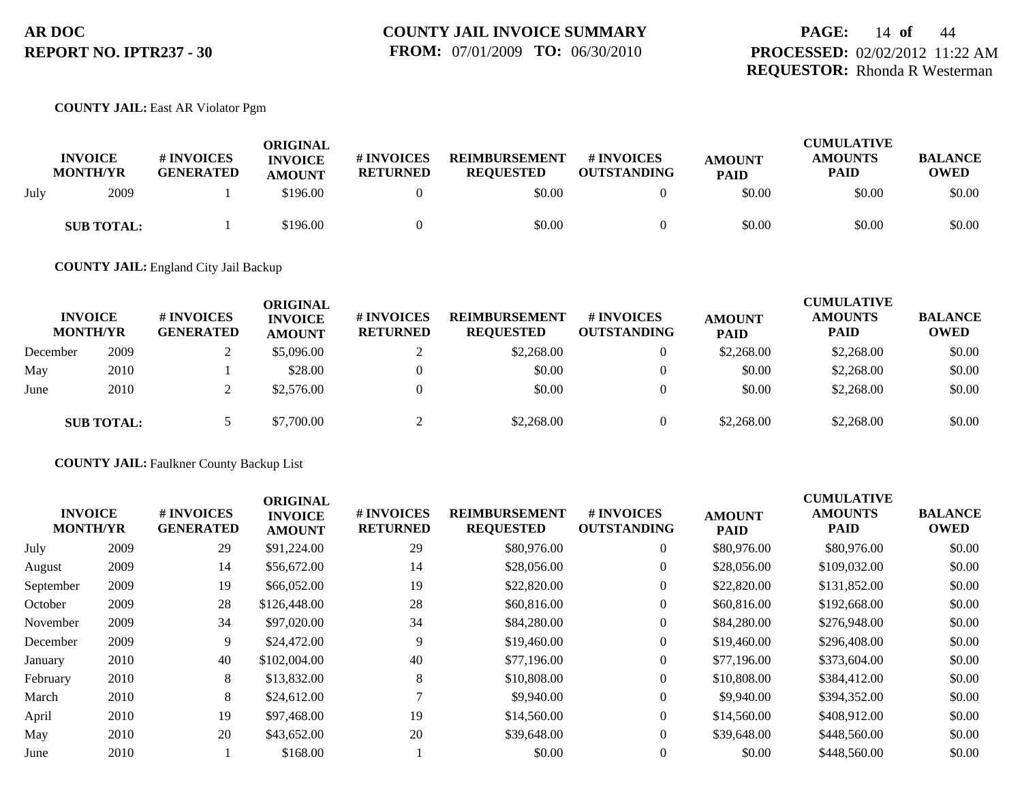## **PAGE:** 14 **of** 44 **PROCESSED:** 02/02/2012 11:22 AM **REQUESTOR:** Rhonda R Westerman

### **COUNTY JAIL:** East AR Violator Pgm

|      | <b>INVOICE</b><br><b>MONTH/YR</b> | # INVOICES<br><b>GENERATED</b> | ORIGINAL<br><b>INVOICE</b><br><b>AMOUNT</b> | # INVOICES<br><b>RETURNED</b> | <b>REIMBURSEMENT</b><br><b>REQUESTED</b> | # INVOICES<br><b>OUTSTANDING</b> | <b>AMOUNT</b><br><b>PAID</b> | <b>CUMULATIVE</b><br><b>AMOUNTS</b><br><b>PAID</b> | <b>BALANCE</b><br><b>OWED</b> |
|------|-----------------------------------|--------------------------------|---------------------------------------------|-------------------------------|------------------------------------------|----------------------------------|------------------------------|----------------------------------------------------|-------------------------------|
| July | 2009                              |                                | \$196.00                                    |                               | \$0.00                                   |                                  | \$0.00                       | \$0.00                                             | \$0.00                        |
|      | <b>SUB TOTAL:</b>                 |                                | \$196.00                                    |                               | \$0.00                                   |                                  | \$0.00                       | \$0.00                                             | \$0.00                        |

**COUNTY JAIL:** England City Jail Backup

|          | <b>INVOICE</b><br><b>MONTH/YR</b> | # INVOICES<br><b>GENERATED</b> | <b>ORIGINAL</b><br><b>INVOICE</b><br><b>AMOUNT</b> | # INVOICES<br><b>RETURNED</b> | <b>REIMBURSEMENT</b><br><b>REQUESTED</b> | # INVOICES<br><b>OUTSTANDING</b> | <b>AMOUNT</b><br><b>PAID</b> | <b>CUMULATIVE</b><br><b>AMOUNTS</b><br><b>PAID</b> | <b>BALANCE</b><br><b>OWED</b> |
|----------|-----------------------------------|--------------------------------|----------------------------------------------------|-------------------------------|------------------------------------------|----------------------------------|------------------------------|----------------------------------------------------|-------------------------------|
| December | 2009                              |                                | \$5,096.00                                         |                               | \$2,268.00                               | $\overline{0}$                   | \$2,268.00                   | \$2,268.00                                         | \$0.00                        |
| May      | 2010                              |                                | \$28.00                                            |                               | \$0.00                                   |                                  | \$0.00                       | \$2,268.00                                         | \$0.00                        |
| June     | 2010                              |                                | \$2,576.00                                         |                               | \$0.00                                   | $\Omega$                         | \$0.00                       | \$2,268.00                                         | \$0.00                        |
|          | <b>SUB TOTAL:</b>                 |                                | \$7,700.00                                         |                               | \$2,268.00                               | $\Omega$                         | \$2,268.00                   | \$2,268.00                                         | \$0.00                        |

**COUNTY JAIL:** Faulkner County Backup List

| <b>INVOICE</b><br><b>MONTH/YR</b> | # INVOICES<br><b>GENERATED</b> | <b>ORIGINAL</b><br><b>INVOICE</b><br><b>AMOUNT</b> | # INVOICES<br><b>RETURNED</b> | <b>REIMBURSEMENT</b><br><b>REQUESTED</b> | # INVOICES<br><b>OUTSTANDING</b> | <b>AMOUNT</b><br><b>PAID</b> | <b>CUMULATIVE</b><br><b>AMOUNTS</b><br><b>PAID</b> | <b>BALANCE</b><br><b>OWED</b> |
|-----------------------------------|--------------------------------|----------------------------------------------------|-------------------------------|------------------------------------------|----------------------------------|------------------------------|----------------------------------------------------|-------------------------------|
| 2009                              | 29                             | \$91,224.00                                        | 29                            | \$80,976.00                              | $\boldsymbol{0}$                 | \$80,976.00                  | \$80,976.00                                        | \$0.00                        |
| 2009                              | 14                             | \$56,672.00                                        | 14                            | \$28,056.00                              | $\overline{0}$                   | \$28,056.00                  | \$109,032.00                                       | \$0.00                        |
| 2009                              | 19                             | \$66,052.00                                        | 19                            | \$22,820.00                              | $\overline{0}$                   | \$22,820.00                  | \$131,852.00                                       | \$0.00                        |
| 2009                              | 28                             | \$126,448.00                                       | 28                            | \$60,816.00                              | $\overline{0}$                   | \$60,816.00                  | \$192,668.00                                       | \$0.00                        |
| 2009                              | 34                             | \$97,020.00                                        | 34                            | \$84,280.00                              | $\overline{0}$                   | \$84,280.00                  | \$276,948.00                                       | \$0.00                        |
| 2009                              | 9                              | \$24,472.00                                        | 9                             | \$19,460.00                              | $\overline{0}$                   | \$19,460.00                  | \$296,408.00                                       | \$0.00                        |
| 2010                              | 40                             | \$102,004.00                                       | 40                            | \$77,196,00                              | $\overline{0}$                   | \$77,196.00                  | \$373,604.00                                       | \$0.00                        |
| 2010                              | 8                              | \$13,832.00                                        | 8                             | \$10,808.00                              | $\overline{0}$                   | \$10,808.00                  | \$384,412.00                                       | \$0.00                        |
| 2010                              | 8                              | \$24,612.00                                        |                               | \$9,940.00                               | $\overline{0}$                   | \$9,940.00                   | \$394,352.00                                       | \$0.00                        |
| 2010                              | 19                             | \$97,468.00                                        | 19                            | \$14,560.00                              | $\overline{0}$                   | \$14,560.00                  | \$408,912.00                                       | \$0.00                        |
| 2010                              | 20                             | \$43,652.00                                        | 20                            | \$39,648.00                              | $\overline{0}$                   | \$39,648.00                  | \$448,560.00                                       | \$0.00                        |
| 2010                              |                                | \$168.00                                           |                               | \$0.00                                   | $\Omega$                         | \$0.00                       | \$448,560.00                                       | \$0.00                        |
|                                   |                                |                                                    |                               |                                          |                                  |                              |                                                    |                               |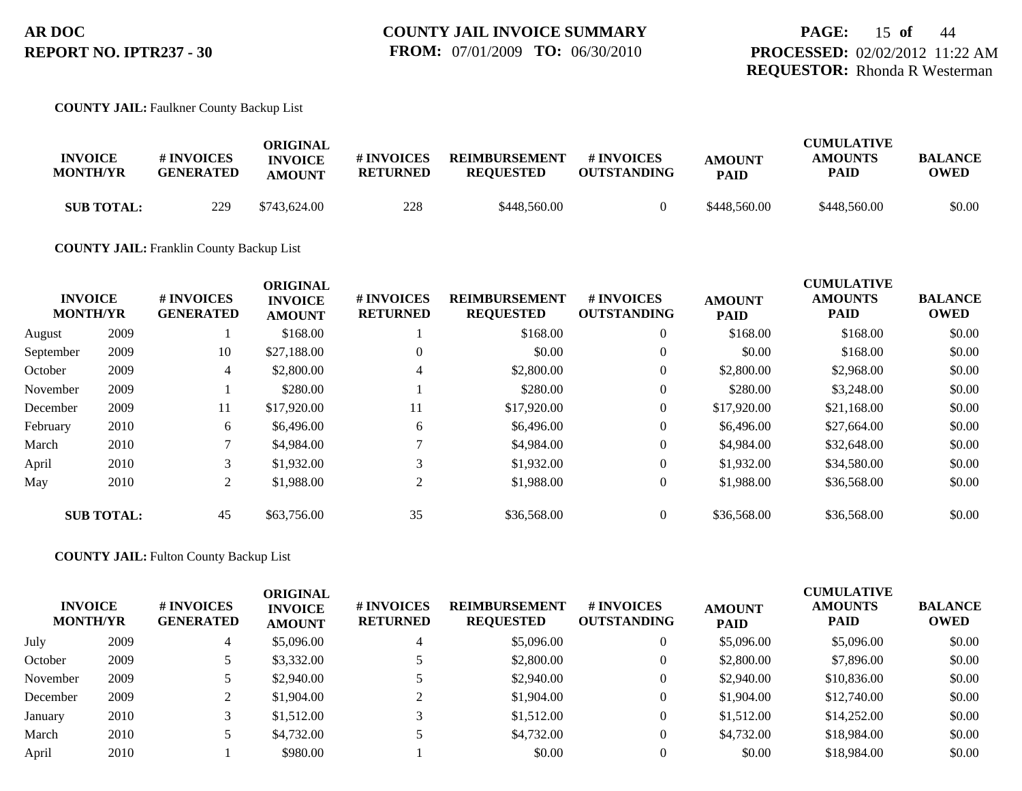#### **COUNTY JAIL:** Faulkner County Backup List

| <b>INVOICE</b><br><b>MONTH/YR</b> | # INVOICES<br><b>GENERATED</b> | ORIGINAL<br><b>INVOICE</b><br><b>AMOUNT</b> | # INVOICES<br><b>RETURNED</b> | <b>REIMBURSEMENT</b><br><b>REQUESTED</b> | # INVOICES<br><b>OUTSTANDING</b> | <b>AMOUNT</b><br><b>PAID</b> | <b>CUMULATIVE</b><br><b>AMOUNTS</b><br>PAID | <b>BALANCE</b><br><b>OWED</b> |
|-----------------------------------|--------------------------------|---------------------------------------------|-------------------------------|------------------------------------------|----------------------------------|------------------------------|---------------------------------------------|-------------------------------|
| <b>SUB TOTAL:</b>                 | 229                            | \$743,624.00                                | 228                           | \$448,560.00                             |                                  | \$448,560.00                 | \$448,560.00                                | \$0.00                        |

#### **COUNTY JAIL:** Franklin County Backup List

|           | <b>INVOICE</b><br><b>MONTH/YR</b> | # INVOICES<br><b>GENERATED</b> | <b>ORIGINAL</b><br><b>INVOICE</b><br><b>AMOUNT</b> | # INVOICES<br><b>RETURNED</b> | <b>REIMBURSEMENT</b><br><b>REQUESTED</b> | <b>#INVOICES</b><br><b>OUTSTANDING</b> | <b>AMOUNT</b><br><b>PAID</b> | <b>CUMULATIVE</b><br><b>AMOUNTS</b><br><b>PAID</b> | <b>BALANCE</b><br><b>OWED</b> |
|-----------|-----------------------------------|--------------------------------|----------------------------------------------------|-------------------------------|------------------------------------------|----------------------------------------|------------------------------|----------------------------------------------------|-------------------------------|
| August    | 2009                              |                                | \$168.00                                           |                               | \$168.00                                 | $\overline{0}$                         | \$168.00                     | \$168.00                                           | \$0.00                        |
| September | 2009                              | 10                             | \$27,188.00                                        | $\theta$                      | \$0.00                                   | $\theta$                               | \$0.00                       | \$168.00                                           | \$0.00                        |
| October   | 2009                              | 4                              | \$2,800.00                                         | 4                             | \$2,800.00                               | $\overline{0}$                         | \$2,800.00                   | \$2,968.00                                         | \$0.00                        |
| November  | 2009                              |                                | \$280.00                                           |                               | \$280.00                                 | $\overline{0}$                         | \$280.00                     | \$3,248.00                                         | \$0.00                        |
| December  | 2009                              | 11                             | \$17,920.00                                        | 11                            | \$17,920.00                              | $\overline{0}$                         | \$17,920.00                  | \$21,168.00                                        | \$0.00                        |
| February  | 2010                              | 6                              | \$6,496.00                                         | 6                             | \$6,496.00                               | $\overline{0}$                         | \$6,496.00                   | \$27,664.00                                        | \$0.00                        |
| March     | 2010                              |                                | \$4,984.00                                         |                               | \$4,984.00                               | $\overline{0}$                         | \$4,984.00                   | \$32,648.00                                        | \$0.00                        |
| April     | 2010                              | 3                              | \$1,932.00                                         | 3                             | \$1,932.00                               | $\overline{0}$                         | \$1,932.00                   | \$34,580.00                                        | \$0.00                        |
| May       | 2010                              | $\overline{2}$                 | \$1,988.00                                         | 2                             | \$1,988.00                               | $\overline{0}$                         | \$1,988.00                   | \$36,568.00                                        | \$0.00                        |
|           | <b>SUB TOTAL:</b>                 | 45                             | \$63,756.00                                        | 35                            | \$36,568.00                              | $\overline{0}$                         | \$36,568.00                  | \$36,568.00                                        | \$0.00                        |

**COUNTY JAIL:** Fulton County Backup List

| <b>INVOICE</b><br><b>MONTH/YR</b> |      | <b># INVOICES</b><br><b>GENERATED</b> | <b>ORIGINAL</b><br><b>INVOICE</b><br><b>AMOUNT</b> | # INVOICES<br><b>RETURNED</b> | <b>REIMBURSEMENT</b><br><b>REQUESTED</b> | # INVOICES<br><b>OUTSTANDING</b> | <b>AMOUNT</b><br><b>PAID</b> | <b>CUMULATIVE</b><br><b>AMOUNTS</b><br><b>PAID</b> | <b>BALANCE</b><br><b>OWED</b> |
|-----------------------------------|------|---------------------------------------|----------------------------------------------------|-------------------------------|------------------------------------------|----------------------------------|------------------------------|----------------------------------------------------|-------------------------------|
| July                              | 2009 | 4                                     | \$5,096.00                                         |                               | \$5,096.00                               | $\overline{0}$                   | \$5,096.00                   | \$5,096.00                                         | \$0.00                        |
| October                           | 2009 |                                       | \$3,332.00                                         |                               | \$2,800.00                               | $\overline{0}$                   | \$2,800.00                   | \$7,896.00                                         | \$0.00                        |
| November                          | 2009 |                                       | \$2,940.00                                         |                               | \$2,940.00                               | $\overline{0}$                   | \$2,940.00                   | \$10,836.00                                        | \$0.00                        |
| December                          | 2009 |                                       | \$1,904.00                                         |                               | \$1,904.00                               | $\overline{0}$                   | \$1,904.00                   | \$12,740.00                                        | \$0.00                        |
| January                           | 2010 |                                       | \$1,512.00                                         |                               | \$1,512.00                               | $\overline{0}$                   | \$1,512.00                   | \$14,252.00                                        | \$0.00                        |
| March                             | 2010 |                                       | \$4,732.00                                         |                               | \$4,732.00                               | $\Omega$                         | \$4,732.00                   | \$18,984.00                                        | \$0.00                        |
| April                             | 2010 |                                       | \$980.00                                           |                               | \$0.00                                   |                                  | \$0.00                       | \$18,984.00                                        | \$0.00                        |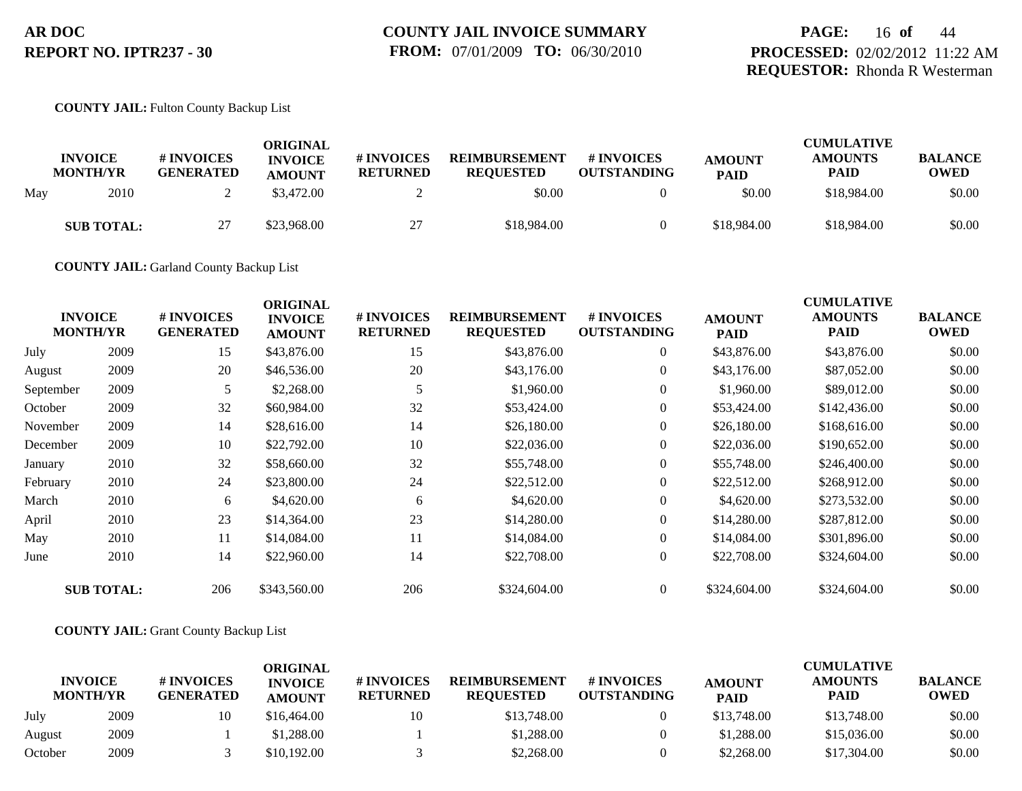#### **COUNTY JAIL:** Fulton County Backup List

|     | <b>INVOICE</b><br><b>MONTH/YR</b> | # INVOICES<br><b>GENERATED</b> | ORIGINAL<br><b>INVOICE</b><br><b>AMOUNT</b> | # INVOICES<br><b>RETURNED</b> | <b>REIMBURSEMENT</b><br><b>REOUESTED</b> | # INVOICES<br><b>OUTSTANDING</b> | <b>AMOUNT</b><br><b>PAID</b> | <b>CUMULATIVE</b><br><b>AMOUNTS</b><br><b>PAID</b> | <b>BALANCE</b><br><b>OWED</b> |
|-----|-----------------------------------|--------------------------------|---------------------------------------------|-------------------------------|------------------------------------------|----------------------------------|------------------------------|----------------------------------------------------|-------------------------------|
| May | 2010                              |                                | \$3,472.00                                  |                               | \$0.00                                   |                                  | \$0.00                       | \$18,984.00                                        | \$0.00                        |
|     | <b>SUB TOTAL:</b>                 | 27                             | \$23,968.00                                 | 27<br>ا ت                     | \$18,984.00                              |                                  | \$18,984.00                  | \$18,984.00                                        | \$0.00                        |

**COUNTY JAIL:** Garland County Backup List

|           | <b>INVOICE</b><br><b>MONTH/YR</b> | # INVOICES<br><b>GENERATED</b> | <b>ORIGINAL</b><br><b>INVOICE</b><br><b>AMOUNT</b> | # INVOICES<br><b>RETURNED</b> | <b>REIMBURSEMENT</b><br><b>REQUESTED</b> | <b># INVOICES</b><br><b>OUTSTANDING</b> | <b>AMOUNT</b><br><b>PAID</b> | <b>CUMULATIVE</b><br><b>AMOUNTS</b><br>PAID | <b>BALANCE</b><br><b>OWED</b> |
|-----------|-----------------------------------|--------------------------------|----------------------------------------------------|-------------------------------|------------------------------------------|-----------------------------------------|------------------------------|---------------------------------------------|-------------------------------|
| July      | 2009                              | 15                             | \$43,876.00                                        | 15                            | \$43,876.00                              | $\overline{0}$                          | \$43,876.00                  | \$43,876.00                                 | \$0.00                        |
| August    | 2009                              | 20                             | \$46,536.00                                        | 20                            | \$43,176.00                              | $\overline{0}$                          | \$43,176.00                  | \$87,052.00                                 | \$0.00                        |
| September | 2009                              | 5                              | \$2,268.00                                         |                               | \$1,960.00                               | $\overline{0}$                          | \$1,960.00                   | \$89,012.00                                 | \$0.00                        |
| October   | 2009                              | 32                             | \$60,984.00                                        | 32                            | \$53,424.00                              | $\overline{0}$                          | \$53,424.00                  | \$142,436.00                                | \$0.00                        |
| November  | 2009                              | 14                             | \$28,616.00                                        | 14                            | \$26,180.00                              | $\overline{0}$                          | \$26,180.00                  | \$168,616.00                                | \$0.00                        |
| December  | 2009                              | 10                             | \$22,792.00                                        | 10                            | \$22,036.00                              | $\overline{0}$                          | \$22,036.00                  | \$190,652.00                                | \$0.00                        |
| January   | 2010                              | 32                             | \$58,660.00                                        | 32                            | \$55,748.00                              | $\overline{0}$                          | \$55,748.00                  | \$246,400.00                                | \$0.00                        |
| February  | 2010                              | 24                             | \$23,800.00                                        | 24                            | \$22,512.00                              | $\overline{0}$                          | \$22,512.00                  | \$268,912.00                                | \$0.00                        |
| March     | 2010                              | 6                              | \$4,620.00                                         | 6                             | \$4,620.00                               | $\overline{0}$                          | \$4,620.00                   | \$273,532.00                                | \$0.00                        |
| April     | 2010                              | 23                             | \$14,364.00                                        | 23                            | \$14,280.00                              | $\overline{0}$                          | \$14,280.00                  | \$287,812.00                                | \$0.00                        |
| May       | 2010                              | 11                             | \$14,084.00                                        | 11                            | \$14,084.00                              | $\overline{0}$                          | \$14,084.00                  | \$301,896.00                                | \$0.00                        |
| June      | 2010                              | 14                             | \$22,960.00                                        | 14                            | \$22,708.00                              | $\overline{0}$                          | \$22,708.00                  | \$324,604.00                                | \$0.00                        |
|           | <b>SUB TOTAL:</b>                 | 206                            | \$343,560.00                                       | 206                           | \$324,604.00                             | $\overline{0}$                          | \$324,604.00                 | \$324,604.00                                | \$0.00                        |

#### **COUNTY JAIL:** Grant County Backup List

|         |                                   |                                | ORIGINAL                        |                               |                                          |                                  | <b>CUMULATIVE</b>            |                        |                               |  |  |
|---------|-----------------------------------|--------------------------------|---------------------------------|-------------------------------|------------------------------------------|----------------------------------|------------------------------|------------------------|-------------------------------|--|--|
|         | <b>INVOICE</b><br><b>MONTH/YR</b> | # INVOICES<br><b>GENERATED</b> | <b>INVOICE</b><br><b>AMOUNT</b> | # INVOICES<br><b>RETURNED</b> | <b>REIMBURSEMENT</b><br><b>REQUESTED</b> | # INVOICES<br><b>OUTSTANDING</b> | <b>AMOUNT</b><br><b>PAID</b> | <b>AMOUNTS</b><br>PAID | <b>BALANCE</b><br><b>OWED</b> |  |  |
| July    | 2009                              | 10                             | \$16.464.00                     | 10                            | \$13,748.00                              |                                  | \$13,748.00                  | \$13,748.00            | \$0.00                        |  |  |
| August  | 2009                              |                                | \$1,288.00                      |                               | \$1,288.00                               |                                  | \$1,288.00                   | \$15,036.00            | \$0.00                        |  |  |
| October | 2009                              |                                | \$10,192.00                     |                               | \$2,268.00                               |                                  | \$2,268.00                   | \$17,304.00            | \$0.00                        |  |  |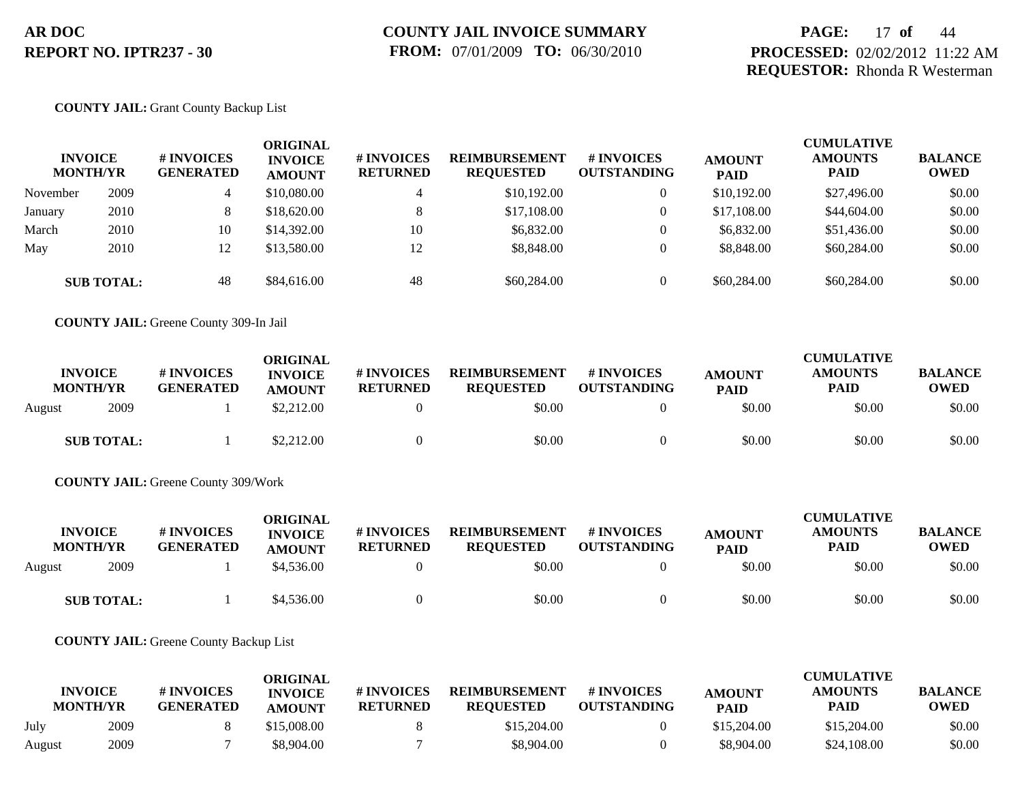## **PAGE:** 17 **of** 44 **PROCESSED:** 02/02/2012 11:22 AM **REQUESTOR:** Rhonda R Westerman

#### **COUNTY JAIL:** Grant County Backup List

| <b>INVOICE</b><br><b>MONTH/YR</b> |                   | # INVOICES<br><b>GENERATED</b> | ORIGINAL<br><b>INVOICE</b><br><b>AMOUNT</b> | # INVOICES<br><b>RETURNED</b> | <b>REIMBURSEMENT</b><br><b>REQUESTED</b> | # INVOICES<br><b>OUTSTANDING</b> | <b>AMOUNT</b><br><b>PAID</b> | <b>CUMULATIVE</b><br><b>AMOUNTS</b><br><b>PAID</b> | <b>BALANCE</b><br><b>OWED</b> |
|-----------------------------------|-------------------|--------------------------------|---------------------------------------------|-------------------------------|------------------------------------------|----------------------------------|------------------------------|----------------------------------------------------|-------------------------------|
| November                          | 2009              | 4                              | \$10,080.00                                 |                               | \$10,192,00                              | 0                                | \$10,192.00                  | \$27,496.00                                        | \$0.00                        |
| January                           | 2010              | 8.                             | \$18,620.00                                 | 8                             | \$17,108.00                              | 0                                | \$17,108.00                  | \$44,604.00                                        | \$0.00                        |
| March                             | 2010              | 10                             | \$14,392.00                                 | 10                            | \$6,832.00                               |                                  | \$6,832.00                   | \$51,436.00                                        | \$0.00                        |
| May                               | 2010              | 12                             | \$13,580.00                                 | 12                            | \$8,848.00                               |                                  | \$8,848.00                   | \$60,284.00                                        | \$0.00                        |
|                                   | <b>SUB TOTAL:</b> | 48                             | \$84,616.00                                 | 48                            | \$60,284.00                              |                                  | \$60,284.00                  | \$60,284.00                                        | \$0.00                        |

**COUNTY JAIL:** Greene County 309-In Jail

| <b>INVOICE</b><br><b>MONTH/YR</b> |                   | # INVOICES<br><b>GENERATED</b> | ORIGINAL<br><b>INVOICE</b><br><b>AMOUNT</b> | <b>#INVOICES</b><br><b>RETURNED</b> | <b>REIMBURSEMENT</b><br><b>REQUESTED</b> | # INVOICES<br><b>OUTSTANDING</b> | <b>AMOUNT</b><br><b>PAID</b> | <b>CUMULATIVE</b><br><b>AMOUNTS</b><br><b>PAID</b> | <b>BALANCE</b><br><b>OWED</b> |
|-----------------------------------|-------------------|--------------------------------|---------------------------------------------|-------------------------------------|------------------------------------------|----------------------------------|------------------------------|----------------------------------------------------|-------------------------------|
| August                            | 2009              |                                | \$2,212.00                                  |                                     | \$0.00                                   |                                  | \$0.00                       | \$0.00                                             | \$0.00                        |
|                                   | <b>SUB TOTAL:</b> |                                | \$2,212.00                                  |                                     | \$0.00                                   |                                  | \$0.00                       | \$0.00                                             | \$0.00                        |

**COUNTY JAIL:** Greene County 309/Work

| <b>INVOICE</b><br><b>MONTH/YR</b> | # INVOICES<br><b>GENERATED</b> | ORIGINAL<br><b>INVOICE</b><br><b>AMOUNT</b> | # INVOICES<br><b>RETURNED</b> | <b>REIMBURSEMENT</b><br><b>REOUESTED</b> | # INVOICES<br><b>OUTSTANDING</b> | <b>AMOUNT</b><br><b>PAID</b> | <b>CUMULATIVE</b><br><b>AMOUNTS</b><br>PAID | <b>BALANCE</b><br><b>OWED</b> |
|-----------------------------------|--------------------------------|---------------------------------------------|-------------------------------|------------------------------------------|----------------------------------|------------------------------|---------------------------------------------|-------------------------------|
| 2009<br>August                    |                                | \$4,536.00                                  |                               | \$0.00                                   |                                  | \$0.00                       | \$0.00                                      | \$0.00                        |
| <b>SUB TOTAL:</b>                 |                                | \$4,536.00                                  |                               | \$0.00                                   |                                  | \$0.00                       | \$0.00                                      | \$0.00                        |

**COUNTY JAIL:** Greene County Backup List

| <b>INVOICE</b> |                 | # INVOICES       | ORIGINAL<br><b>INVOICE</b> | # INVOICES<br><b>REIMBURSEMENT</b> | # INVOICES       | <b>AMOUNT</b>      | <b>CUMULATIVE</b><br><b>AMOUNTS</b> | <b>BALANCE</b> |             |
|----------------|-----------------|------------------|----------------------------|------------------------------------|------------------|--------------------|-------------------------------------|----------------|-------------|
|                | <b>MONTH/YR</b> | <b>GENERATED</b> | <b>AMOUNT</b>              | <b>RETURNED</b>                    | <b>REQUESTED</b> | <b>OUTSTANDING</b> | <b>PAID</b>                         | <b>PAID</b>    | <b>OWED</b> |
| July           | 2009            |                  | \$15,008.00                |                                    | \$15,204.00      |                    | \$15,204.00                         | \$15,204.00    | \$0.00      |
| August         | 2009            |                  | \$8,904.00                 |                                    | \$8,904.00       |                    | \$8,904.00                          | \$24,108.00    | \$0.00      |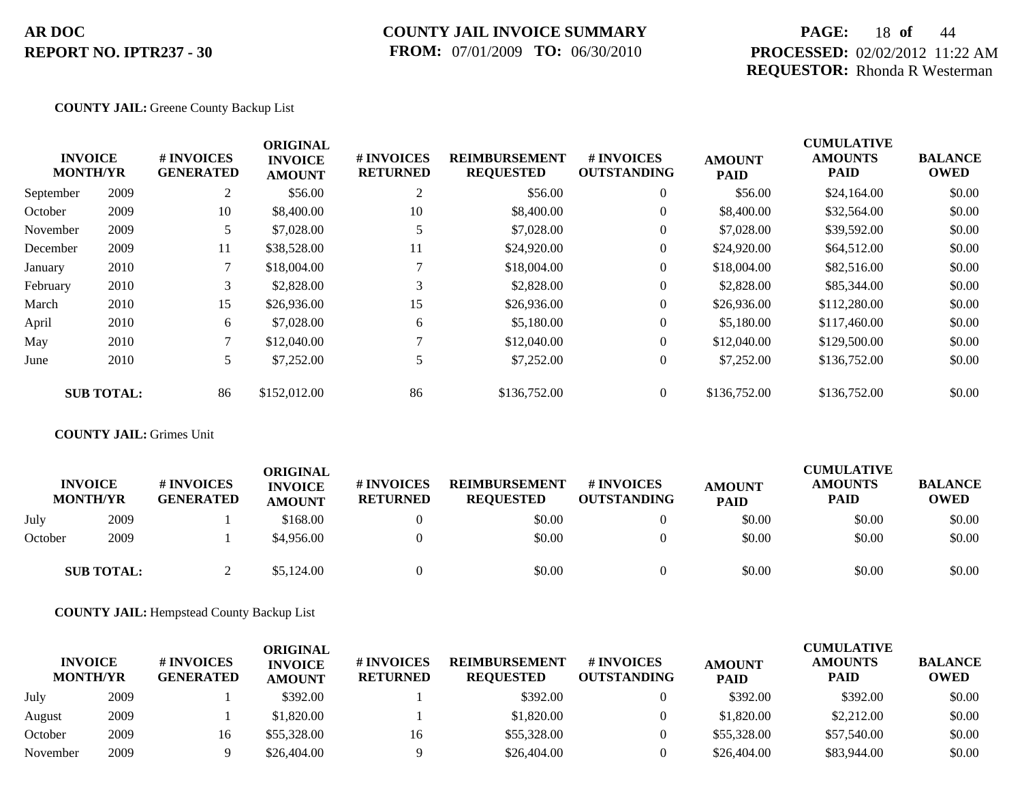### **COUNTY JAIL INVOICE SUMMARY FROM:** 07/01/2009 **TO:** 06/30/2010

## **PAGE:** 18 **of** 44 **PROCESSED:** 02/02/2012 11:22 AM **REQUESTOR:** Rhonda R Westerman

### **COUNTY JAIL:** Greene County Backup List

|           | <b>INVOICE</b><br><b>MONTH/YR</b> | # INVOICES<br><b>GENERATED</b> | <b>ORIGINAL</b><br><b>INVOICE</b><br><b>AMOUNT</b> | # INVOICES<br><b>RETURNED</b> | <b>REIMBURSEMENT</b><br><b>REQUESTED</b> | <b>#INVOICES</b><br><b>OUTSTANDING</b> | <b>AMOUNT</b><br><b>PAID</b> | <b>CUMULATIVE</b><br><b>AMOUNTS</b><br><b>PAID</b> | <b>BALANCE</b><br><b>OWED</b> |
|-----------|-----------------------------------|--------------------------------|----------------------------------------------------|-------------------------------|------------------------------------------|----------------------------------------|------------------------------|----------------------------------------------------|-------------------------------|
| September | 2009                              | 2                              | \$56.00                                            | 2                             | \$56.00                                  | $\overline{0}$                         | \$56.00                      | \$24,164.00                                        | \$0.00                        |
| October   | 2009                              | 10                             | \$8,400.00                                         | 10                            | \$8,400.00                               | $\overline{0}$                         | \$8,400.00                   | \$32,564.00                                        | \$0.00                        |
| November  | 2009                              | 5                              | \$7,028.00                                         |                               | \$7,028.00                               | $\overline{0}$                         | \$7,028.00                   | \$39,592.00                                        | \$0.00                        |
| December  | 2009                              | 11                             | \$38,528.00                                        | 11                            | \$24,920.00                              | $\overline{0}$                         | \$24,920.00                  | \$64,512.00                                        | \$0.00                        |
| January   | 2010                              | 7                              | \$18,004.00                                        |                               | \$18,004.00                              | $\overline{0}$                         | \$18,004.00                  | \$82,516.00                                        | \$0.00                        |
| February  | 2010                              | 3                              | \$2,828.00                                         | 3                             | \$2,828.00                               | $\overline{0}$                         | \$2,828.00                   | \$85,344.00                                        | \$0.00                        |
| March     | 2010                              | 15                             | \$26,936.00                                        | 15                            | \$26,936.00                              | $\overline{0}$                         | \$26,936.00                  | \$112,280.00                                       | \$0.00                        |
| April     | 2010                              | 6                              | \$7,028.00                                         | 6                             | \$5,180.00                               | $\overline{0}$                         | \$5,180.00                   | \$117,460.00                                       | \$0.00                        |
| May       | 2010                              | 7                              | \$12,040.00                                        |                               | \$12,040.00                              | $\overline{0}$                         | \$12,040.00                  | \$129,500.00                                       | \$0.00                        |
| June      | 2010                              | 5                              | \$7,252.00                                         |                               | \$7,252.00                               | $\overline{0}$                         | \$7,252.00                   | \$136,752.00                                       | \$0.00                        |
|           | <b>SUB TOTAL:</b>                 | 86                             | \$152,012.00                                       | 86                            | \$136,752.00                             | $\Omega$                               | \$136,752.00                 | \$136,752.00                                       | \$0.00                        |

**COUNTY JAIL:** Grimes Unit

|         | <b>INVOICE</b><br><b>MONTH/YR</b> | # INVOICES<br><b>GENERATED</b> | ORIGINAL<br><b>INVOICE</b><br><b>AMOUNT</b> | <b># INVOICES</b><br><b>RETURNED</b> | <b>REIMBURSEMENT</b><br><b>REQUESTED</b> | # INVOICES<br><b>OUTSTANDING</b> | <b>AMOUNT</b><br><b>PAID</b> | <b>CUMULATIVE</b><br><b>AMOUNTS</b><br><b>PAID</b> | <b>BALANCE</b><br><b>OWED</b> |
|---------|-----------------------------------|--------------------------------|---------------------------------------------|--------------------------------------|------------------------------------------|----------------------------------|------------------------------|----------------------------------------------------|-------------------------------|
| July    | 2009                              |                                | \$168.00                                    |                                      | \$0.00                                   |                                  | \$0.00                       | \$0.00                                             | \$0.00                        |
| October | 2009                              |                                | \$4,956.00                                  |                                      | \$0.00                                   |                                  | \$0.00                       | \$0.00                                             | \$0.00                        |
|         | <b>SUB TOTAL:</b>                 |                                | \$5,124.00                                  |                                      | \$0.00                                   |                                  | \$0.00                       | \$0.00                                             | \$0.00                        |

**COUNTY JAIL:** Hempstead County Backup List

| <b>INVOICE</b><br><b>MONTH/YR</b> |      | # INVOICES<br><b>GENERATED</b> | ORIGINAL<br><b>INVOICE</b><br><b>AMOUNT</b> | <b># INVOICES</b><br><b>RETURNED</b> | <b>REIMBURSEMENT</b><br><b>REQUESTED</b> | # INVOICES<br><b>OUTSTANDING</b> | <b>AMOUNT</b><br><b>PAID</b> | <b>CUMULATIVE</b><br><b>AMOUNTS</b><br><b>PAID</b> | <b>BALANCE</b><br><b>OWED</b> |
|-----------------------------------|------|--------------------------------|---------------------------------------------|--------------------------------------|------------------------------------------|----------------------------------|------------------------------|----------------------------------------------------|-------------------------------|
| July                              | 2009 |                                | \$392.00                                    |                                      | \$392.00                                 |                                  | \$392.00                     | \$392.00                                           | \$0.00                        |
| August                            | 2009 |                                | \$1,820.00                                  |                                      | \$1,820.00                               |                                  | \$1,820.00                   | \$2,212.00                                         | \$0.00                        |
| October                           | 2009 | 16                             | \$55,328.00                                 | 16                                   | \$55,328.00                              |                                  | \$55,328.00                  | \$57,540.00                                        | \$0.00                        |
| November                          | 2009 |                                | \$26,404.00                                 |                                      | \$26,404.00                              |                                  | \$26,404.00                  | \$83,944.00                                        | \$0.00                        |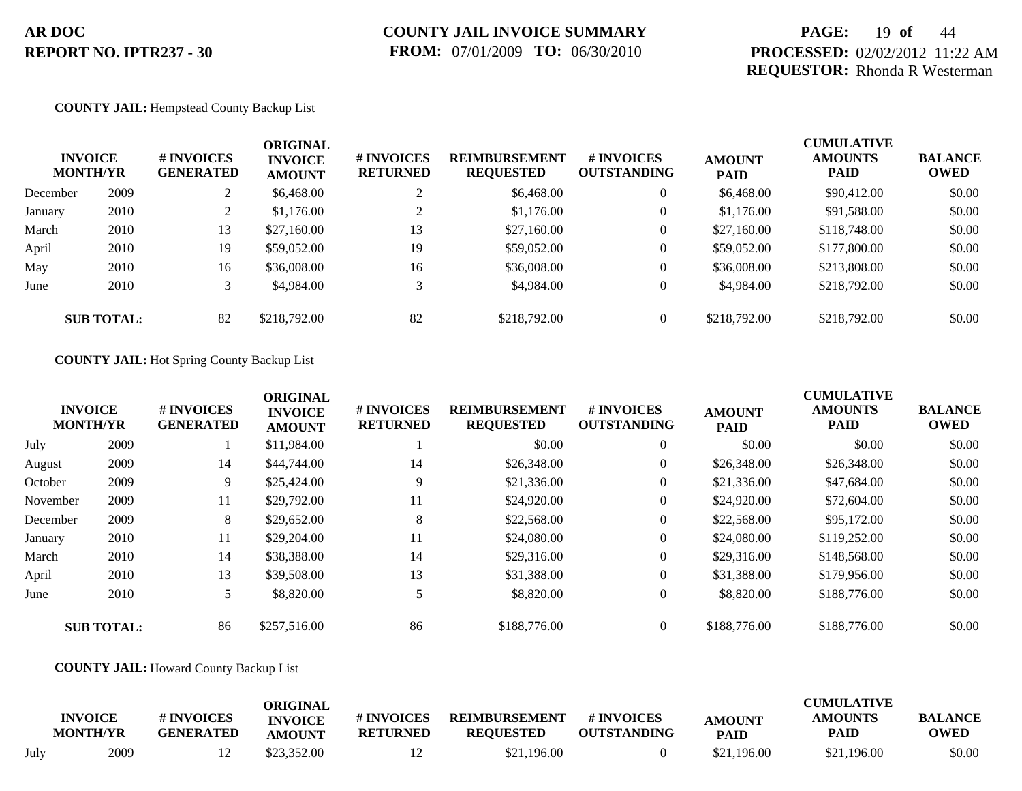## **PAGE:** 19 **of** 44 **PROCESSED:** 02/02/2012 11:22 AM **REQUESTOR:** Rhonda R Westerman

#### **COUNTY JAIL:** Hempstead County Backup List

|          | <b>INVOICE</b><br><b>MONTH/YR</b> | # INVOICES<br><b>GENERATED</b> | <b>ORIGINAL</b><br><b>INVOICE</b><br><b>AMOUNT</b> | # INVOICES<br><b>RETURNED</b> | <b>REIMBURSEMENT</b><br><b>REQUESTED</b> | <b>#INVOICES</b><br><b>OUTSTANDING</b> | <b>AMOUNT</b><br><b>PAID</b> | <b>CUMULATIVE</b><br><b>AMOUNTS</b><br><b>PAID</b> | <b>BALANCE</b><br><b>OWED</b> |
|----------|-----------------------------------|--------------------------------|----------------------------------------------------|-------------------------------|------------------------------------------|----------------------------------------|------------------------------|----------------------------------------------------|-------------------------------|
| December | 2009                              |                                | \$6,468.00                                         |                               | \$6,468.00                               | $\overline{0}$                         | \$6,468.00                   | \$90,412.00                                        | \$0.00                        |
| January  | 2010                              |                                | \$1,176.00                                         |                               | \$1,176.00                               | $\overline{0}$                         | \$1,176.00                   | \$91,588.00                                        | \$0.00                        |
| March    | 2010                              | 13                             | \$27,160.00                                        | 13                            | \$27,160.00                              | $\overline{0}$                         | \$27,160.00                  | \$118,748.00                                       | \$0.00                        |
| April    | 2010                              | 19                             | \$59,052.00                                        | 19                            | \$59,052.00                              | $\boldsymbol{0}$                       | \$59,052.00                  | \$177,800.00                                       | \$0.00                        |
| May      | 2010                              | 16                             | \$36,008.00                                        | 16                            | \$36,008.00                              | $\overline{0}$                         | \$36,008.00                  | \$213,808.00                                       | \$0.00                        |
| June     | 2010                              |                                | \$4,984.00                                         | 3                             | \$4,984.00                               | $\overline{0}$                         | \$4,984.00                   | \$218,792.00                                       | \$0.00                        |
|          | <b>SUB TOTAL:</b>                 | 82                             | \$218,792.00                                       | 82                            | \$218,792.00                             | $\overline{0}$                         | \$218,792.00                 | \$218,792.00                                       | \$0.00                        |

#### **COUNTY JAIL:** Hot Spring County Backup List

|          | <b>INVOICE</b><br><b>MONTH/YR</b> | # INVOICES<br><b>GENERATED</b> | <b>ORIGINAL</b><br><b>INVOICE</b><br><b>AMOUNT</b> | # INVOICES<br><b>RETURNED</b> | <b>REIMBURSEMENT</b><br><b>REQUESTED</b> | # INVOICES<br><b>OUTSTANDING</b> | <b>AMOUNT</b><br><b>PAID</b> | <b>CUMULATIVE</b><br><b>AMOUNTS</b><br><b>PAID</b> | <b>BALANCE</b><br><b>OWED</b> |
|----------|-----------------------------------|--------------------------------|----------------------------------------------------|-------------------------------|------------------------------------------|----------------------------------|------------------------------|----------------------------------------------------|-------------------------------|
| July     | 2009                              |                                | \$11,984.00                                        |                               | \$0.00                                   | $\overline{0}$                   | \$0.00                       | \$0.00                                             | \$0.00                        |
| August   | 2009                              | 14                             | \$44,744.00                                        | 14                            | \$26,348.00                              | $\overline{0}$                   | \$26,348.00                  | \$26,348.00                                        | \$0.00                        |
| October  | 2009                              | 9                              | \$25,424.00                                        | 9                             | \$21,336.00                              | $\overline{0}$                   | \$21,336.00                  | \$47,684.00                                        | \$0.00                        |
| November | 2009                              | 11                             | \$29,792.00                                        | 11                            | \$24,920.00                              | $\overline{0}$                   | \$24,920.00                  | \$72,604.00                                        | \$0.00                        |
| December | 2009                              | 8                              | \$29,652.00                                        | 8                             | \$22,568.00                              | $\overline{0}$                   | \$22,568.00                  | \$95,172.00                                        | \$0.00                        |
| January  | 2010                              | 11                             | \$29,204.00                                        | 11                            | \$24,080.00                              | $\overline{0}$                   | \$24,080.00                  | \$119,252.00                                       | \$0.00                        |
| March    | 2010                              | 14                             | \$38,388.00                                        | 14                            | \$29,316.00                              | $\overline{0}$                   | \$29,316.00                  | \$148,568.00                                       | \$0.00                        |
| April    | 2010                              | 13                             | \$39,508.00                                        | 13                            | \$31,388.00                              | $\overline{0}$                   | \$31,388.00                  | \$179,956.00                                       | \$0.00                        |
| June     | 2010                              |                                | \$8,820.00                                         | 5                             | \$8,820.00                               | $\overline{0}$                   | \$8,820.00                   | \$188,776.00                                       | \$0.00                        |
|          | <b>SUB TOTAL:</b>                 | 86                             | \$257,516.00                                       | 86                            | \$188,776.00                             | $\overline{0}$                   | \$188,776.00                 | \$188,776.00                                       | \$0.00                        |

#### **COUNTY JAIL:** Howard County Backup List

|      | <b>INVOICE</b><br><b>MONTH/YR</b> | # INVOICES<br><b>GENERATED</b> | <b>ORIGINAL</b><br><b>INVOICE</b><br>AMOUNT | # INVOICES<br><b>RETURNED</b> | <b>REIMBURSEMENT</b><br><b>REQUESTED</b> | # INVOICES<br><b>OUTSTANDING</b> | <b>AMOUNT</b><br><b>PAID</b> | <b>CUMULATIVE</b><br><b>AMOUNTS</b><br>PAID | <b>BALANCE</b><br><b>OWED</b> |
|------|-----------------------------------|--------------------------------|---------------------------------------------|-------------------------------|------------------------------------------|----------------------------------|------------------------------|---------------------------------------------|-------------------------------|
| July | 2009                              |                                | \$23,352.00                                 | 12                            | \$21,196.00                              |                                  | \$21,196.00                  | \$21,196.00                                 | \$0.00                        |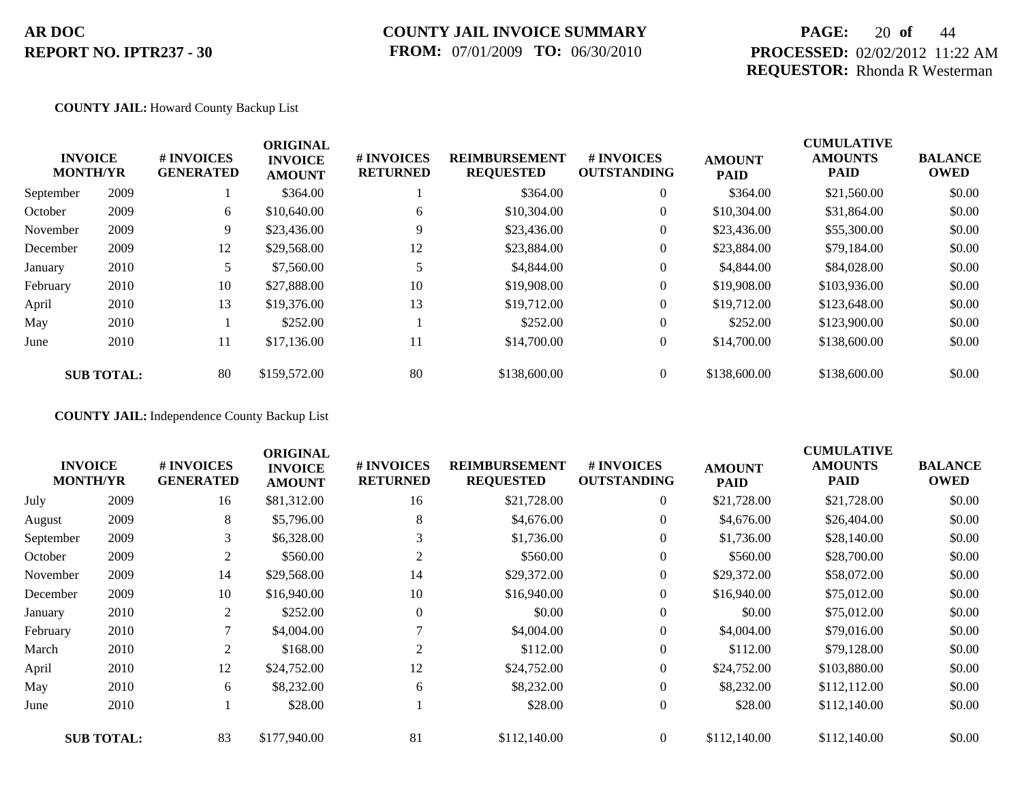### **COUNTY JAIL INVOICE SUMMARY FROM:** 07/01/2009 **TO:** 06/30/2010

## **PAGE:** 20 **of** 44 **PROCESSED:** 02/02/2012 11:22 AM **REQUESTOR:** Rhonda R Westerman

#### **COUNTY JAIL:** Howard County Backup List

|           | <b>INVOICE</b><br><b>MONTH/YR</b> | # INVOICES<br><b>GENERATED</b> | <b>ORIGINAL</b><br><b>INVOICE</b><br><b>AMOUNT</b> | # INVOICES<br><b>RETURNED</b> | <b>REIMBURSEMENT</b><br><b>REQUESTED</b> | <b>#INVOICES</b><br><b>OUTSTANDING</b> | <b>AMOUNT</b><br><b>PAID</b> | <b>CUMULATIVE</b><br><b>AMOUNTS</b><br><b>PAID</b> | <b>BALANCE</b><br><b>OWED</b> |
|-----------|-----------------------------------|--------------------------------|----------------------------------------------------|-------------------------------|------------------------------------------|----------------------------------------|------------------------------|----------------------------------------------------|-------------------------------|
| September | 2009                              |                                | \$364.00                                           |                               | \$364.00                                 | $\overline{0}$                         | \$364.00                     | \$21,560.00                                        | \$0.00                        |
| October   | 2009                              | 6                              | \$10,640.00                                        | 6                             | \$10,304.00                              | $\overline{0}$                         | \$10,304.00                  | \$31,864.00                                        | \$0.00                        |
| November  | 2009                              | 9                              | \$23,436.00                                        |                               | \$23,436.00                              | $\overline{0}$                         | \$23,436.00                  | \$55,300.00                                        | \$0.00                        |
| December  | 2009                              | 12                             | \$29,568.00                                        | 12                            | \$23,884.00                              | 0                                      | \$23,884.00                  | \$79,184.00                                        | \$0.00                        |
| January   | 2010                              |                                | \$7,560.00                                         |                               | \$4,844.00                               | $\overline{0}$                         | \$4,844.00                   | \$84,028.00                                        | \$0.00                        |
| February  | 2010                              | 10                             | \$27,888.00                                        | 10                            | \$19,908.00                              | $\overline{0}$                         | \$19,908.00                  | \$103,936.00                                       | \$0.00                        |
| April     | 2010                              | 13                             | \$19,376.00                                        | 13                            | \$19,712.00                              | $\overline{0}$                         | \$19,712.00                  | \$123,648.00                                       | \$0.00                        |
| May       | 2010                              |                                | \$252.00                                           |                               | \$252.00                                 | $\overline{0}$                         | \$252.00                     | \$123,900.00                                       | \$0.00                        |
| June      | 2010                              | 11                             | \$17,136.00                                        | 11                            | \$14,700.00                              | $\overline{0}$                         | \$14,700.00                  | \$138,600.00                                       | \$0.00                        |
|           | <b>SUB TOTAL:</b>                 | 80                             | \$159,572.00                                       | 80                            | \$138,600.00                             | $\overline{0}$                         | \$138,600.00                 | \$138,600.00                                       | \$0.00                        |

**COUNTY JAIL:** Independence County Backup List

|           | <b>INVOICE</b><br><b>MONTH/YR</b> | # INVOICES<br><b>GENERATED</b> | <b>ORIGINAL</b><br><b>INVOICE</b><br><b>AMOUNT</b> | # INVOICES<br><b>RETURNED</b> | <b>REIMBURSEMENT</b><br><b>REQUESTED</b> | # INVOICES<br><b>OUTSTANDING</b> | <b>AMOUNT</b><br><b>PAID</b> | <b>CUMULATIVE</b><br><b>AMOUNTS</b><br><b>PAID</b> | <b>BALANCE</b><br><b>OWED</b> |
|-----------|-----------------------------------|--------------------------------|----------------------------------------------------|-------------------------------|------------------------------------------|----------------------------------|------------------------------|----------------------------------------------------|-------------------------------|
| July      | 2009                              | 16                             | \$81,312.00                                        | 16                            | \$21,728.00                              | $\overline{0}$                   | \$21,728.00                  | \$21,728.00                                        | \$0.00                        |
| August    | 2009                              | 8                              | \$5,796.00                                         | 8                             | \$4,676.00                               | $\overline{0}$                   | \$4,676.00                   | \$26,404.00                                        | \$0.00                        |
| September | 2009                              | 3                              | \$6,328.00                                         | 3                             | \$1,736.00                               | $\overline{0}$                   | \$1,736.00                   | \$28,140.00                                        | \$0.00                        |
| October   | 2009                              | 2                              | \$560.00                                           |                               | \$560.00                                 | $\overline{0}$                   | \$560.00                     | \$28,700.00                                        | \$0.00                        |
| November  | 2009                              | 14                             | \$29,568.00                                        | 14                            | \$29,372.00                              | $\overline{0}$                   | \$29,372.00                  | \$58,072.00                                        | \$0.00                        |
| December  | 2009                              | 10                             | \$16,940.00                                        | 10                            | \$16,940.00                              | $\overline{0}$                   | \$16,940.00                  | \$75,012.00                                        | \$0.00                        |
| January   | 2010                              | 2                              | \$252.00                                           | $\theta$                      | \$0.00                                   | $\boldsymbol{0}$                 | \$0.00                       | \$75,012.00                                        | \$0.00                        |
| February  | 2010                              | 7                              | \$4,004.00                                         |                               | \$4,004.00                               | $\overline{0}$                   | \$4,004.00                   | \$79,016.00                                        | \$0.00                        |
| March     | 2010                              | 2                              | \$168.00                                           | 2                             | \$112.00                                 | $\overline{0}$                   | \$112.00                     | \$79,128.00                                        | \$0.00                        |
| April     | 2010                              | 12                             | \$24,752.00                                        | 12                            | \$24,752.00                              | $\overline{0}$                   | \$24,752.00                  | \$103,880.00                                       | \$0.00                        |
| May       | 2010                              | 6                              | \$8,232.00                                         | 6                             | \$8,232.00                               | $\overline{0}$                   | \$8,232.00                   | \$112,112.00                                       | \$0.00                        |
| June      | 2010                              |                                | \$28.00                                            |                               | \$28.00                                  | $\boldsymbol{0}$                 | \$28.00                      | \$112,140.00                                       | \$0.00                        |
|           | <b>SUB TOTAL:</b>                 | 83                             | \$177,940.00                                       | 81                            | \$112,140.00                             | $\overline{0}$                   | \$112,140.00                 | \$112,140.00                                       | \$0.00                        |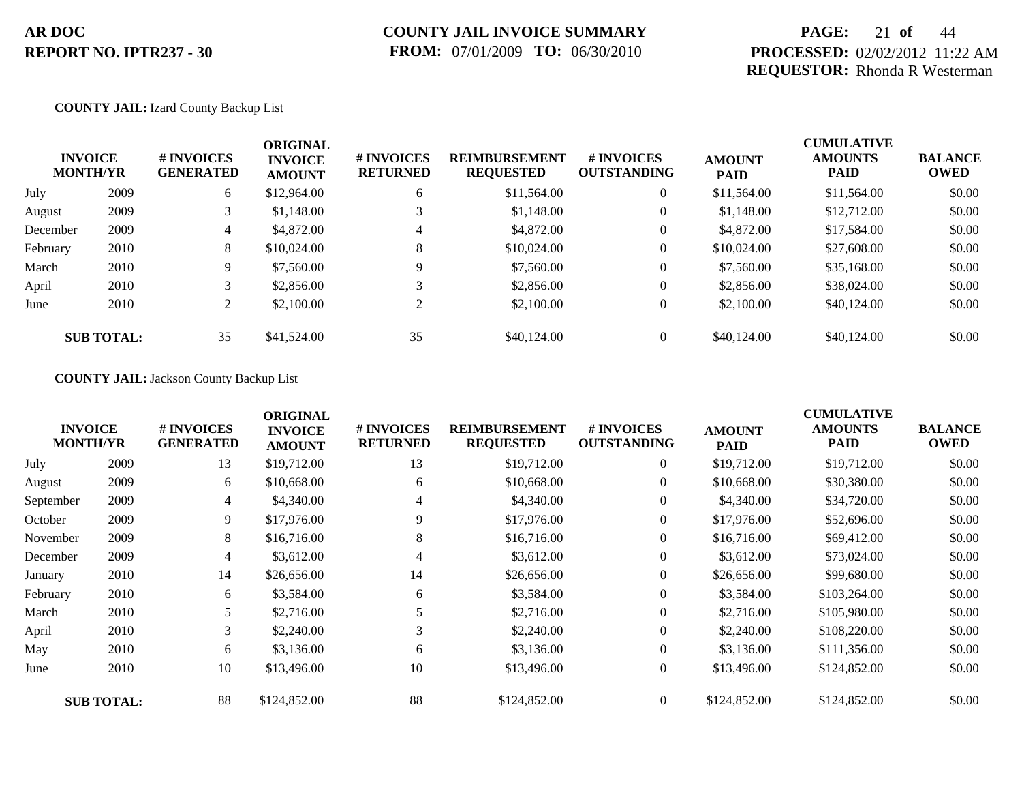## **PAGE:** 21 **of** 44 **PROCESSED:** 02/02/2012 11:22 AM **REQUESTOR:** Rhonda R Westerman

#### **COUNTY JAIL:** Izard County Backup List

|          | <b>INVOICE</b><br><b>MONTH/YR</b> | # INVOICES<br><b>GENERATED</b> | <b>ORIGINAL</b><br><b>INVOICE</b><br><b>AMOUNT</b> | # INVOICES<br><b>RETURNED</b> | <b>REIMBURSEMENT</b><br><b>REQUESTED</b> | <b>#INVOICES</b><br><b>OUTSTANDING</b> | <b>AMOUNT</b><br><b>PAID</b> | <b>CUMULATIVE</b><br><b>AMOUNTS</b><br><b>PAID</b> | <b>BALANCE</b><br><b>OWED</b> |
|----------|-----------------------------------|--------------------------------|----------------------------------------------------|-------------------------------|------------------------------------------|----------------------------------------|------------------------------|----------------------------------------------------|-------------------------------|
| July     | 2009                              | 6                              | \$12,964.00                                        | 6                             | \$11,564.00                              | $\overline{0}$                         | \$11,564.00                  | \$11,564.00                                        | \$0.00                        |
| August   | 2009                              | 3                              | \$1,148.00                                         |                               | \$1,148.00                               | $\overline{0}$                         | \$1,148.00                   | \$12,712.00                                        | \$0.00                        |
| December | 2009                              | 4                              | \$4,872.00                                         | 4                             | \$4,872.00                               | $\overline{0}$                         | \$4,872.00                   | \$17,584.00                                        | \$0.00                        |
| February | 2010                              | 8                              | \$10,024.00                                        | 8                             | \$10,024.00                              | $\overline{0}$                         | \$10,024.00                  | \$27,608.00                                        | \$0.00                        |
| March    | 2010                              | 9                              | \$7,560.00                                         | 9                             | \$7,560.00                               | $\overline{0}$                         | \$7,560.00                   | \$35,168.00                                        | \$0.00                        |
| April    | 2010                              | 3                              | \$2,856.00                                         |                               | \$2,856.00                               | $\overline{0}$                         | \$2,856.00                   | \$38,024.00                                        | \$0.00                        |
| June     | 2010                              | $\overline{2}$                 | \$2,100.00                                         | 2                             | \$2,100.00                               | $\overline{0}$                         | \$2,100.00                   | \$40,124,00                                        | \$0.00                        |
|          | <b>SUB TOTAL:</b>                 | 35                             | \$41,524.00                                        | 35                            | \$40,124.00                              | $\overline{0}$                         | \$40,124,00                  | \$40,124,00                                        | \$0.00                        |

#### **COUNTY JAIL:** Jackson County Backup List

|           | <b>INVOICE</b><br><b>MONTH/YR</b> | # INVOICES<br><b>GENERATED</b> | <b>ORIGINAL</b><br><b>INVOICE</b><br><b>AMOUNT</b> | # INVOICES<br><b>RETURNED</b> | <b>REIMBURSEMENT</b><br><b>REQUESTED</b> | # INVOICES<br><b>OUTSTANDING</b> | <b>AMOUNT</b><br><b>PAID</b> | <b>CUMULATIVE</b><br><b>AMOUNTS</b><br><b>PAID</b> | <b>BALANCE</b><br><b>OWED</b> |
|-----------|-----------------------------------|--------------------------------|----------------------------------------------------|-------------------------------|------------------------------------------|----------------------------------|------------------------------|----------------------------------------------------|-------------------------------|
| July      | 2009                              | 13                             | \$19,712.00                                        | 13                            | \$19,712.00                              | $\overline{0}$                   | \$19,712.00                  | \$19,712.00                                        | \$0.00                        |
| August    | 2009                              | 6                              | \$10,668.00                                        | 6                             | \$10,668.00                              | $\overline{0}$                   | \$10,668.00                  | \$30,380.00                                        | \$0.00                        |
| September | 2009                              | 4                              | \$4,340.00                                         | 4                             | \$4,340.00                               | $\overline{0}$                   | \$4,340.00                   | \$34,720.00                                        | \$0.00                        |
| October   | 2009                              | 9                              | \$17,976.00                                        | 9                             | \$17,976.00                              | $\boldsymbol{0}$                 | \$17,976.00                  | \$52,696.00                                        | \$0.00                        |
| November  | 2009                              | 8                              | \$16,716.00                                        | 8                             | \$16,716.00                              | $\overline{0}$                   | \$16,716.00                  | \$69,412.00                                        | \$0.00                        |
| December  | 2009                              | 4                              | \$3,612.00                                         |                               | \$3,612.00                               | $\overline{0}$                   | \$3,612.00                   | \$73,024.00                                        | \$0.00                        |
| January   | 2010                              | 14                             | \$26,656.00                                        | 14                            | \$26,656.00                              | $\boldsymbol{0}$                 | \$26,656.00                  | \$99,680.00                                        | \$0.00                        |
| February  | 2010                              | 6                              | \$3,584.00                                         | 6                             | \$3,584.00                               | $\overline{0}$                   | \$3,584.00                   | \$103,264.00                                       | \$0.00                        |
| March     | 2010                              | 5                              | \$2,716.00                                         |                               | \$2,716.00                               | $\overline{0}$                   | \$2,716.00                   | \$105,980.00                                       | \$0.00                        |
| April     | 2010                              | 3                              | \$2,240.00                                         | 3                             | \$2,240.00                               | $\boldsymbol{0}$                 | \$2,240.00                   | \$108,220.00                                       | \$0.00                        |
| May       | 2010                              | 6                              | \$3,136.00                                         | 6                             | \$3,136.00                               | $\overline{0}$                   | \$3,136.00                   | \$111,356.00                                       | \$0.00                        |
| June      | 2010                              | 10                             | \$13,496.00                                        | 10                            | \$13,496.00                              | $\boldsymbol{0}$                 | \$13,496.00                  | \$124,852.00                                       | \$0.00                        |
|           | <b>SUB TOTAL:</b>                 | 88                             | \$124,852.00                                       | 88                            | \$124,852.00                             | $\overline{0}$                   | \$124,852.00                 | \$124,852.00                                       | \$0.00                        |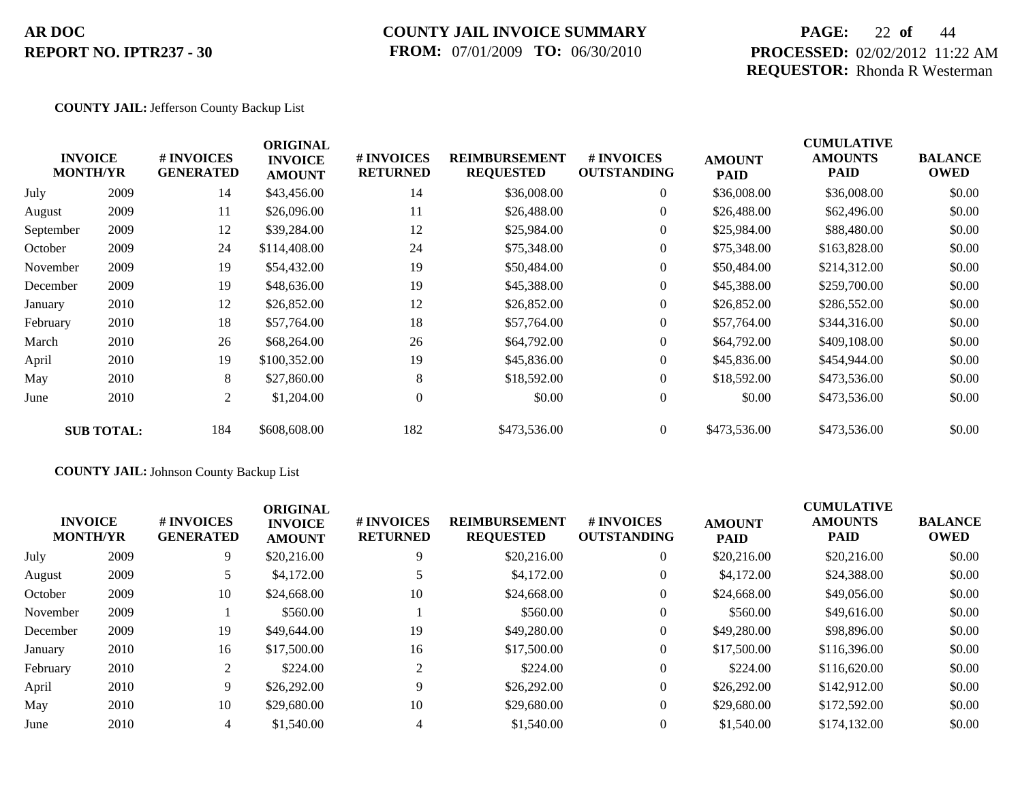## **COUNTY JAIL INVOICE SUMMARY FROM:** 07/01/2009 **TO:** 06/30/2010

## **PAGE:** 22 **of** 44 **PROCESSED:** 02/02/2012 11:22 AM **REQUESTOR:** Rhonda R Westerman

#### **COUNTY JAIL:** Jefferson County Backup List

|           | <b>INVOICE</b><br><b>MONTH/YR</b> | # INVOICES<br><b>GENERATED</b> | <b>ORIGINAL</b><br><b>INVOICE</b><br><b>AMOUNT</b> | # INVOICES<br><b>RETURNED</b> | <b>REIMBURSEMENT</b><br><b>REQUESTED</b> | <b># INVOICES</b><br><b>OUTSTANDING</b> | <b>AMOUNT</b><br><b>PAID</b> | <b>CUMULATIVE</b><br><b>AMOUNTS</b><br><b>PAID</b> | <b>BALANCE</b><br><b>OWED</b> |
|-----------|-----------------------------------|--------------------------------|----------------------------------------------------|-------------------------------|------------------------------------------|-----------------------------------------|------------------------------|----------------------------------------------------|-------------------------------|
| July      | 2009                              | 14                             | \$43,456.00                                        | 14                            | \$36,008.00                              | $\overline{0}$                          | \$36,008.00                  | \$36,008.00                                        | \$0.00                        |
| August    | 2009                              | 11                             | \$26,096.00                                        | 11                            | \$26,488.00                              | $\Omega$                                | \$26,488.00                  | \$62,496.00                                        | \$0.00                        |
| September | 2009                              | 12                             | \$39,284.00                                        | 12                            | \$25,984.00                              | $\overline{0}$                          | \$25,984.00                  | \$88,480.00                                        | \$0.00                        |
| October   | 2009                              | 24                             | \$114,408.00                                       | 24                            | \$75,348.00                              | $\overline{0}$                          | \$75,348.00                  | \$163,828.00                                       | \$0.00                        |
| November  | 2009                              | 19                             | \$54,432.00                                        | 19                            | \$50,484.00                              | $\overline{0}$                          | \$50,484.00                  | \$214,312.00                                       | \$0.00                        |
| December  | 2009                              | 19                             | \$48,636.00                                        | 19                            | \$45,388.00                              | $\theta$                                | \$45,388.00                  | \$259,700.00                                       | \$0.00                        |
| January   | 2010                              | 12                             | \$26,852.00                                        | 12                            | \$26,852.00                              | $\overline{0}$                          | \$26,852.00                  | \$286,552.00                                       | \$0.00                        |
| February  | 2010                              | 18                             | \$57,764.00                                        | 18                            | \$57,764.00                              | $\overline{0}$                          | \$57,764.00                  | \$344,316.00                                       | \$0.00                        |
| March     | 2010                              | 26                             | \$68,264.00                                        | 26                            | \$64,792.00                              | $\overline{0}$                          | \$64,792.00                  | \$409,108.00                                       | \$0.00                        |
| April     | 2010                              | 19                             | \$100,352.00                                       | 19                            | \$45,836.00                              | $\overline{0}$                          | \$45,836.00                  | \$454,944.00                                       | \$0.00                        |
| May       | 2010                              | 8                              | \$27,860.00                                        | 8                             | \$18,592.00                              | $\overline{0}$                          | \$18,592.00                  | \$473,536.00                                       | \$0.00                        |
| June      | 2010                              | $\overline{2}$                 | \$1,204.00                                         | $\theta$                      | \$0.00                                   | $\overline{0}$                          | \$0.00                       | \$473,536.00                                       | \$0.00                        |
|           | <b>SUB TOTAL:</b>                 | 184                            | \$608,608.00                                       | 182                           | \$473,536.00                             | $\Omega$                                | \$473,536.00                 | \$473,536.00                                       | \$0.00                        |

### **COUNTY JAIL:** Johnson County Backup List

| <b>INVOICE</b><br><b>MONTH/YR</b> |      | # INVOICES<br><b>GENERATED</b> | <b>ORIGINAL</b><br><b>INVOICE</b><br><b>AMOUNT</b> | # INVOICES<br><b>RETURNED</b> | <b>REIMBURSEMENT</b><br><b>REQUESTED</b> | # INVOICES<br><b>OUTSTANDING</b> | <b>AMOUNT</b><br><b>PAID</b> | <b>CUMULATIVE</b><br><b>AMOUNTS</b><br><b>PAID</b> | <b>BALANCE</b><br><b>OWED</b> |
|-----------------------------------|------|--------------------------------|----------------------------------------------------|-------------------------------|------------------------------------------|----------------------------------|------------------------------|----------------------------------------------------|-------------------------------|
| July                              | 2009 | 9                              | \$20,216.00                                        |                               | \$20,216.00                              | $\overline{0}$                   | \$20,216.00                  | \$20,216.00                                        | \$0.00                        |
| August                            | 2009 |                                | \$4,172.00                                         |                               | \$4,172.00                               | $\theta$                         | \$4,172.00                   | \$24,388.00                                        | \$0.00                        |
| October                           | 2009 | 10                             | \$24,668.00                                        | 10                            | \$24,668.00                              | $\overline{0}$                   | \$24,668.00                  | \$49,056.00                                        | \$0.00                        |
| November                          | 2009 |                                | \$560.00                                           |                               | \$560.00                                 | $\overline{0}$                   | \$560.00                     | \$49,616.00                                        | \$0.00                        |
| December                          | 2009 | 19                             | \$49,644.00                                        | 19                            | \$49,280.00                              | $\overline{0}$                   | \$49,280.00                  | \$98,896.00                                        | \$0.00                        |
| January                           | 2010 | 16                             | \$17,500.00                                        | 16                            | \$17,500.00                              | $\overline{0}$                   | \$17,500.00                  | \$116,396.00                                       | \$0.00                        |
| February                          | 2010 | 2                              | \$224.00                                           |                               | \$224.00                                 | $\Omega$                         | \$224.00                     | \$116,620.00                                       | \$0.00                        |
| April                             | 2010 | 9                              | \$26,292.00                                        |                               | \$26,292.00                              | $\overline{0}$                   | \$26,292.00                  | \$142,912.00                                       | \$0.00                        |
| May                               | 2010 | 10                             | \$29,680.00                                        | 10                            | \$29,680.00                              | $\overline{0}$                   | \$29,680.00                  | \$172,592.00                                       | \$0.00                        |
| June                              | 2010 | 4                              | \$1,540.00                                         |                               | \$1,540.00                               | $\Omega$                         | \$1,540.00                   | \$174,132.00                                       | \$0.00                        |
|                                   |      |                                |                                                    |                               |                                          |                                  |                              |                                                    |                               |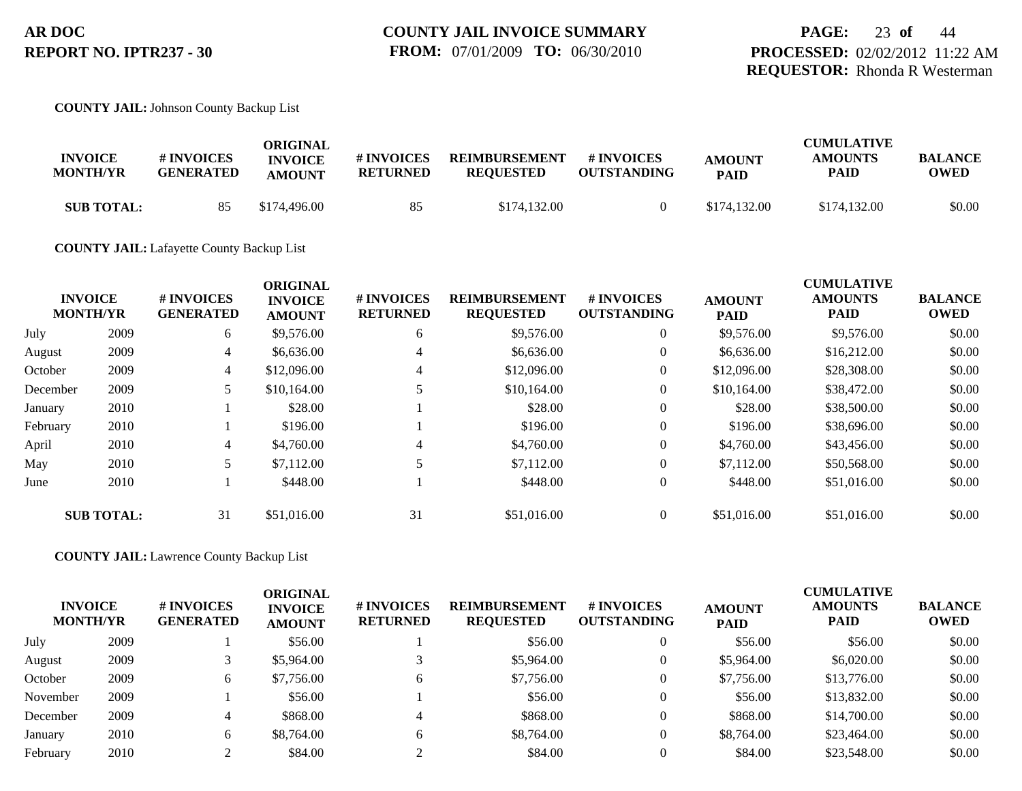**COUNTY JAIL:** Johnson County Backup List

| <b>INVOICE</b><br><b>MONTH/YR</b> | # INVOICES<br><b>GENERATED</b> | ORIGINAL<br><b>INVOICE</b><br><b>AMOUNT</b> | # INVOICES<br><b>RETURNED</b> | <b>REIMBURSEMENT</b><br><b>REOUESTED</b> | # INVOICES<br><b>OUTSTANDING</b> | <b>AMOUNT</b><br><b>PAID</b> | <b>CUMULATIVE</b><br><b>AMOUNTS</b><br><b>PAID</b> | <b>BALANCE</b><br><b>OWED</b> |
|-----------------------------------|--------------------------------|---------------------------------------------|-------------------------------|------------------------------------------|----------------------------------|------------------------------|----------------------------------------------------|-------------------------------|
| <b>SUB TOTAL:</b>                 | 85                             | \$174,496.00                                | 85                            | \$174,132.00                             |                                  | \$174,132.00                 | \$174,132.00                                       | \$0.00                        |

**COUNTY JAIL:** Lafayette County Backup List

| <b>INVOICE</b><br><b>MONTH/YR</b> |                   | # INVOICES<br><b>GENERATED</b> | <b>ORIGINAL</b><br><b>INVOICE</b><br><b>AMOUNT</b> | # INVOICES<br><b>RETURNED</b> | <b>REIMBURSEMENT</b><br><b>REQUESTED</b> | <b>#INVOICES</b><br><b>OUTSTANDING</b> | <b>AMOUNT</b><br><b>PAID</b> | <b>CUMULATIVE</b><br><b>AMOUNTS</b><br><b>PAID</b> | <b>BALANCE</b><br><b>OWED</b> |
|-----------------------------------|-------------------|--------------------------------|----------------------------------------------------|-------------------------------|------------------------------------------|----------------------------------------|------------------------------|----------------------------------------------------|-------------------------------|
| July                              | 2009              | 6                              | \$9,576.00                                         | 6                             | \$9,576.00                               | $\overline{0}$                         | \$9,576.00                   | \$9,576.00                                         | \$0.00                        |
| August                            | 2009              | 4                              | \$6,636.00                                         | 4                             | \$6,636.00                               | $\overline{0}$                         | \$6,636.00                   | \$16,212.00                                        | \$0.00                        |
| October                           | 2009              | $\overline{4}$                 | \$12,096.00                                        | 4                             | \$12,096.00                              | $\overline{0}$                         | \$12,096.00                  | \$28,308.00                                        | \$0.00                        |
| December                          | 2009              | 5                              | \$10,164.00                                        |                               | \$10,164.00                              | $\overline{0}$                         | \$10,164.00                  | \$38,472.00                                        | \$0.00                        |
| January                           | 2010              |                                | \$28.00                                            |                               | \$28.00                                  | $\overline{0}$                         | \$28.00                      | \$38,500.00                                        | \$0.00                        |
| February                          | 2010              |                                | \$196.00                                           |                               | \$196.00                                 | $\overline{0}$                         | \$196.00                     | \$38,696.00                                        | \$0.00                        |
| April                             | 2010              | 4                              | \$4,760.00                                         | 4                             | \$4,760.00                               | $\overline{0}$                         | \$4,760.00                   | \$43,456.00                                        | \$0.00                        |
| May                               | 2010              | 5                              | \$7,112.00                                         |                               | \$7,112.00                               | $\overline{0}$                         | \$7,112.00                   | \$50,568.00                                        | \$0.00                        |
| June                              | 2010              |                                | \$448.00                                           |                               | \$448.00                                 | $\overline{0}$                         | \$448.00                     | \$51,016.00                                        | \$0.00                        |
|                                   | <b>SUB TOTAL:</b> | 31                             | \$51,016.00                                        | 31                            | \$51,016.00                              | $\overline{0}$                         | \$51,016.00                  | \$51,016.00                                        | \$0.00                        |

**COUNTY JAIL:** Lawrence County Backup List

| <b>INVOICE</b><br><b>MONTH/YR</b> |      | # INVOICES<br><b>GENERATED</b> | <b>ORIGINAL</b><br><b>INVOICE</b><br><b>AMOUNT</b> | # INVOICES<br><b>RETURNED</b> | <b>REIMBURSEMENT</b><br><b>REQUESTED</b> | # INVOICES<br><b>OUTSTANDING</b> | <b>AMOUNT</b><br><b>PAID</b> | <b>CUMULATIVE</b><br><b>AMOUNTS</b><br><b>PAID</b> | <b>BALANCE</b><br><b>OWED</b> |
|-----------------------------------|------|--------------------------------|----------------------------------------------------|-------------------------------|------------------------------------------|----------------------------------|------------------------------|----------------------------------------------------|-------------------------------|
| July                              | 2009 |                                | \$56.00                                            |                               | \$56.00                                  |                                  | \$56.00                      | \$56.00                                            | \$0.00                        |
| August                            | 2009 |                                | \$5,964.00                                         |                               | \$5,964.00                               | $\overline{0}$                   | \$5,964.00                   | \$6,020.00                                         | \$0.00                        |
| October                           | 2009 | 6                              | \$7,756.00                                         | h                             | \$7,756.00                               | 0                                | \$7,756.00                   | \$13,776.00                                        | \$0.00                        |
| November                          | 2009 |                                | \$56.00                                            |                               | \$56.00                                  | $\overline{0}$                   | \$56.00                      | \$13,832.00                                        | \$0.00                        |
| December                          | 2009 |                                | \$868.00                                           |                               | \$868.00                                 |                                  | \$868.00                     | \$14,700.00                                        | \$0.00                        |
| January                           | 2010 | 6                              | \$8,764.00                                         | <sub>b</sub>                  | \$8,764.00                               |                                  | \$8,764.00                   | \$23,464.00                                        | \$0.00                        |
| February                          | 2010 |                                | \$84.00                                            |                               | \$84.00                                  |                                  | \$84.00                      | \$23,548.00                                        | \$0.00                        |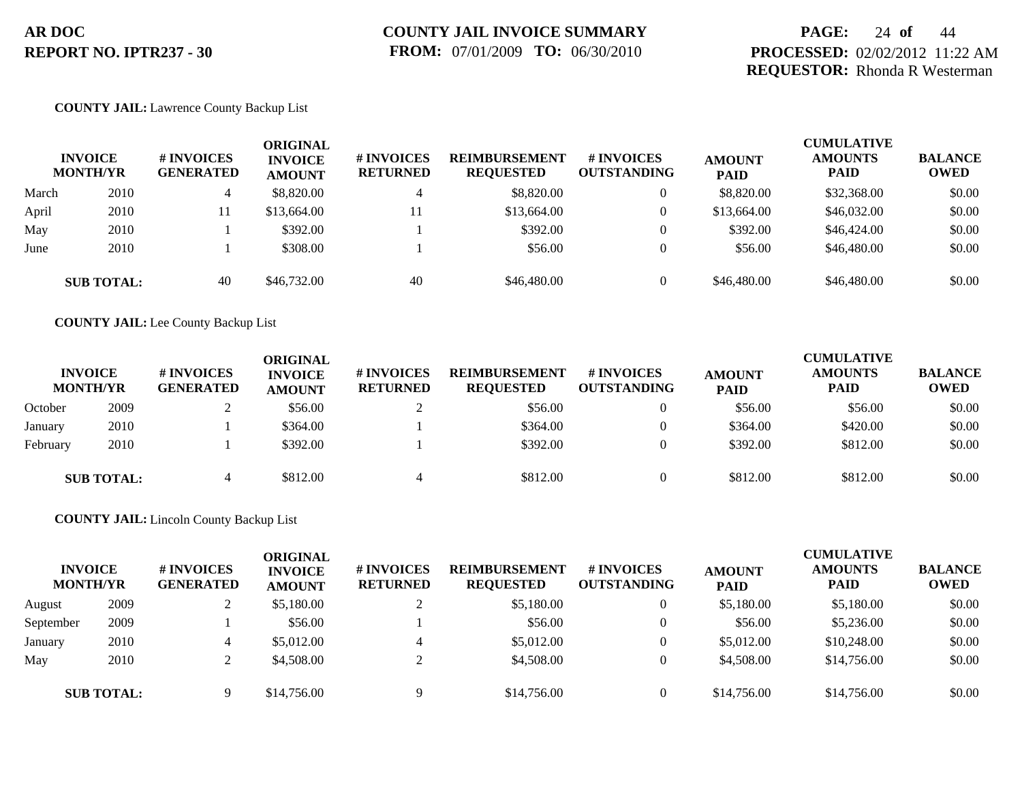## **PAGE:** 24 **of** 44 **PROCESSED:** 02/02/2012 11:22 AM **REQUESTOR:** Rhonda R Westerman

#### **COUNTY JAIL:** Lawrence County Backup List

|       | <b>INVOICE</b><br><b>MONTH/YR</b> | # INVOICES<br><b>GENERATED</b> | ORIGINAL<br><b>INVOICE</b><br><b>AMOUNT</b> | # INVOICES<br><b>RETURNED</b> | <b>REIMBURSEMENT</b><br><b>REQUESTED</b> | # INVOICES<br><b>OUTSTANDING</b> | <b>AMOUNT</b><br><b>PAID</b> | <b>CUMULATIVE</b><br><b>AMOUNTS</b><br><b>PAID</b> | <b>BALANCE</b><br><b>OWED</b> |
|-------|-----------------------------------|--------------------------------|---------------------------------------------|-------------------------------|------------------------------------------|----------------------------------|------------------------------|----------------------------------------------------|-------------------------------|
| March | 2010                              | 4                              | \$8,820.00                                  | 4                             | \$8,820.00                               | $\mathbf{0}$                     | \$8,820.00                   | \$32,368.00                                        | \$0.00                        |
| April | 2010                              | -11                            | \$13,664.00                                 | 11                            | \$13,664.00                              | $\overline{0}$                   | \$13,664.00                  | \$46,032.00                                        | \$0.00                        |
| May   | 2010                              |                                | \$392.00                                    |                               | \$392.00                                 | $\mathbf{0}$                     | \$392.00                     | \$46,424.00                                        | \$0.00                        |
| June  | 2010                              |                                | \$308.00                                    |                               | \$56.00                                  | $\Omega$                         | \$56.00                      | \$46,480.00                                        | \$0.00                        |
|       | <b>SUB TOTAL:</b>                 | 40                             | \$46,732.00                                 | 40                            | \$46,480.00                              | $\Omega$                         | \$46,480.00                  | \$46,480.00                                        | \$0.00                        |

**COUNTY JAIL:** Lee County Backup List

|          | <b>INVOICE</b><br><b>MONTH/YR</b> | # INVOICES<br><b>GENERATED</b> | ORIGINAL<br><b>INVOICE</b><br><b>AMOUNT</b> | <b># INVOICES</b><br><b>RETURNED</b> | <b>REIMBURSEMENT</b><br><b>REQUESTED</b> | # INVOICES<br><b>OUTSTANDING</b> | <b>AMOUNT</b><br><b>PAID</b> | <b>CUMULATIVE</b><br><b>AMOUNTS</b><br><b>PAID</b> | <b>BALANCE</b><br><b>OWED</b> |
|----------|-----------------------------------|--------------------------------|---------------------------------------------|--------------------------------------|------------------------------------------|----------------------------------|------------------------------|----------------------------------------------------|-------------------------------|
| October  | 2009                              |                                | \$56.00                                     |                                      | \$56.00                                  | 0                                | \$56.00                      | \$56.00                                            | \$0.00                        |
| January  | 2010                              |                                | \$364.00                                    |                                      | \$364.00                                 | 0                                | \$364.00                     | \$420.00                                           | \$0.00                        |
| February | 2010                              |                                | \$392.00                                    |                                      | \$392.00                                 | $\Omega$                         | \$392.00                     | \$812.00                                           | \$0.00                        |
|          | <b>SUB TOTAL:</b>                 | 4                              | \$812.00                                    |                                      | \$812.00                                 | 0                                | \$812.00                     | \$812.00                                           | \$0.00                        |

**COUNTY JAIL:** Lincoln County Backup List

| <b>INVOICE</b><br><b>MONTH/YR</b> |                   | # INVOICES<br><b>GENERATED</b> | <b>ORIGINAL</b><br><b>INVOICE</b><br><b>AMOUNT</b> | <b>#INVOICES</b><br><b>RETURNED</b> | <b>REIMBURSEMENT</b><br><b>REQUESTED</b> | <b># INVOICES</b><br><b>OUTSTANDING</b> | <b>AMOUNT</b><br><b>PAID</b> | <b>CUMULATIVE</b><br><b>AMOUNTS</b><br><b>PAID</b> | <b>BALANCE</b><br><b>OWED</b> |
|-----------------------------------|-------------------|--------------------------------|----------------------------------------------------|-------------------------------------|------------------------------------------|-----------------------------------------|------------------------------|----------------------------------------------------|-------------------------------|
| August                            | 2009              |                                | \$5,180.00                                         |                                     | \$5,180.00                               | 0                                       | \$5,180.00                   | \$5,180.00                                         | \$0.00                        |
| September                         | 2009              |                                | \$56.00                                            |                                     | \$56.00                                  | 0                                       | \$56.00                      | \$5,236.00                                         | \$0.00                        |
| January                           | 2010              | 4                              | \$5,012.00                                         |                                     | \$5,012.00                               | 0                                       | \$5,012.00                   | \$10,248.00                                        | \$0.00                        |
| May                               | 2010              |                                | \$4,508.00                                         |                                     | \$4,508.00                               | 0                                       | \$4,508.00                   | \$14,756.00                                        | \$0.00                        |
|                                   | <b>SUB TOTAL:</b> |                                | \$14,756.00                                        | Q                                   | \$14,756.00                              | $\Omega$                                | \$14,756.00                  | \$14,756.00                                        | \$0.00                        |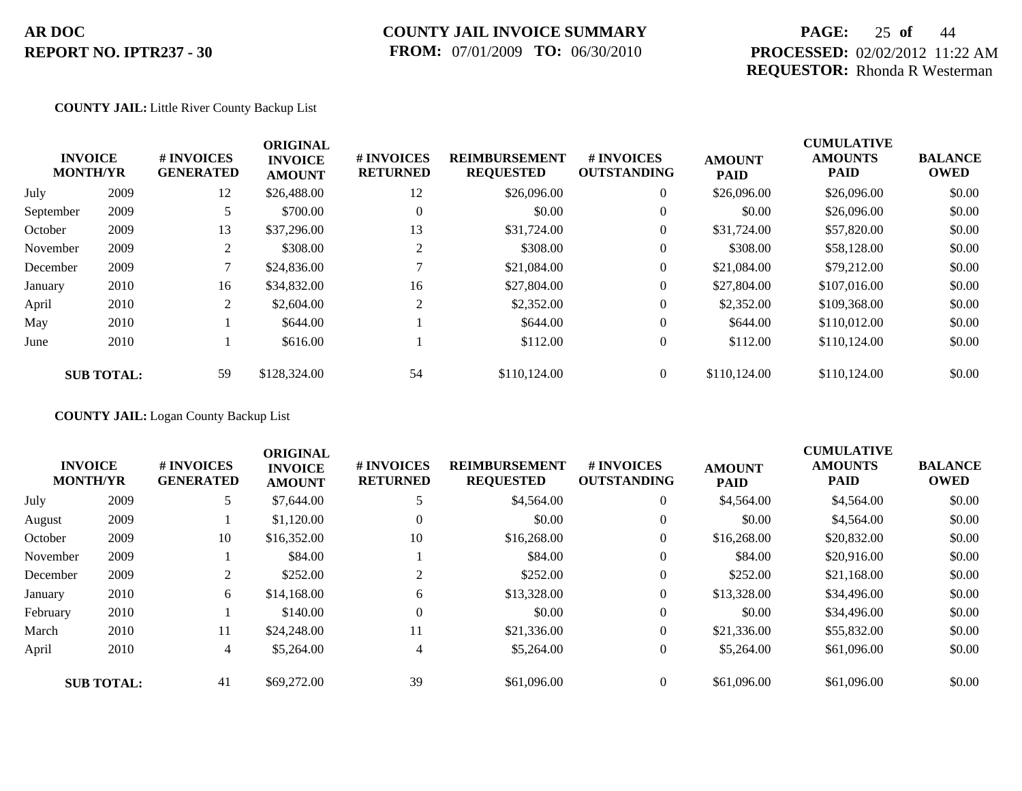## **COUNTY JAIL INVOICE SUMMARY FROM:** 07/01/2009 **TO:** 06/30/2010

## **PAGE:** 25 **of** 44 **PROCESSED:** 02/02/2012 11:22 AM **REQUESTOR:** Rhonda R Westerman

#### **COUNTY JAIL:** Little River County Backup List

|           | <b>INVOICE</b><br><b>MONTH/YR</b> | <b>#INVOICES</b><br><b>GENERATED</b> | <b>ORIGINAL</b><br><b>INVOICE</b><br><b>AMOUNT</b> | # INVOICES<br><b>RETURNED</b> | <b>REIMBURSEMENT</b><br><b>REQUESTED</b> | <b>#INVOICES</b><br><b>OUTSTANDING</b> | <b>AMOUNT</b><br><b>PAID</b> | <b>CUMULATIVE</b><br><b>AMOUNTS</b><br><b>PAID</b> | <b>BALANCE</b><br><b>OWED</b> |
|-----------|-----------------------------------|--------------------------------------|----------------------------------------------------|-------------------------------|------------------------------------------|----------------------------------------|------------------------------|----------------------------------------------------|-------------------------------|
| July      | 2009                              | 12                                   | \$26,488.00                                        | 12                            | \$26,096.00                              | $\overline{0}$                         | \$26,096.00                  | \$26,096.00                                        | \$0.00                        |
| September | 2009                              |                                      | \$700.00                                           | $\Omega$                      | \$0.00                                   | $\theta$                               | \$0.00                       | \$26,096.00                                        | \$0.00                        |
| October   | 2009                              | 13                                   | \$37,296.00                                        | 13                            | \$31,724.00                              | $\overline{0}$                         | \$31,724.00                  | \$57,820.00                                        | \$0.00                        |
| November  | 2009                              | 2                                    | \$308.00                                           |                               | \$308.00                                 | $\overline{0}$                         | \$308.00                     | \$58,128.00                                        | \$0.00                        |
| December  | 2009                              | 7                                    | \$24,836.00                                        |                               | \$21,084.00                              | $\overline{0}$                         | \$21,084.00                  | \$79,212.00                                        | \$0.00                        |
| January   | 2010                              | 16                                   | \$34,832.00                                        | 16                            | \$27,804.00                              | $\overline{0}$                         | \$27,804.00                  | \$107,016.00                                       | \$0.00                        |
| April     | 2010                              | 2                                    | \$2,604.00                                         | 2                             | \$2,352.00                               | $\overline{0}$                         | \$2,352.00                   | \$109,368.00                                       | \$0.00                        |
| May       | 2010                              |                                      | \$644.00                                           |                               | \$644.00                                 | $\overline{0}$                         | \$644.00                     | \$110,012.00                                       | \$0.00                        |
| June      | 2010                              |                                      | \$616.00                                           |                               | \$112.00                                 | $\overline{0}$                         | \$112.00                     | \$110,124,00                                       | \$0.00                        |
|           | <b>SUB TOTAL:</b>                 | 59                                   | \$128,324.00                                       | 54                            | \$110,124,00                             | $\theta$                               | \$110,124.00                 | \$110,124,00                                       | \$0.00                        |

**COUNTY JAIL:** Logan County Backup List

|          | <b>INVOICE</b><br><b>MONTH/YR</b> | # INVOICES<br><b>GENERATED</b> | <b>ORIGINAL</b><br><b>INVOICE</b><br><b>AMOUNT</b> | # INVOICES<br><b>RETURNED</b> | <b>REIMBURSEMENT</b><br><b>REQUESTED</b> | <b>#INVOICES</b><br><b>OUTSTANDING</b> | <b>AMOUNT</b><br><b>PAID</b> | <b>CUMULATIVE</b><br><b>AMOUNTS</b><br><b>PAID</b> | <b>BALANCE</b><br><b>OWED</b> |
|----------|-----------------------------------|--------------------------------|----------------------------------------------------|-------------------------------|------------------------------------------|----------------------------------------|------------------------------|----------------------------------------------------|-------------------------------|
| July     | 2009                              |                                | \$7,644.00                                         |                               | \$4,564.00                               | $\overline{0}$                         | \$4,564.00                   | \$4,564.00                                         | \$0.00                        |
| August   | 2009                              |                                | \$1,120.00                                         | $\Omega$                      | \$0.00                                   | $\theta$                               | \$0.00                       | \$4,564.00                                         | \$0.00                        |
| October  | 2009                              | 10                             | \$16,352.00                                        | 10                            | \$16,268.00                              | $\theta$                               | \$16,268,00                  | \$20,832.00                                        | \$0.00                        |
| November | 2009                              |                                | \$84.00                                            |                               | \$84.00                                  | $\theta$                               | \$84.00                      | \$20,916.00                                        | \$0.00                        |
| December | 2009                              | 2                              | \$252.00                                           | $\overline{c}$                | \$252.00                                 | $\overline{0}$                         | \$252.00                     | \$21,168.00                                        | \$0.00                        |
| January  | 2010                              | 6                              | \$14,168,00                                        | 6                             | \$13,328.00                              | $\overline{0}$                         | \$13,328.00                  | \$34,496.00                                        | \$0.00                        |
| February | 2010                              |                                | \$140.00                                           | $\Omega$                      | \$0.00                                   | $\theta$                               | \$0.00                       | \$34,496.00                                        | \$0.00                        |
| March    | 2010                              | 11                             | \$24,248.00                                        | 11                            | \$21,336.00                              | $\overline{0}$                         | \$21,336.00                  | \$55,832.00                                        | \$0.00                        |
| April    | 2010                              | 4                              | \$5,264.00                                         | 4                             | \$5,264.00                               | $\theta$                               | \$5,264.00                   | \$61,096.00                                        | \$0.00                        |
|          | <b>SUB TOTAL:</b>                 | 41                             | \$69,272.00                                        | 39                            | \$61,096.00                              | $\overline{0}$                         | \$61,096.00                  | \$61,096.00                                        | \$0.00                        |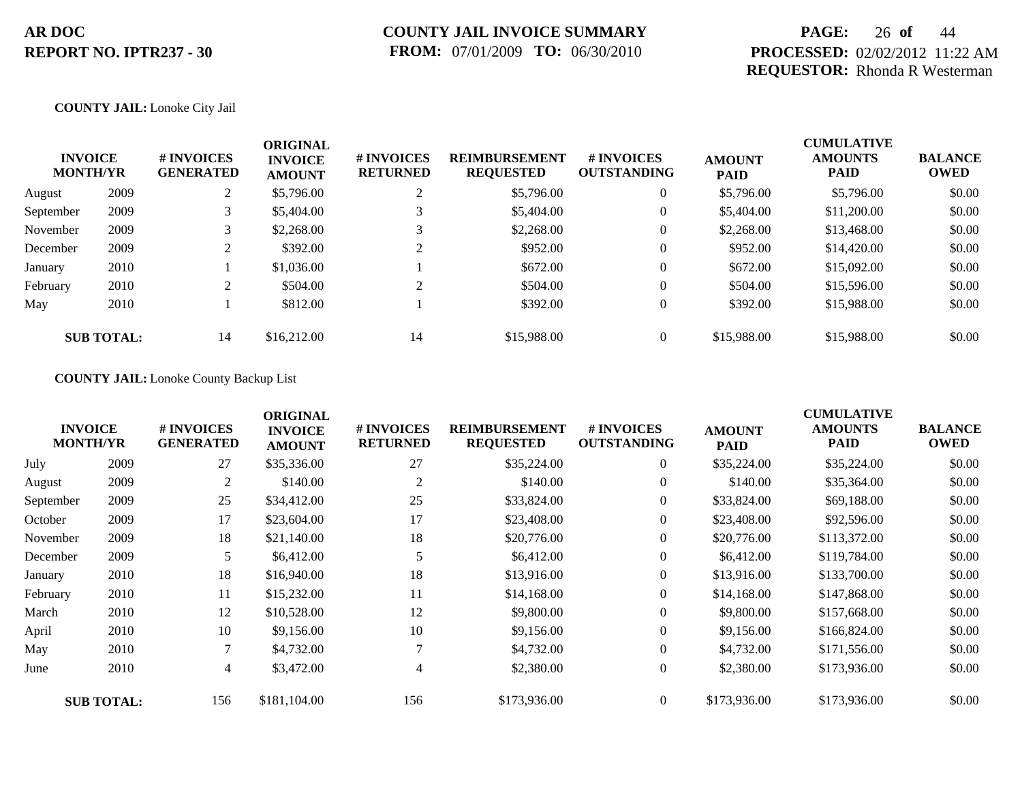## **PAGE:** 26 **of** 44 **PROCESSED:** 02/02/2012 11:22 AM **REQUESTOR:** Rhonda R Westerman

### **COUNTY JAIL:** Lonoke City Jail

| <b>INVOICE</b><br><b>MONTH/YR</b> |                   | # INVOICES<br><b>GENERATED</b> | <b>ORIGINAL</b><br><b>INVOICE</b><br><b>AMOUNT</b> | # INVOICES<br><b>RETURNED</b> | <b>REIMBURSEMENT</b><br><b>REQUESTED</b> | <b>#INVOICES</b><br><b>OUTSTANDING</b> | <b>AMOUNT</b><br><b>PAID</b> | <b>CUMULATIVE</b><br><b>AMOUNTS</b><br><b>PAID</b> | <b>BALANCE</b><br><b>OWED</b> |
|-----------------------------------|-------------------|--------------------------------|----------------------------------------------------|-------------------------------|------------------------------------------|----------------------------------------|------------------------------|----------------------------------------------------|-------------------------------|
| August                            | 2009              | $\mathcal{L}$                  | \$5,796.00                                         | ↑                             | \$5,796.00                               | $\overline{0}$                         | \$5,796.00                   | \$5,796.00                                         | \$0.00                        |
| September                         | 2009              | 3                              | \$5,404.00                                         |                               | \$5,404.00                               | $\theta$                               | \$5,404.00                   | \$11,200.00                                        | \$0.00                        |
| November                          | 2009              |                                | \$2,268.00                                         |                               | \$2,268.00                               | $\overline{0}$                         | \$2,268.00                   | \$13,468.00                                        | \$0.00                        |
| December                          | 2009              |                                | \$392.00                                           | $\mathcal{D}$                 | \$952.00                                 | $\overline{0}$                         | \$952.00                     | \$14,420.00                                        | \$0.00                        |
| January                           | 2010              |                                | \$1,036.00                                         |                               | \$672.00                                 | $\theta$                               | \$672.00                     | \$15,092.00                                        | \$0.00                        |
| February                          | 2010              | $\mathcal{L}$                  | \$504.00                                           | ↑                             | \$504.00                                 | $\theta$                               | \$504.00                     | \$15,596.00                                        | \$0.00                        |
| May                               | 2010              |                                | \$812.00                                           |                               | \$392.00                                 | $\overline{0}$                         | \$392.00                     | \$15,988.00                                        | \$0.00                        |
|                                   | <b>SUB TOTAL:</b> | 14                             | \$16,212.00                                        | 14                            | \$15,988.00                              | $\overline{0}$                         | \$15,988.00                  | \$15,988.00                                        | \$0.00                        |

#### **COUNTY JAIL:** Lonoke County Backup List

|           | <b>INVOICE</b><br><b>MONTH/YR</b> | # INVOICES<br><b>GENERATED</b> | <b>ORIGINAL</b><br><b>INVOICE</b><br><b>AMOUNT</b> | # INVOICES<br><b>RETURNED</b> | <b>REIMBURSEMENT</b><br><b>REQUESTED</b> | <b># INVOICES</b><br><b>OUTSTANDING</b> | <b>AMOUNT</b><br><b>PAID</b> | <b>CUMULATIVE</b><br><b>AMOUNTS</b><br><b>PAID</b> | <b>BALANCE</b><br><b>OWED</b> |
|-----------|-----------------------------------|--------------------------------|----------------------------------------------------|-------------------------------|------------------------------------------|-----------------------------------------|------------------------------|----------------------------------------------------|-------------------------------|
| July      | 2009                              | 27                             | \$35,336.00                                        | 27                            | \$35,224.00                              | $\overline{0}$                          | \$35,224.00                  | \$35,224.00                                        | \$0.00                        |
| August    | 2009                              | $\overline{2}$                 | \$140.00                                           | 2                             | \$140.00                                 | $\overline{0}$                          | \$140.00                     | \$35,364.00                                        | \$0.00                        |
| September | 2009                              | 25                             | \$34,412.00                                        | 25                            | \$33,824.00                              | $\overline{0}$                          | \$33,824.00                  | \$69,188.00                                        | \$0.00                        |
| October   | 2009                              | 17                             | \$23,604.00                                        | 17                            | \$23,408.00                              | $\overline{0}$                          | \$23,408.00                  | \$92,596.00                                        | \$0.00                        |
| November  | 2009                              | 18                             | \$21,140.00                                        | 18                            | \$20,776.00                              | $\overline{0}$                          | \$20,776.00                  | \$113,372.00                                       | \$0.00                        |
| December  | 2009                              | 5                              | \$6,412.00                                         |                               | \$6,412.00                               | $\overline{0}$                          | \$6,412.00                   | \$119,784.00                                       | \$0.00                        |
| January   | 2010                              | 18                             | \$16,940.00                                        | 18                            | \$13,916.00                              | $\overline{0}$                          | \$13,916.00                  | \$133,700.00                                       | \$0.00                        |
| February  | 2010                              | 11                             | \$15,232.00                                        | 11                            | \$14,168.00                              | $\overline{0}$                          | \$14,168.00                  | \$147,868.00                                       | \$0.00                        |
| March     | 2010                              | 12                             | \$10,528.00                                        | 12                            | \$9,800.00                               | $\overline{0}$                          | \$9,800.00                   | \$157,668.00                                       | \$0.00                        |
| April     | 2010                              | 10                             | \$9,156.00                                         | 10                            | \$9,156.00                               | $\overline{0}$                          | \$9,156.00                   | \$166,824.00                                       | \$0.00                        |
| May       | 2010                              | 7                              | \$4,732.00                                         |                               | \$4,732.00                               | $\overline{0}$                          | \$4,732.00                   | \$171,556.00                                       | \$0.00                        |
| June      | 2010                              | 4                              | \$3,472.00                                         | $\overline{4}$                | \$2,380.00                               | $\overline{0}$                          | \$2,380.00                   | \$173,936.00                                       | \$0.00                        |
|           | <b>SUB TOTAL:</b>                 | 156                            | \$181,104.00                                       | 156                           | \$173,936.00                             | $\theta$                                | \$173,936.00                 | \$173,936.00                                       | \$0.00                        |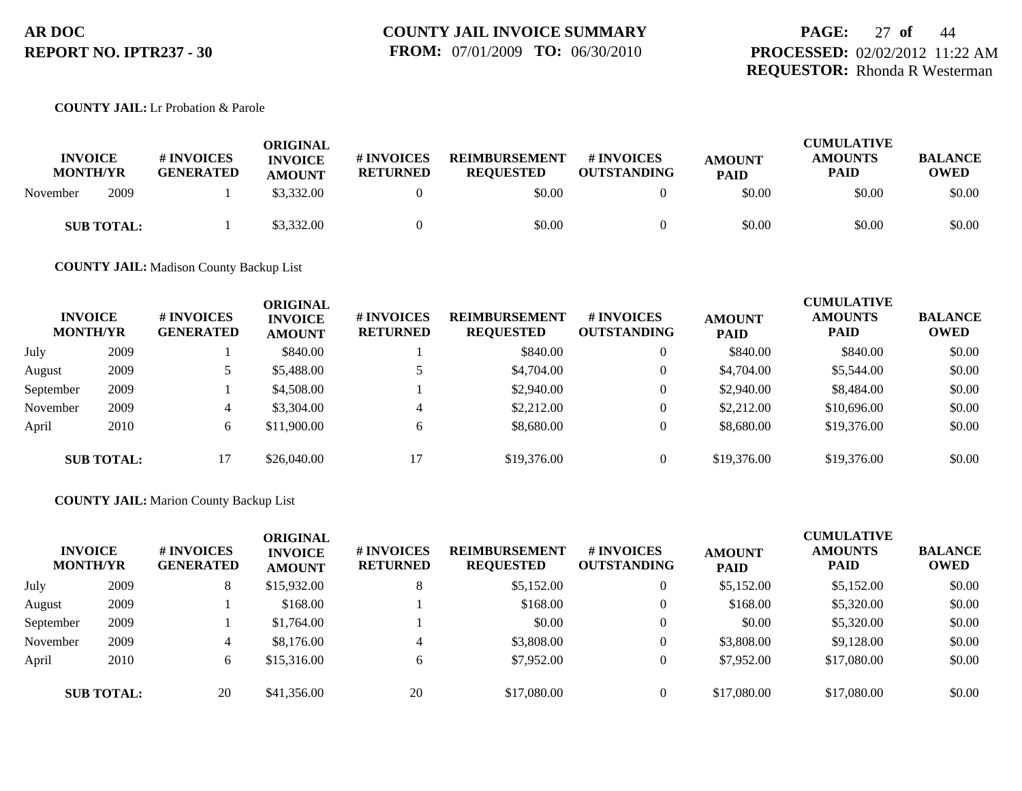## **PAGE:** 27 **of** 44 **PROCESSED:** 02/02/2012 11:22 AM **REQUESTOR:** Rhonda R Westerman

### **COUNTY JAIL:** Lr Probation & Parole

| <b>INVOICE</b><br><b>MONTH/YR</b> |      | <b># INVOICES</b><br><b>GENERATED</b> | ORIGINAL<br><b>INVOICE</b><br><b>AMOUNT</b> | <b>#INVOICES</b><br><b>RETURNED</b> | <b>REIMBURSEMENT</b><br><b>REQUESTED</b> | # INVOICES<br><b>OUTSTANDING</b> | <b>AMOUNT</b><br><b>PAID</b> | <b>CUMULATIVE</b><br><b>AMOUNTS</b><br>PAID | <b>BALANCE</b><br><b>OWED</b> |
|-----------------------------------|------|---------------------------------------|---------------------------------------------|-------------------------------------|------------------------------------------|----------------------------------|------------------------------|---------------------------------------------|-------------------------------|
| November                          | 2009 |                                       | \$3,332.00                                  |                                     | \$0.00                                   |                                  | \$0.00                       | \$0.00                                      | \$0.00                        |
| <b>SUB TOTAL:</b>                 |      |                                       | \$3,332.00                                  |                                     | \$0.00                                   |                                  | \$0.00                       | \$0.00                                      | \$0.00                        |

**COUNTY JAIL:** Madison County Backup List

| <b>INVOICE</b><br><b>MONTH/YR</b> |                   | # INVOICES<br><b>GENERATED</b> | <b>ORIGINAL</b><br><b>INVOICE</b><br><b>AMOUNT</b> | # INVOICES<br><b>RETURNED</b> | <b>REIMBURSEMENT</b><br><b>REQUESTED</b> | <b># INVOICES</b><br><b>OUTSTANDING</b> | <b>AMOUNT</b><br><b>PAID</b> | <b>CUMULATIVE</b><br><b>AMOUNTS</b><br><b>PAID</b> | <b>BALANCE</b><br><b>OWED</b> |
|-----------------------------------|-------------------|--------------------------------|----------------------------------------------------|-------------------------------|------------------------------------------|-----------------------------------------|------------------------------|----------------------------------------------------|-------------------------------|
| July                              | 2009              |                                | \$840.00                                           |                               | \$840.00                                 |                                         | \$840.00                     | \$840.00                                           | \$0.00                        |
| August                            | 2009              |                                | \$5,488.00                                         |                               | \$4,704.00                               |                                         | \$4,704.00                   | \$5,544.00                                         | \$0.00                        |
| September                         | 2009              |                                | \$4,508.00                                         |                               | \$2,940.00                               |                                         | \$2,940.00                   | \$8,484.00                                         | \$0.00                        |
| November                          | 2009              | 4                              | \$3,304.00                                         |                               | \$2,212.00                               |                                         | \$2,212.00                   | \$10,696.00                                        | \$0.00                        |
| April                             | 2010              | 6                              | \$11,900.00                                        | 6                             | \$8,680.00                               |                                         | \$8,680.00                   | \$19,376.00                                        | \$0.00                        |
|                                   | <b>SUB TOTAL:</b> |                                | \$26,040.00                                        |                               | \$19,376.00                              |                                         | \$19,376.00                  | \$19,376.00                                        | \$0.00                        |

### **COUNTY JAIL:** Marion County Backup List

| <b>INVOICE</b><br><b>MONTH/YR</b> |                   | # INVOICES<br><b>GENERATED</b> | ORIGINAL<br><b>INVOICE</b><br><b>AMOUNT</b> | <b>#INVOICES</b><br><b>RETURNED</b> | <b>REIMBURSEMENT</b><br><b>REQUESTED</b> | <b># INVOICES</b><br><b>OUTSTANDING</b> | <b>AMOUNT</b><br><b>PAID</b> | <b>CUMULATIVE</b><br><b>AMOUNTS</b><br><b>PAID</b> | <b>BALANCE</b><br><b>OWED</b> |
|-----------------------------------|-------------------|--------------------------------|---------------------------------------------|-------------------------------------|------------------------------------------|-----------------------------------------|------------------------------|----------------------------------------------------|-------------------------------|
| July                              | 2009              | 8                              | \$15,932.00                                 | 8                                   | \$5,152.00                               | $\theta$                                | \$5,152.00                   | \$5,152.00                                         | \$0.00                        |
| August                            | 2009              |                                | \$168.00                                    |                                     | \$168.00                                 | $\theta$                                | \$168.00                     | \$5,320.00                                         | \$0.00                        |
| September                         | 2009              |                                | \$1,764.00                                  |                                     | \$0.00                                   | $\theta$                                | \$0.00                       | \$5,320.00                                         | \$0.00                        |
| November                          | 2009              | 4                              | \$8,176.00                                  |                                     | \$3,808.00                               | 0                                       | \$3,808.00                   | \$9,128.00                                         | \$0.00                        |
| April                             | 2010              | 6                              | \$15,316.00                                 | 6                                   | \$7,952.00                               | $\Omega$                                | \$7,952.00                   | \$17,080.00                                        | \$0.00                        |
|                                   | <b>SUB TOTAL:</b> | 20                             | \$41,356.00                                 | 20                                  | \$17,080.00                              | $\Omega$                                | \$17,080.00                  | \$17,080.00                                        | \$0.00                        |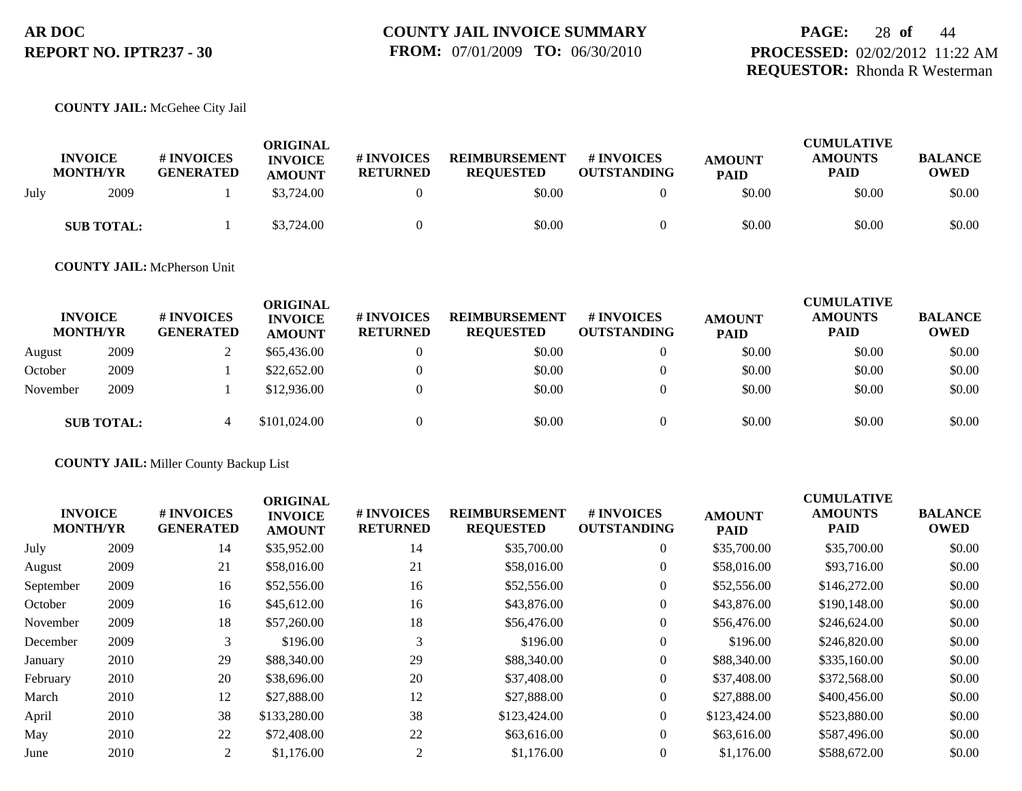## **PAGE:** 28 **of** 44 **PROCESSED:** 02/02/2012 11:22 AM **REQUESTOR:** Rhonda R Westerman

#### **COUNTY JAIL:** McGehee City Jail

|      | <b>INVOICE</b><br><b>MONTH/YR</b> | # INVOICES<br><b>GENERATED</b> | ORIGINAL<br><b>INVOICE</b><br><b>AMOUNT</b> | # INVOICES<br><b>RETURNED</b> | <b>REIMBURSEMENT</b><br><b>REOUESTED</b> | <b>#INVOICES</b><br><b>OUTSTANDING</b> | <b>AMOUNT</b><br><b>PAID</b> | <b>CUMULATIVE</b><br><b>AMOUNTS</b><br><b>PAID</b> | <b>BALANCE</b><br><b>OWED</b> |
|------|-----------------------------------|--------------------------------|---------------------------------------------|-------------------------------|------------------------------------------|----------------------------------------|------------------------------|----------------------------------------------------|-------------------------------|
| July | 2009                              |                                | \$3,724.00                                  |                               | \$0.00                                   |                                        | \$0.00                       | \$0.00                                             | \$0.00                        |
|      | <b>SUB TOTAL:</b>                 |                                | \$3,724.00                                  |                               | \$0.00                                   |                                        | \$0.00                       | \$0.00                                             | \$0.00                        |

### **COUNTY JAIL:** McPherson Unit

| <b>INVOICE</b><br><b>MONTH/YR</b> |                   | # INVOICES<br><b>GENERATED</b> | <b>ORIGINAL</b><br><b>INVOICE</b><br><b>AMOUNT</b> | # INVOICES<br><b>RETURNED</b> | <b>REIMBURSEMENT</b><br><b>REQUESTED</b> | # INVOICES<br><b>OUTSTANDING</b> | <b>AMOUNT</b><br><b>PAID</b> | <b>CUMULATIVE</b><br><b>AMOUNTS</b><br><b>PAID</b> | <b>BALANCE</b><br><b>OWED</b> |
|-----------------------------------|-------------------|--------------------------------|----------------------------------------------------|-------------------------------|------------------------------------------|----------------------------------|------------------------------|----------------------------------------------------|-------------------------------|
| August                            | 2009              |                                | \$65,436.00                                        | 0                             | \$0.00                                   |                                  | \$0.00                       | \$0.00                                             | \$0.00                        |
| October                           | 2009              |                                | \$22,652.00                                        | $\Omega$                      | \$0.00                                   |                                  | \$0.00                       | \$0.00                                             | \$0.00                        |
| November                          | 2009              |                                | \$12,936.00                                        | $\Omega$                      | \$0.00                                   |                                  | \$0.00                       | \$0.00                                             | \$0.00                        |
|                                   | <b>SUB TOTAL:</b> | 4                              | \$101,024.00                                       |                               | \$0.00                                   |                                  | \$0.00                       | \$0.00                                             | \$0.00                        |

#### **COUNTY JAIL:** Miller County Backup List

| <b>INVOICE</b><br><b>MONTH/YR</b> |      | # INVOICES<br><b>GENERATED</b> | <b>ORIGINAL</b><br><b>INVOICE</b><br><b>AMOUNT</b> | # INVOICES<br><b>RETURNED</b> | <b>REIMBURSEMENT</b><br><b>REQUESTED</b> | # INVOICES<br><b>OUTSTANDING</b> | <b>AMOUNT</b><br><b>PAID</b> | <b>CUMULATIVE</b><br><b>AMOUNTS</b><br><b>PAID</b> | <b>BALANCE</b><br><b>OWED</b> |
|-----------------------------------|------|--------------------------------|----------------------------------------------------|-------------------------------|------------------------------------------|----------------------------------|------------------------------|----------------------------------------------------|-------------------------------|
| July                              | 2009 | 14                             | \$35,952.00                                        | 14                            | \$35,700.00                              | $\overline{0}$                   | \$35,700.00                  | \$35,700.00                                        | \$0.00                        |
| August                            | 2009 | 21                             | \$58,016.00                                        | 21                            | \$58,016.00                              | $\overline{0}$                   | \$58,016.00                  | \$93,716.00                                        | \$0.00                        |
| September                         | 2009 | 16                             | \$52,556.00                                        | 16                            | \$52,556.00                              | $\overline{0}$                   | \$52,556.00                  | \$146,272.00                                       | \$0.00                        |
| October                           | 2009 | 16                             | \$45,612.00                                        | 16                            | \$43,876.00                              | 0                                | \$43,876.00                  | \$190,148.00                                       | \$0.00                        |
| November                          | 2009 | 18                             | \$57,260.00                                        | 18                            | \$56,476.00                              | 0                                | \$56,476.00                  | \$246,624.00                                       | \$0.00                        |
| December                          | 2009 | 3                              | \$196.00                                           | 3                             | \$196.00                                 | $\overline{0}$                   | \$196.00                     | \$246,820.00                                       | \$0.00                        |
| January                           | 2010 | 29                             | \$88,340.00                                        | 29                            | \$88,340.00                              | $\overline{0}$                   | \$88,340.00                  | \$335,160.00                                       | \$0.00                        |
| February                          | 2010 | 20                             | \$38,696.00                                        | 20                            | \$37,408.00                              | 0                                | \$37,408.00                  | \$372,568.00                                       | \$0.00                        |
| March                             | 2010 | 12                             | \$27,888.00                                        | 12                            | \$27,888.00                              | $\overline{0}$                   | \$27,888.00                  | \$400,456.00                                       | \$0.00                        |
| April                             | 2010 | 38                             | \$133,280.00                                       | 38                            | \$123,424.00                             | $\overline{0}$                   | \$123,424.00                 | \$523,880.00                                       | \$0.00                        |
| May                               | 2010 | 22                             | \$72,408.00                                        | 22                            | \$63,616.00                              | $\overline{0}$                   | \$63,616.00                  | \$587,496.00                                       | \$0.00                        |
| June                              | 2010 | 2                              | \$1,176.00                                         | 2                             | \$1,176.00                               | $\Omega$                         | \$1,176.00                   | \$588,672.00                                       | \$0.00                        |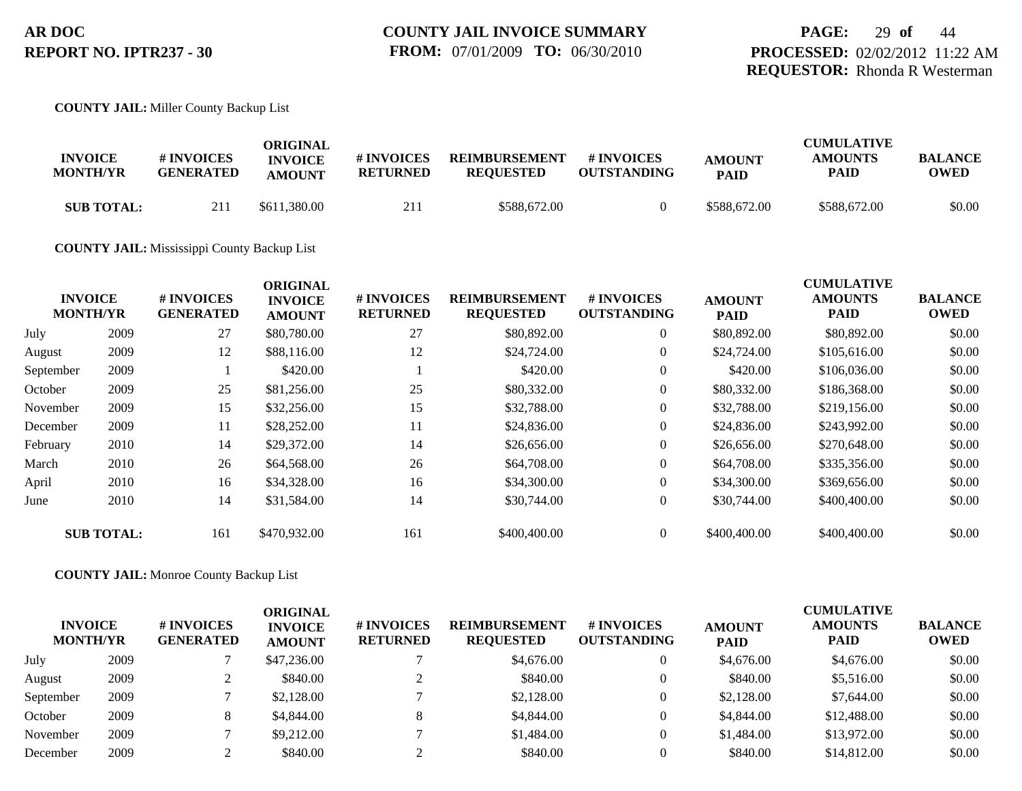#### **COUNTY JAIL:** Miller County Backup List

| <b>INVOICE</b><br><b>MONTH/YR</b> | # INVOICES<br><b>GENERATED</b> | ORIGINAL<br><b>INVOICE</b><br><b>AMOUNT</b> | # INVOICES<br><b>RETURNED</b> | <b>REIMBURSEMENT</b><br><b>REOUESTED</b> | # INVOICES<br><b>OUTSTANDING</b> | <b>AMOUNT</b><br><b>PAID</b> | <b>CUMULATIVE</b><br><b>AMOUNTS</b><br>PAID | <b>BALANCE</b><br>OWED |
|-----------------------------------|--------------------------------|---------------------------------------------|-------------------------------|------------------------------------------|----------------------------------|------------------------------|---------------------------------------------|------------------------|
| <b>SUB TOTAL:</b>                 | 211                            | \$611,380.00                                | 211                           | \$588,672.00                             |                                  | \$588,672.00                 | \$588,672.00                                | \$0.00                 |

#### **COUNTY JAIL:** Mississippi County Backup List

|           | <b>INVOICE</b><br><b>MONTH/YR</b> | # INVOICES<br><b>GENERATED</b> | <b>ORIGINAL</b><br><b>INVOICE</b><br><b>AMOUNT</b> | <b># INVOICES</b><br><b>RETURNED</b> | <b>REIMBURSEMENT</b><br><b>REQUESTED</b> | <b>#INVOICES</b><br><b>OUTSTANDING</b> | <b>AMOUNT</b><br><b>PAID</b> | <b>CUMULATIVE</b><br><b>AMOUNTS</b><br><b>PAID</b> | <b>BALANCE</b><br><b>OWED</b> |
|-----------|-----------------------------------|--------------------------------|----------------------------------------------------|--------------------------------------|------------------------------------------|----------------------------------------|------------------------------|----------------------------------------------------|-------------------------------|
| July      | 2009                              | 27                             | \$80,780.00                                        | 27                                   | \$80,892.00                              | $\overline{0}$                         | \$80,892.00                  | \$80,892.00                                        | \$0.00                        |
| August    | 2009                              | 12                             | \$88,116.00                                        | 12                                   | \$24,724.00                              | $\overline{0}$                         | \$24,724.00                  | \$105,616.00                                       | \$0.00                        |
| September | 2009                              |                                | \$420.00                                           |                                      | \$420.00                                 | $\overline{0}$                         | \$420.00                     | \$106,036.00                                       | \$0.00                        |
| October   | 2009                              | 25                             | \$81,256.00                                        | 25                                   | \$80,332.00                              | $\overline{0}$                         | \$80,332.00                  | \$186,368.00                                       | \$0.00                        |
| November  | 2009                              | 15                             | \$32,256.00                                        | 15                                   | \$32,788.00                              | $\overline{0}$                         | \$32,788.00                  | \$219,156.00                                       | \$0.00                        |
| December  | 2009                              | 11                             | \$28,252.00                                        | 11                                   | \$24,836.00                              | $\overline{0}$                         | \$24,836.00                  | \$243,992.00                                       | \$0.00                        |
| February  | 2010                              | 14                             | \$29,372.00                                        | 14                                   | \$26,656.00                              | $\overline{0}$                         | \$26,656.00                  | \$270,648.00                                       | \$0.00                        |
| March     | 2010                              | 26                             | \$64,568.00                                        | 26                                   | \$64,708.00                              | $\overline{0}$                         | \$64,708.00                  | \$335,356.00                                       | \$0.00                        |
| April     | 2010                              | 16                             | \$34,328.00                                        | 16                                   | \$34,300.00                              | $\overline{0}$                         | \$34,300.00                  | \$369,656.00                                       | \$0.00                        |
| June      | 2010                              | 14                             | \$31,584.00                                        | 14                                   | \$30,744.00                              | $\overline{0}$                         | \$30,744.00                  | \$400,400.00                                       | \$0.00                        |
|           | <b>SUB TOTAL:</b>                 | 161                            | \$470,932.00                                       | 161                                  | \$400,400.00                             | $\Omega$                               | \$400,400.00                 | \$400,400.00                                       | \$0.00                        |

**COUNTY JAIL:** Monroe County Backup List

| <b>INVOICE</b><br><b>MONTH/YR</b> |      | # INVOICES<br><b>GENERATED</b> | ORIGINAL<br><b>INVOICE</b><br><b>AMOUNT</b> | # INVOICES<br><b>RETURNED</b> | <b>REIMBURSEMENT</b><br><b>REQUESTED</b> | # INVOICES<br><b>OUTSTANDING</b> | <b>AMOUNT</b><br><b>PAID</b> | <b>CUMULATIVE</b><br><b>AMOUNTS</b><br><b>PAID</b> | <b>BALANCE</b><br><b>OWED</b> |
|-----------------------------------|------|--------------------------------|---------------------------------------------|-------------------------------|------------------------------------------|----------------------------------|------------------------------|----------------------------------------------------|-------------------------------|
| July                              | 2009 |                                | \$47,236.00                                 |                               | \$4,676.00                               | $\overline{0}$                   | \$4,676.00                   | \$4,676.00                                         | \$0.00                        |
| August                            | 2009 |                                | \$840.00                                    |                               | \$840.00                                 | $\overline{0}$                   | \$840.00                     | \$5,516.00                                         | \$0.00                        |
| September                         | 2009 |                                | \$2,128.00                                  |                               | \$2,128.00                               | $\theta$                         | \$2,128.00                   | \$7,644.00                                         | \$0.00                        |
| October                           | 2009 | 8                              | \$4,844.00                                  | 8                             | \$4,844.00                               | $\overline{0}$                   | \$4,844.00                   | \$12,488.00                                        | \$0.00                        |
| November                          | 2009 |                                | \$9,212.00                                  |                               | \$1,484.00                               | $\theta$                         | \$1,484.00                   | \$13,972.00                                        | \$0.00                        |
| December                          | 2009 |                                | \$840.00                                    |                               | \$840.00                                 |                                  | \$840.00                     | \$14,812.00                                        | \$0.00                        |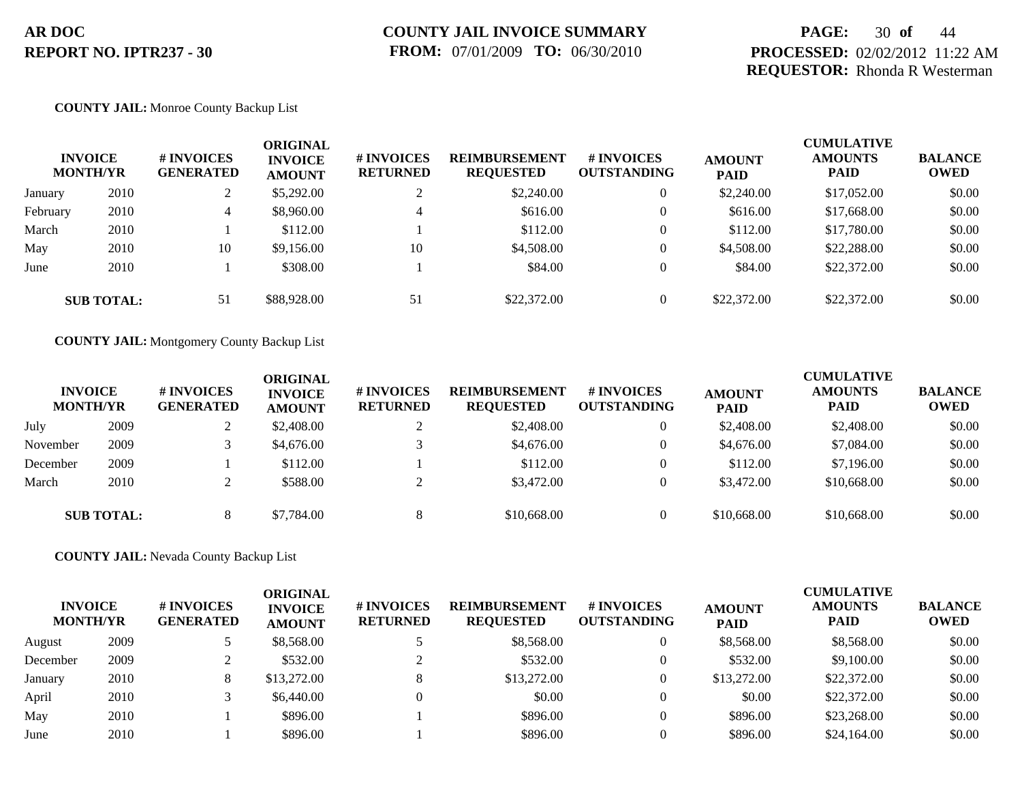## **PAGE:** 30 **of** 44 **PROCESSED:** 02/02/2012 11:22 AM **REQUESTOR:** Rhonda R Westerman

#### **COUNTY JAIL:** Monroe County Backup List

|          | <b>INVOICE</b><br><b>MONTH/YR</b> | # INVOICES<br><b>GENERATED</b> | ORIGINAL<br><b>INVOICE</b><br><b>AMOUNT</b> | # INVOICES<br><b>RETURNED</b> | <b>REIMBURSEMENT</b><br><b>REQUESTED</b> | # INVOICES<br><b>OUTSTANDING</b> | <b>AMOUNT</b><br><b>PAID</b> | <b>CUMULATIVE</b><br><b>AMOUNTS</b><br><b>PAID</b> | <b>BALANCE</b><br><b>OWED</b> |
|----------|-----------------------------------|--------------------------------|---------------------------------------------|-------------------------------|------------------------------------------|----------------------------------|------------------------------|----------------------------------------------------|-------------------------------|
| January  | 2010                              | ∠                              | \$5,292.00                                  |                               | \$2,240.00                               | $\overline{0}$                   | \$2,240.00                   | \$17,052.00                                        | \$0.00                        |
| February | 2010                              | 4                              | \$8,960.00                                  | 4                             | \$616.00                                 | $\overline{0}$                   | \$616.00                     | \$17,668.00                                        | \$0.00                        |
| March    | 2010                              |                                | \$112.00                                    |                               | \$112.00                                 | $\overline{0}$                   | \$112.00                     | \$17,780.00                                        | \$0.00                        |
| May      | 2010                              | 10                             | \$9,156.00                                  | 10                            | \$4,508.00                               | $\overline{0}$                   | \$4,508.00                   | \$22,288.00                                        | \$0.00                        |
| June     | 2010                              |                                | \$308.00                                    |                               | \$84.00                                  | $\overline{0}$                   | \$84.00                      | \$22,372.00                                        | \$0.00                        |
|          | <b>SUB TOTAL:</b>                 | 51                             | \$88,928.00                                 | 51                            | \$22,372.00                              | $\overline{0}$                   | \$22,372.00                  | \$22,372.00                                        | \$0.00                        |

**COUNTY JAIL:** Montgomery County Backup List

| <b>INVOICE</b><br><b>MONTH/YR</b> |                   | # INVOICES<br><b>GENERATED</b> | ORIGINAL<br><b>INVOICE</b><br><b>AMOUNT</b> | # INVOICES<br><b>RETURNED</b> | <b>REIMBURSEMENT</b><br><b>REQUESTED</b> | # INVOICES<br><b>OUTSTANDING</b> | <b>AMOUNT</b><br><b>PAID</b> | <b>CUMULATIVE</b><br><b>AMOUNTS</b><br><b>PAID</b> | <b>BALANCE</b><br><b>OWED</b> |
|-----------------------------------|-------------------|--------------------------------|---------------------------------------------|-------------------------------|------------------------------------------|----------------------------------|------------------------------|----------------------------------------------------|-------------------------------|
| July                              | 2009              |                                | \$2,408.00                                  |                               | \$2,408.00                               | 0                                | \$2,408.00                   | \$2,408.00                                         | \$0.00                        |
| November                          | 2009              |                                | \$4,676.00                                  |                               | \$4,676.00                               | $\theta$                         | \$4,676.00                   | \$7,084.00                                         | \$0.00                        |
| December                          | 2009              |                                | \$112.00                                    |                               | \$112.00                                 | $\theta$                         | \$112.00                     | \$7,196.00                                         | \$0.00                        |
| March                             | 2010              |                                | \$588.00                                    | ◠                             | \$3,472.00                               | $\theta$                         | \$3,472.00                   | \$10,668.00                                        | \$0.00                        |
|                                   | <b>SUB TOTAL:</b> | 8                              | \$7,784.00                                  | $\Omega$                      | \$10,668.00                              | $\overline{0}$                   | \$10,668.00                  | \$10,668.00                                        | \$0.00                        |

**COUNTY JAIL:** Nevada County Backup List

| <b>INVOICE</b><br><b>MONTH/YR</b> |      | # INVOICES<br><b>GENERATED</b> | ORIGINAL<br><b>INVOICE</b><br><b>AMOUNT</b> | # INVOICES<br><b>RETURNED</b> | <b>REIMBURSEMENT</b><br><b>REQUESTED</b> | # INVOICES<br><b>OUTSTANDING</b> | <b>AMOUNT</b><br><b>PAID</b> | <b>CUMULATIVE</b><br><b>AMOUNTS</b><br><b>PAID</b> | <b>BALANCE</b><br><b>OWED</b> |
|-----------------------------------|------|--------------------------------|---------------------------------------------|-------------------------------|------------------------------------------|----------------------------------|------------------------------|----------------------------------------------------|-------------------------------|
| August                            | 2009 |                                | \$8,568.00                                  |                               | \$8,568.00                               | $\overline{0}$                   | \$8,568.00                   | \$8,568.00                                         | \$0.00                        |
| December                          | 2009 |                                | \$532.00                                    |                               | \$532.00                                 | 0                                | \$532.00                     | \$9,100.00                                         | \$0.00                        |
| January                           | 2010 | 8                              | \$13,272.00                                 |                               | \$13,272.00                              |                                  | \$13,272.00                  | \$22,372.00                                        | \$0.00                        |
| April                             | 2010 |                                | \$6,440.00                                  |                               | \$0.00                                   |                                  | \$0.00                       | \$22,372.00                                        | \$0.00                        |
| May                               | 2010 |                                | \$896.00                                    |                               | \$896.00                                 | 0                                | \$896.00                     | \$23,268.00                                        | \$0.00                        |
| June                              | 2010 |                                | \$896.00                                    |                               | \$896.00                                 |                                  | \$896.00                     | \$24,164.00                                        | \$0.00                        |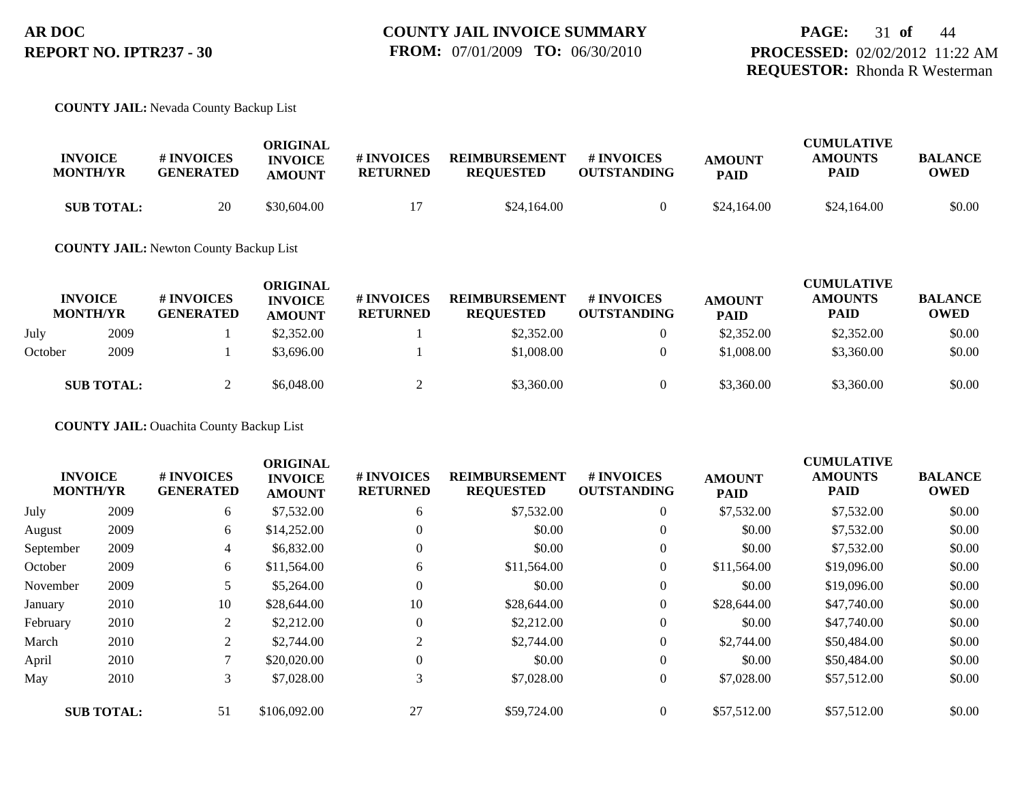#### **COUNTY JAIL:** Nevada County Backup List

| <b>INVOICE</b><br><b>MONTH/YR</b> | # INVOICES<br><b>GENERATED</b> | ORIGINAL<br><b>INVOICE</b><br><b>AMOUNT</b> | # INVOICES<br><b>RETURNED</b> | <b>REIMBURSEMENT</b><br><b>REOUESTED</b> | <b>#INVOICES</b><br><b>OUTSTANDING</b> | <b>AMOUNT</b><br><b>PAID</b> | <b>CUMULATIVE</b><br><b>AMOUNTS</b><br>PAID | <b>BALANCE</b><br><b>OWED</b> |
|-----------------------------------|--------------------------------|---------------------------------------------|-------------------------------|------------------------------------------|----------------------------------------|------------------------------|---------------------------------------------|-------------------------------|
| <b>SUB TOTAL:</b>                 | 20                             | \$30,604.00                                 |                               | \$24,164.00                              |                                        | \$24,164.00                  | \$24,164.00                                 | \$0.00                        |

**COUNTY JAIL:** Newton County Backup List

|         | <b>INVOICE</b><br><b>MONTH/YR</b> | # INVOICES<br><b>GENERATED</b> | ORIGINAL<br><b>INVOICE</b><br><b>AMOUNT</b> | # INVOICES<br><b>RETURNED</b> | <b>REIMBURSEMENT</b><br><b>REQUESTED</b> | # INVOICES<br><b>OUTSTANDING</b> | <b>AMOUNT</b><br><b>PAID</b> | <b>CUMULATIVE</b><br><b>AMOUNTS</b><br><b>PAID</b> | <b>BALANCE</b><br><b>OWED</b> |
|---------|-----------------------------------|--------------------------------|---------------------------------------------|-------------------------------|------------------------------------------|----------------------------------|------------------------------|----------------------------------------------------|-------------------------------|
| July    | 2009                              |                                | \$2,352.00                                  |                               | \$2,352.00                               |                                  | \$2,352.00                   | \$2,352.00                                         | \$0.00                        |
| October | 2009                              |                                | \$3,696.00                                  |                               | \$1,008.00                               |                                  | \$1,008.00                   | \$3,360.00                                         | \$0.00                        |
|         | <b>SUB TOTAL:</b>                 |                                | \$6,048.00                                  |                               | \$3,360.00                               |                                  | \$3,360.00                   | \$3,360.00                                         | \$0.00                        |

**COUNTY JAIL:** Ouachita County Backup List

|           |                                   |                                | <b>ORIGINAL</b>                 |                               |                                          |                                  |                              | <b>CUMULATIVE</b>      |                               |
|-----------|-----------------------------------|--------------------------------|---------------------------------|-------------------------------|------------------------------------------|----------------------------------|------------------------------|------------------------|-------------------------------|
|           | <b>INVOICE</b><br><b>MONTH/YR</b> | # INVOICES<br><b>GENERATED</b> | <b>INVOICE</b><br><b>AMOUNT</b> | # INVOICES<br><b>RETURNED</b> | <b>REIMBURSEMENT</b><br><b>REQUESTED</b> | # INVOICES<br><b>OUTSTANDING</b> | <b>AMOUNT</b><br><b>PAID</b> | <b>AMOUNTS</b><br>PAID | <b>BALANCE</b><br><b>OWED</b> |
| July      | 2009                              | 6                              | \$7,532.00                      | 6                             | \$7,532.00                               | $\overline{0}$                   | \$7,532.00                   | \$7,532.00             | \$0.00                        |
| August    | 2009                              | 6                              | \$14,252.00                     | $\Omega$                      | \$0.00                                   | $\theta$                         | \$0.00                       | \$7,532.00             | \$0.00                        |
| September | 2009                              | 4                              | \$6,832.00                      | $\theta$                      | \$0.00                                   | $\overline{0}$                   | \$0.00                       | \$7,532.00             | \$0.00                        |
| October   | 2009                              | 6                              | \$11,564.00                     | 6                             | \$11,564.00                              | $\overline{0}$                   | \$11,564.00                  | \$19,096.00            | \$0.00                        |
| November  | 2009                              |                                | \$5,264.00                      | $\Omega$                      | \$0.00                                   | $\theta$                         | \$0.00                       | \$19,096.00            | \$0.00                        |
| January   | 2010                              | 10                             | \$28,644.00                     | 10                            | \$28,644.00                              | $\overline{0}$                   | \$28,644.00                  | \$47,740.00            | \$0.00                        |
| February  | 2010                              | 2                              | \$2,212.00                      | $\theta$                      | \$2,212.00                               | $\overline{0}$                   | \$0.00                       | \$47,740.00            | \$0.00                        |
| March     | 2010                              | $\overline{2}$                 | \$2,744.00                      | 2                             | \$2,744.00                               | $\overline{0}$                   | \$2,744.00                   | \$50,484.00            | \$0.00                        |
| April     | 2010                              |                                | \$20,020.00                     | $\theta$                      | \$0.00                                   | $\overline{0}$                   | \$0.00                       | \$50,484.00            | \$0.00                        |
| May       | 2010                              | $\mathfrak{Z}$                 | \$7,028.00                      | 3                             | \$7,028.00                               | $\overline{0}$                   | \$7,028.00                   | \$57,512.00            | \$0.00                        |
|           | <b>SUB TOTAL:</b>                 | 51                             | \$106,092.00                    | 27                            | \$59,724.00                              | $\overline{0}$                   | \$57,512.00                  | \$57,512.00            | \$0.00                        |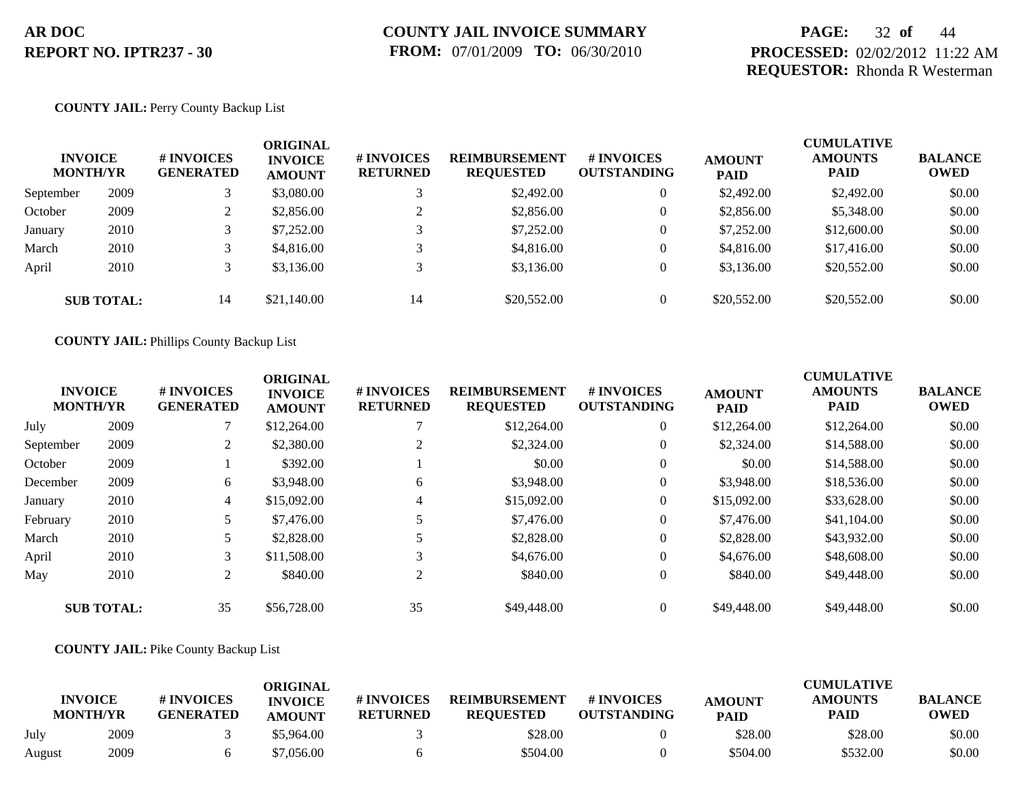## **PAGE:** 32 **of** 44 **PROCESSED:** 02/02/2012 11:22 AM **REQUESTOR:** Rhonda R Westerman

### **COUNTY JAIL:** Perry County Backup List

| <b>INVOICE</b><br><b>MONTH/YR</b> |                   | <b>#INVOICES</b><br><b>GENERATED</b> | ORIGINAL<br><b>INVOICE</b><br><b>AMOUNT</b> | # INVOICES<br><b>RETURNED</b> | <b>REIMBURSEMENT</b><br><b>REQUESTED</b> | # INVOICES<br><b>OUTSTANDING</b> | <b>AMOUNT</b><br><b>PAID</b> | <b>CUMULATIVE</b><br><b>AMOUNTS</b><br><b>PAID</b> | <b>BALANCE</b><br><b>OWED</b> |
|-----------------------------------|-------------------|--------------------------------------|---------------------------------------------|-------------------------------|------------------------------------------|----------------------------------|------------------------------|----------------------------------------------------|-------------------------------|
| September                         | 2009              |                                      | \$3,080.00                                  |                               | \$2,492.00                               | $\overline{0}$                   | \$2,492.00                   | \$2,492.00                                         | \$0.00                        |
| October                           | 2009              |                                      | \$2,856.00                                  |                               | \$2,856.00                               | $\mathbf{0}$                     | \$2,856.00                   | \$5,348.00                                         | \$0.00                        |
| January                           | 2010              |                                      | \$7,252.00                                  |                               | \$7,252.00                               | $\overline{0}$                   | \$7,252.00                   | \$12,600.00                                        | \$0.00                        |
| March                             | 2010              |                                      | \$4,816.00                                  |                               | \$4,816.00                               | $\overline{0}$                   | \$4,816.00                   | \$17,416.00                                        | \$0.00                        |
| April                             | 2010              |                                      | \$3,136.00                                  |                               | \$3,136.00                               | $\mathbf{0}$                     | \$3,136.00                   | \$20,552.00                                        | \$0.00                        |
|                                   | <b>SUB TOTAL:</b> | 14                                   | \$21,140.00                                 | 14                            | \$20,552.00                              | $\overline{0}$                   | \$20,552.00                  | \$20,552.00                                        | \$0.00                        |

**COUNTY JAIL:** Phillips County Backup List

|           | <b>INVOICE</b><br><b>MONTH/YR</b> | # INVOICES<br><b>GENERATED</b> | <b>ORIGINAL</b><br><b>INVOICE</b><br><b>AMOUNT</b> | # INVOICES<br><b>RETURNED</b> | <b>REIMBURSEMENT</b><br><b>REQUESTED</b> | # INVOICES<br><b>OUTSTANDING</b> | <b>AMOUNT</b><br><b>PAID</b> | <b>CUMULATIVE</b><br><b>AMOUNTS</b><br><b>PAID</b> | <b>BALANCE</b><br><b>OWED</b> |
|-----------|-----------------------------------|--------------------------------|----------------------------------------------------|-------------------------------|------------------------------------------|----------------------------------|------------------------------|----------------------------------------------------|-------------------------------|
| July      | 2009                              |                                | \$12,264.00                                        |                               | \$12,264.00                              | $\overline{0}$                   | \$12,264.00                  | \$12,264.00                                        | \$0.00                        |
| September | 2009                              |                                | \$2,380.00                                         | 2                             | \$2,324.00                               | $\overline{0}$                   | \$2,324.00                   | \$14,588.00                                        | \$0.00                        |
| October   | 2009                              |                                | \$392.00                                           |                               | \$0.00                                   | $\overline{0}$                   | \$0.00                       | \$14,588.00                                        | \$0.00                        |
| December  | 2009                              | 6                              | \$3,948.00                                         | 6                             | \$3,948.00                               | $\overline{0}$                   | \$3,948.00                   | \$18,536.00                                        | \$0.00                        |
| January   | 2010                              | 4                              | \$15,092.00                                        | $\overline{4}$                | \$15,092.00                              | $\overline{0}$                   | \$15,092.00                  | \$33,628.00                                        | \$0.00                        |
| February  | 2010                              |                                | \$7,476.00                                         |                               | \$7,476.00                               | $\overline{0}$                   | \$7,476.00                   | \$41,104.00                                        | \$0.00                        |
| March     | 2010                              |                                | \$2,828.00                                         |                               | \$2,828.00                               | $\overline{0}$                   | \$2,828.00                   | \$43,932.00                                        | \$0.00                        |
| April     | 2010                              | 3                              | \$11,508.00                                        | 3                             | \$4,676.00                               | $\overline{0}$                   | \$4,676.00                   | \$48,608.00                                        | \$0.00                        |
| May       | 2010                              | 2                              | \$840.00                                           | 2                             | \$840.00                                 | $\overline{0}$                   | \$840.00                     | \$49,448.00                                        | \$0.00                        |
|           | <b>SUB TOTAL:</b>                 | 35                             | \$56,728.00                                        | 35                            | \$49,448.00                              | $\overline{0}$                   | \$49,448.00                  | \$49,448.00                                        | \$0.00                        |

#### **COUNTY JAIL:** Pike County Backup List

|        | <b>INVOICE</b><br><b>MONTH/YR</b> | # INVOICES<br><b>GENERATED</b> | ORIGINAL<br><b>INVOICE</b><br><b>AMOUNT</b> | <b>#INVOICES</b><br><b>RETURNED</b> | <b>REIMBURSEMENT</b><br><b>REOUESTED</b> | # INVOICES<br><b>OUTSTANDING</b> | <b>AMOUNT</b><br><b>PAID</b> | <b>CUMULATIVE</b><br><b>AMOUNTS</b><br>PAID | <b>BALANCE</b><br><b>OWED</b> |
|--------|-----------------------------------|--------------------------------|---------------------------------------------|-------------------------------------|------------------------------------------|----------------------------------|------------------------------|---------------------------------------------|-------------------------------|
| July   | 2009                              |                                | \$5,964.00                                  |                                     | \$28.00                                  |                                  | \$28.00                      | \$28.00                                     | \$0.00                        |
| August | 2009                              |                                | \$7,056.00                                  |                                     | \$504.00                                 |                                  | \$504.00                     | \$532.00                                    | \$0.00                        |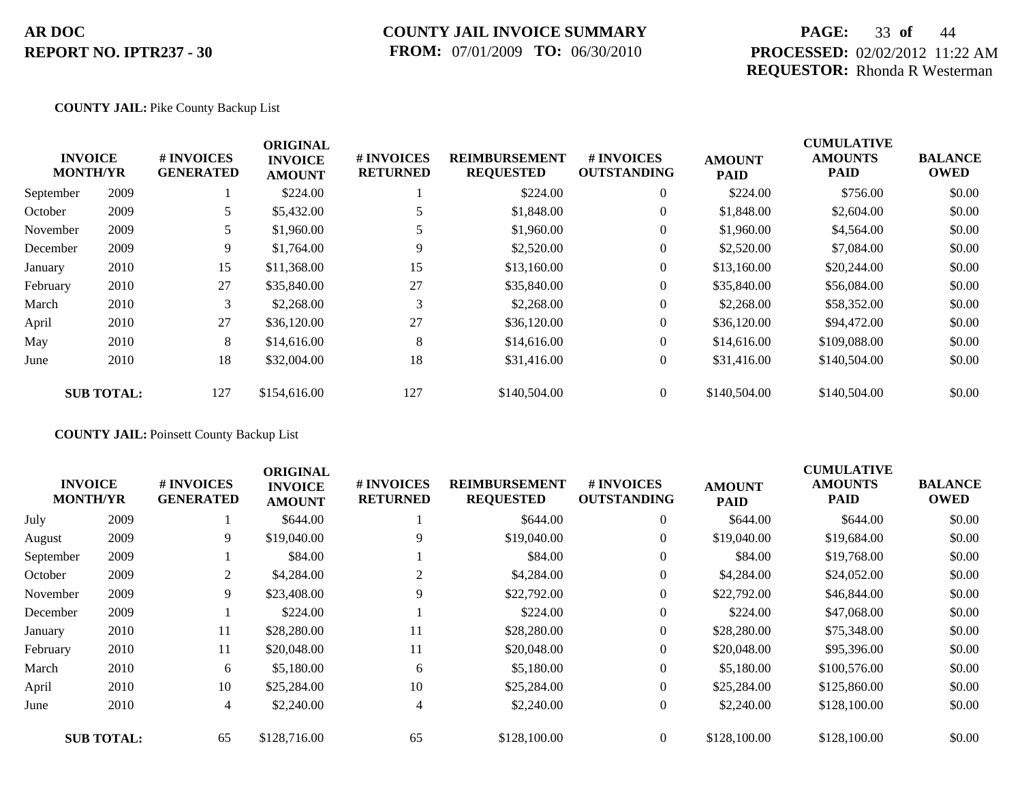### **COUNTY JAIL INVOICE SUMMARY FROM:** 07/01/2009 **TO:** 06/30/2010

## **PAGE:** 33 **of** 44 **PROCESSED:** 02/02/2012 11:22 AM **REQUESTOR:** Rhonda R Westerman

### **COUNTY JAIL:** Pike County Backup List

|           | <b>INVOICE</b><br><b>MONTH/YR</b> | <b>#INVOICES</b><br><b>GENERATED</b> | <b>ORIGINAL</b><br><b>INVOICE</b><br><b>AMOUNT</b> | # INVOICES<br><b>RETURNED</b> | <b>REIMBURSEMENT</b><br><b>REQUESTED</b> | <b>#INVOICES</b><br><b>OUTSTANDING</b> | <b>AMOUNT</b><br><b>PAID</b> | <b>CUMULATIVE</b><br><b>AMOUNTS</b><br><b>PAID</b> | <b>BALANCE</b><br><b>OWED</b> |
|-----------|-----------------------------------|--------------------------------------|----------------------------------------------------|-------------------------------|------------------------------------------|----------------------------------------|------------------------------|----------------------------------------------------|-------------------------------|
| September | 2009                              |                                      | \$224.00                                           |                               | \$224.00                                 | $\overline{0}$                         | \$224.00                     | \$756.00                                           | \$0.00                        |
| October   | 2009                              | 5                                    | \$5,432.00                                         |                               | \$1,848.00                               | $\overline{0}$                         | \$1,848.00                   | \$2,604.00                                         | \$0.00                        |
| November  | 2009                              |                                      | \$1,960.00                                         |                               | \$1,960.00                               | $\overline{0}$                         | \$1,960.00                   | \$4,564.00                                         | \$0.00                        |
| December  | 2009                              | 9                                    | \$1,764.00                                         | $\mathbf Q$                   | \$2,520.00                               | $\overline{0}$                         | \$2,520.00                   | \$7,084.00                                         | \$0.00                        |
| January   | 2010                              | 15                                   | \$11,368.00                                        | 15                            | \$13,160.00                              | $\boldsymbol{0}$                       | \$13,160.00                  | \$20,244.00                                        | \$0.00                        |
| February  | 2010                              | 27                                   | \$35,840.00                                        | 27                            | \$35,840.00                              | $\overline{0}$                         | \$35,840.00                  | \$56,084.00                                        | \$0.00                        |
| March     | 2010                              | 3                                    | \$2,268.00                                         | 3                             | \$2,268.00                               | $\overline{0}$                         | \$2,268.00                   | \$58,352.00                                        | \$0.00                        |
| April     | 2010                              | 27                                   | \$36,120.00                                        | 27                            | \$36,120.00                              | $\overline{0}$                         | \$36,120.00                  | \$94,472.00                                        | \$0.00                        |
| May       | 2010                              | 8                                    | \$14,616.00                                        | 8                             | \$14,616.00                              | $\overline{0}$                         | \$14,616.00                  | \$109,088.00                                       | \$0.00                        |
| June      | 2010                              | 18                                   | \$32,004.00                                        | 18                            | \$31,416.00                              | $\boldsymbol{0}$                       | \$31,416.00                  | \$140,504.00                                       | \$0.00                        |
|           | <b>SUB TOTAL:</b>                 | 127                                  | \$154,616.00                                       | 127                           | \$140,504.00                             | $\theta$                               | \$140,504.00                 | \$140,504.00                                       | \$0.00                        |

**COUNTY JAIL:** Poinsett County Backup List

|      | # INVOICES<br><b>GENERATED</b>                         | <b>ORIGINAL</b><br><b>INVOICE</b><br><b>AMOUNT</b> | # INVOICES<br><b>RETURNED</b> | <b>REIMBURSEMENT</b><br><b>REQUESTED</b> | # INVOICES<br><b>OUTSTANDING</b> | <b>AMOUNT</b><br><b>PAID</b> | <b>CUMULATIVE</b><br><b>AMOUNTS</b><br><b>PAID</b> | <b>BALANCE</b><br><b>OWED</b> |
|------|--------------------------------------------------------|----------------------------------------------------|-------------------------------|------------------------------------------|----------------------------------|------------------------------|----------------------------------------------------|-------------------------------|
| 2009 |                                                        | \$644.00                                           |                               | \$644.00                                 | $\overline{0}$                   | \$644.00                     | \$644.00                                           | \$0.00                        |
| 2009 | 9                                                      | \$19,040.00                                        | 9                             | \$19,040.00                              | $\boldsymbol{0}$                 | \$19,040.00                  | \$19,684.00                                        | \$0.00                        |
| 2009 |                                                        | \$84.00                                            |                               | \$84.00                                  | $\overline{0}$                   | \$84.00                      | \$19,768.00                                        | \$0.00                        |
| 2009 | 2                                                      | \$4,284.00                                         | 2                             | \$4,284.00                               | $\overline{0}$                   | \$4,284.00                   | \$24,052.00                                        | \$0.00                        |
| 2009 | 9                                                      | \$23,408.00                                        | 9                             | \$22,792.00                              | $\overline{0}$                   | \$22,792.00                  | \$46,844.00                                        | \$0.00                        |
| 2009 |                                                        | \$224.00                                           |                               | \$224.00                                 | $\overline{0}$                   | \$224.00                     | \$47,068.00                                        | \$0.00                        |
| 2010 | 11                                                     | \$28,280.00                                        | 11                            | \$28,280.00                              | $\boldsymbol{0}$                 | \$28,280.00                  | \$75,348.00                                        | \$0.00                        |
| 2010 | 11                                                     | \$20,048.00                                        | 11                            | \$20,048.00                              | $\overline{0}$                   | \$20,048.00                  | \$95,396.00                                        | \$0.00                        |
| 2010 | 6                                                      | \$5,180.00                                         | 6                             | \$5,180.00                               | $\boldsymbol{0}$                 | \$5,180.00                   | \$100,576.00                                       | \$0.00                        |
| 2010 | 10                                                     | \$25,284.00                                        | 10                            | \$25,284.00                              | $\overline{0}$                   | \$25,284.00                  | \$125,860.00                                       | \$0.00                        |
| 2010 | $\overline{4}$                                         | \$2,240.00                                         | 4                             | \$2,240.00                               | $\overline{0}$                   | \$2,240.00                   | \$128,100.00                                       | \$0.00                        |
|      | 65                                                     | \$128,716.00                                       | 65                            | \$128,100.00                             | $\Omega$                         | \$128,100.00                 | \$128,100.00                                       | \$0.00                        |
|      | <b>INVOICE</b><br><b>MONTH/YR</b><br><b>SUB TOTAL:</b> |                                                    |                               |                                          |                                  |                              |                                                    |                               |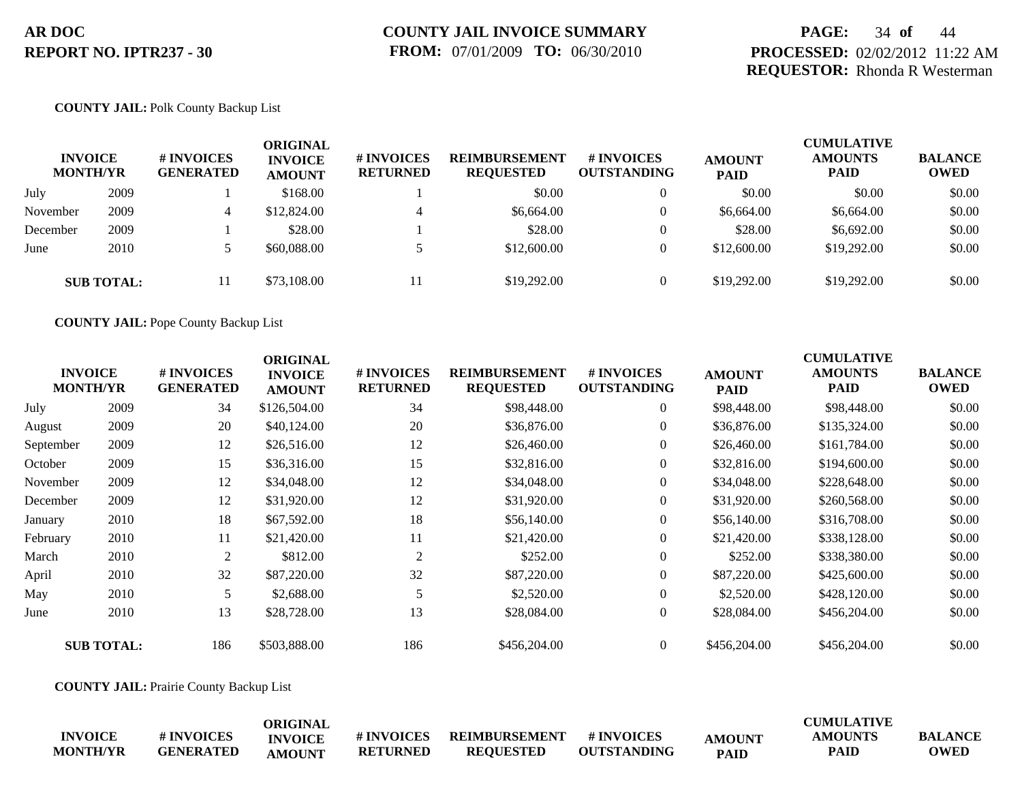## **PAGE:** 34 **of** 44 **PROCESSED:** 02/02/2012 11:22 AM **REQUESTOR:** Rhonda R Westerman

#### **COUNTY JAIL:** Polk County Backup List

| <b>INVOICE</b><br><b>MONTH/YR</b> |                   | <b>#INVOICES</b><br><b>GENERATED</b> | ORIGINAL<br><b>INVOICE</b><br><b>AMOUNT</b> | <b># INVOICES</b><br><b>RETURNED</b> | <b>REIMBURSEMENT</b><br><b>REQUESTED</b> | # INVOICES<br><b>OUTSTANDING</b> | <b>AMOUNT</b><br><b>PAID</b> | <b>CUMULATIVE</b><br><b>AMOUNTS</b><br><b>PAID</b> | <b>BALANCE</b><br><b>OWED</b> |
|-----------------------------------|-------------------|--------------------------------------|---------------------------------------------|--------------------------------------|------------------------------------------|----------------------------------|------------------------------|----------------------------------------------------|-------------------------------|
| July                              | 2009              |                                      | \$168.00                                    |                                      | \$0.00                                   | $\theta$                         | \$0.00                       | \$0.00                                             | \$0.00                        |
| November                          | 2009              | 4                                    | \$12,824.00                                 | $\overline{ }$                       | \$6,664.00                               | $\theta$                         | \$6,664.00                   | \$6,664.00                                         | \$0.00                        |
| December                          | 2009              |                                      | \$28.00                                     |                                      | \$28.00                                  | $\theta$                         | \$28.00                      | \$6,692.00                                         | \$0.00                        |
| June                              | 2010              |                                      | \$60,088,00                                 |                                      | \$12,600.00                              | $\theta$                         | \$12,600.00                  | \$19,292.00                                        | \$0.00                        |
|                                   | <b>SUB TOTAL:</b> | 11                                   | \$73,108.00                                 |                                      | \$19,292.00                              |                                  | \$19,292.00                  | \$19,292.00                                        | \$0.00                        |

**COUNTY JAIL:** Pope County Backup List

|           | <b>INVOICE</b><br><b>MONTH/YR</b> | # INVOICES<br><b>GENERATED</b> | <b>ORIGINAL</b><br><b>INVOICE</b><br><b>AMOUNT</b> | # INVOICES<br><b>RETURNED</b> | <b>REIMBURSEMENT</b><br><b>REQUESTED</b> | <b># INVOICES</b><br><b>OUTSTANDING</b> | <b>AMOUNT</b><br><b>PAID</b> | <b>CUMULATIVE</b><br><b>AMOUNTS</b><br>PAID | <b>BALANCE</b><br><b>OWED</b> |
|-----------|-----------------------------------|--------------------------------|----------------------------------------------------|-------------------------------|------------------------------------------|-----------------------------------------|------------------------------|---------------------------------------------|-------------------------------|
| July      | 2009                              | 34                             | \$126,504.00                                       | 34                            | \$98,448.00                              | $\overline{0}$                          | \$98,448.00                  | \$98,448.00                                 | \$0.00                        |
| August    | 2009                              | 20                             | \$40,124.00                                        | 20                            | \$36,876.00                              | $\overline{0}$                          | \$36,876.00                  | \$135,324.00                                | \$0.00                        |
| September | 2009                              | 12                             | \$26,516.00                                        | 12                            | \$26,460.00                              | $\overline{0}$                          | \$26,460.00                  | \$161,784.00                                | \$0.00                        |
| October   | 2009                              | 15                             | \$36,316.00                                        | 15                            | \$32,816.00                              | $\overline{0}$                          | \$32,816.00                  | \$194,600.00                                | \$0.00                        |
| November  | 2009                              | 12                             | \$34,048.00                                        | 12                            | \$34,048.00                              | $\overline{0}$                          | \$34,048.00                  | \$228,648.00                                | \$0.00                        |
| December  | 2009                              | 12                             | \$31,920.00                                        | 12                            | \$31,920.00                              | $\overline{0}$                          | \$31,920.00                  | \$260,568.00                                | \$0.00                        |
| January   | 2010                              | 18                             | \$67,592.00                                        | 18                            | \$56,140.00                              | $\overline{0}$                          | \$56,140.00                  | \$316,708.00                                | \$0.00                        |
| February  | 2010                              | 11                             | \$21,420.00                                        | 11                            | \$21,420.00                              | $\overline{0}$                          | \$21,420.00                  | \$338,128.00                                | \$0.00                        |
| March     | 2010                              | $\overline{2}$                 | \$812.00                                           | 2                             | \$252.00                                 | $\overline{0}$                          | \$252.00                     | \$338,380.00                                | \$0.00                        |
| April     | 2010                              | 32                             | \$87,220.00                                        | 32                            | \$87,220.00                              | $\overline{0}$                          | \$87,220.00                  | \$425,600.00                                | \$0.00                        |
| May       | 2010                              | 5                              | \$2,688.00                                         | 5                             | \$2,520.00                               | $\overline{0}$                          | \$2,520.00                   | \$428,120.00                                | \$0.00                        |
| June      | 2010                              | 13                             | \$28,728.00                                        | 13                            | \$28,084.00                              | $\boldsymbol{0}$                        | \$28,084.00                  | \$456,204.00                                | \$0.00                        |
|           | <b>SUB TOTAL:</b>                 | 186                            | \$503,888.00                                       | 186                           | \$456,204.00                             | $\overline{0}$                          | \$456,204.00                 | \$456,204.00                                | \$0.00                        |

**COUNTY JAIL:** Prairie County Backup List

|                 |                   | ORIGINAL       |                   |                  |                    |               | <b>CUMULATIVE</b> |                |
|-----------------|-------------------|----------------|-------------------|------------------|--------------------|---------------|-------------------|----------------|
| <b>INVOICE</b>  | <b># INVOICES</b> | <b>INVOICE</b> | <b># INVOICES</b> | REIMBURSEMENT    | # INVOICES         | <b>AMOUNT</b> | <b>AMOUNTS</b>    | <b>BALANCE</b> |
| <b>MONTH/YR</b> | <b>GENERATED</b>  | <b>AMOUNT</b>  | <b>RETURNED</b>   | <b>REQUESTED</b> | <b>OUTSTANDING</b> | <b>PAID</b>   | <b>PAID</b>       | <b>OWED</b>    |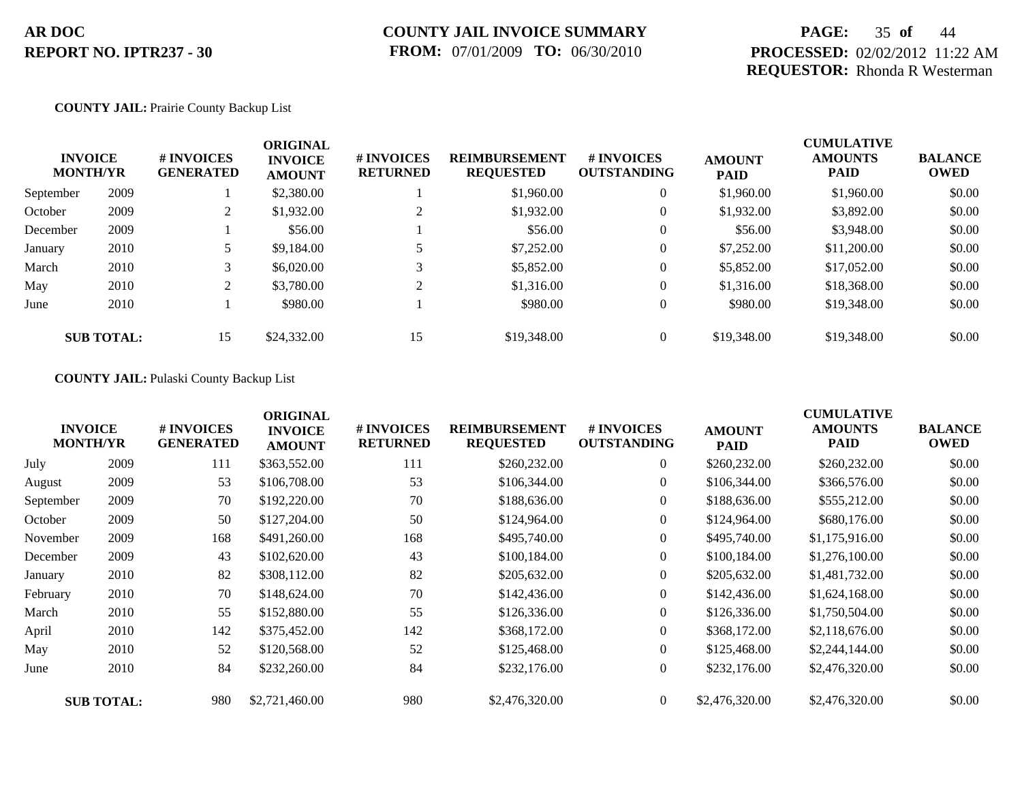## **PAGE:** 35 **of** 44 **PROCESSED:** 02/02/2012 11:22 AM **REQUESTOR:** Rhonda R Westerman

#### **COUNTY JAIL:** Prairie County Backup List

| <b>MONTH/YR</b> | <b>INVOICE</b>    | # INVOICES<br><b>GENERATED</b> | <b>ORIGINAL</b><br><b>INVOICE</b><br><b>AMOUNT</b> | # INVOICES<br><b>RETURNED</b> | <b>REIMBURSEMENT</b><br><b>REQUESTED</b> | <b>#INVOICES</b><br><b>OUTSTANDING</b> | <b>AMOUNT</b><br><b>PAID</b> | <b>CUMULATIVE</b><br><b>AMOUNTS</b><br><b>PAID</b> | <b>BALANCE</b><br><b>OWED</b> |
|-----------------|-------------------|--------------------------------|----------------------------------------------------|-------------------------------|------------------------------------------|----------------------------------------|------------------------------|----------------------------------------------------|-------------------------------|
| September       | 2009              |                                | \$2,380.00                                         |                               | \$1,960.00                               | $\overline{0}$                         | \$1,960.00                   | \$1,960.00                                         | \$0.00                        |
| October         | 2009              | ∠                              | \$1,932.00                                         |                               | \$1,932.00                               | $\overline{0}$                         | \$1,932.00                   | \$3,892.00                                         | \$0.00                        |
| December        | 2009              |                                | \$56.00                                            |                               | \$56.00                                  | $\theta$                               | \$56.00                      | \$3,948.00                                         | \$0.00                        |
| January         | 2010              |                                | \$9,184.00                                         |                               | \$7,252.00                               | $\overline{0}$                         | \$7,252.00                   | \$11,200.00                                        | \$0.00                        |
| March           | 2010              |                                | \$6,020.00                                         |                               | \$5,852.00                               | $\overline{0}$                         | \$5,852.00                   | \$17,052.00                                        | \$0.00                        |
| May             | 2010              | $\gamma$                       | \$3,780.00                                         | 2                             | \$1,316.00                               | $\overline{0}$                         | \$1,316.00                   | \$18,368.00                                        | \$0.00                        |
| June            | 2010              |                                | \$980.00                                           |                               | \$980.00                                 | $\overline{0}$                         | \$980.00                     | \$19,348.00                                        | \$0.00                        |
|                 | <b>SUB TOTAL:</b> | 15                             | \$24,332.00                                        | 15                            | \$19,348.00                              | $\overline{0}$                         | \$19,348.00                  | \$19,348.00                                        | \$0.00                        |

#### **COUNTY JAIL:** Pulaski County Backup List

|           | <b>INVOICE</b><br><b>MONTH/YR</b> | # INVOICES<br><b>GENERATED</b> | <b>ORIGINAL</b><br><b>INVOICE</b><br><b>AMOUNT</b> | # INVOICES<br><b>RETURNED</b> | <b>REIMBURSEMENT</b><br><b>REQUESTED</b> | <b># INVOICES</b><br><b>OUTSTANDING</b> | <b>AMOUNT</b><br><b>PAID</b> | <b>CUMULATIVE</b><br><b>AMOUNTS</b><br><b>PAID</b> | <b>BALANCE</b><br><b>OWED</b> |
|-----------|-----------------------------------|--------------------------------|----------------------------------------------------|-------------------------------|------------------------------------------|-----------------------------------------|------------------------------|----------------------------------------------------|-------------------------------|
| July      | 2009                              | 111                            | \$363,552.00                                       | 111                           | \$260,232.00                             | $\overline{0}$                          | \$260,232.00                 | \$260,232.00                                       | \$0.00                        |
| August    | 2009                              | 53                             | \$106,708.00                                       | 53                            | \$106,344.00                             | $\overline{0}$                          | \$106,344.00                 | \$366,576.00                                       | \$0.00                        |
| September | 2009                              | 70                             | \$192,220.00                                       | 70                            | \$188,636.00                             | $\theta$                                | \$188,636.00                 | \$555,212.00                                       | \$0.00                        |
| October   | 2009                              | 50                             | \$127,204.00                                       | 50                            | \$124,964.00                             | $\overline{0}$                          | \$124,964.00                 | \$680,176.00                                       | \$0.00                        |
| November  | 2009                              | 168                            | \$491,260.00                                       | 168                           | \$495,740.00                             | $\theta$                                | \$495,740.00                 | \$1,175,916.00                                     | \$0.00                        |
| December  | 2009                              | 43                             | \$102,620.00                                       | 43                            | \$100,184.00                             | $\overline{0}$                          | \$100,184.00                 | \$1,276,100.00                                     | \$0.00                        |
| January   | 2010                              | 82                             | \$308,112.00                                       | 82                            | \$205,632.00                             | $\overline{0}$                          | \$205,632.00                 | \$1,481,732.00                                     | \$0.00                        |
| February  | 2010                              | 70                             | \$148,624.00                                       | 70                            | \$142,436.00                             | $\overline{0}$                          | \$142,436.00                 | \$1,624,168.00                                     | \$0.00                        |
| March     | 2010                              | 55                             | \$152,880.00                                       | 55                            | \$126,336.00                             | $\Omega$                                | \$126,336.00                 | \$1,750,504.00                                     | \$0.00                        |
| April     | 2010                              | 142                            | \$375,452.00                                       | 142                           | \$368,172.00                             | $\overline{0}$                          | \$368,172.00                 | \$2,118,676.00                                     | \$0.00                        |
| May       | 2010                              | 52                             | \$120,568.00                                       | 52                            | \$125,468.00                             | $\overline{0}$                          | \$125,468.00                 | \$2,244,144.00                                     | \$0.00                        |
| June      | 2010                              | 84                             | \$232,260.00                                       | 84                            | \$232,176.00                             | $\overline{0}$                          | \$232,176.00                 | \$2,476,320.00                                     | \$0.00                        |
|           | <b>SUB TOTAL:</b>                 | 980                            | \$2,721,460.00                                     | 980                           | \$2,476,320.00                           | $\overline{0}$                          | \$2,476,320.00               | \$2,476,320.00                                     | \$0.00                        |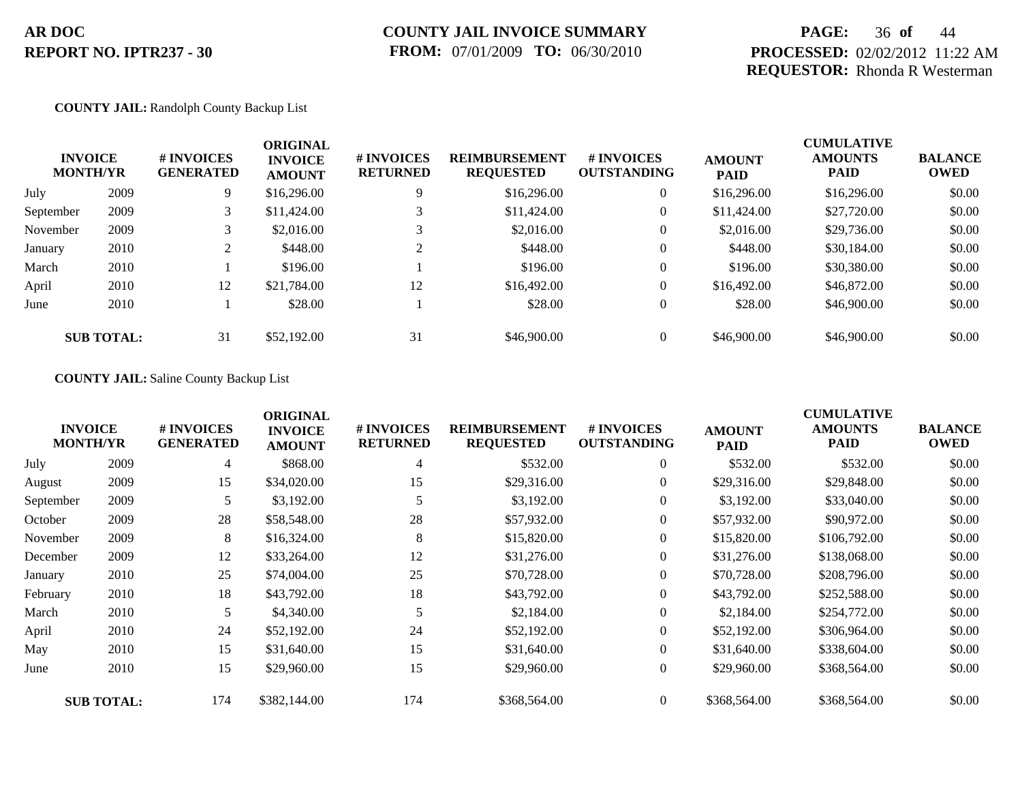## **PAGE:** 36 **of** 44 **PROCESSED:** 02/02/2012 11:22 AM **REQUESTOR:** Rhonda R Westerman

#### **COUNTY JAIL:** Randolph County Backup List

| <b>INVOICE</b><br><b>MONTH/YR</b> |                   | # INVOICES<br><b>GENERATED</b> | <b>ORIGINAL</b><br><b>INVOICE</b><br><b>AMOUNT</b> | # INVOICES<br><b>RETURNED</b> | <b>REIMBURSEMENT</b><br><b>REQUESTED</b> | # INVOICES<br><b>OUTSTANDING</b> | <b>AMOUNT</b><br><b>PAID</b> | <b>CUMULATIVE</b><br><b>AMOUNTS</b><br><b>PAID</b> | <b>BALANCE</b><br><b>OWED</b> |
|-----------------------------------|-------------------|--------------------------------|----------------------------------------------------|-------------------------------|------------------------------------------|----------------------------------|------------------------------|----------------------------------------------------|-------------------------------|
| July                              | 2009              | 9                              | \$16,296.00                                        | 9                             | \$16,296.00                              | $\overline{0}$                   | \$16,296.00                  | \$16,296.00                                        | \$0.00                        |
| September                         | 2009              | 3                              | \$11,424.00                                        |                               | \$11,424.00                              | $\theta$                         | \$11,424.00                  | \$27,720.00                                        | \$0.00                        |
| November                          | 2009              |                                | \$2,016.00                                         |                               | \$2,016.00                               | $\theta$                         | \$2,016.00                   | \$29,736.00                                        | \$0.00                        |
| January                           | 2010              |                                | \$448.00                                           | ◠                             | \$448.00                                 | $\theta$                         | \$448.00                     | \$30,184.00                                        | \$0.00                        |
| March                             | 2010              |                                | \$196.00                                           |                               | \$196.00                                 | $\theta$                         | \$196.00                     | \$30,380.00                                        | \$0.00                        |
| April                             | 2010              | 12                             | \$21,784.00                                        | 12                            | \$16,492.00                              | $\overline{0}$                   | \$16,492.00                  | \$46,872.00                                        | \$0.00                        |
| June                              | 2010              |                                | \$28.00                                            |                               | \$28.00                                  | $\overline{0}$                   | \$28.00                      | \$46,900.00                                        | \$0.00                        |
|                                   | <b>SUB TOTAL:</b> | 31                             | \$52,192.00                                        | 31                            | \$46,900.00                              | $\overline{0}$                   | \$46,900.00                  | \$46,900.00                                        | \$0.00                        |

#### **COUNTY JAIL:** Saline County Backup List

|           | <b>INVOICE</b><br><b>MONTH/YR</b> | # INVOICES<br><b>GENERATED</b> | <b>ORIGINAL</b><br><b>INVOICE</b><br><b>AMOUNT</b> | # INVOICES<br><b>RETURNED</b> | <b>REIMBURSEMENT</b><br><b>REQUESTED</b> | <b>#INVOICES</b><br><b>OUTSTANDING</b> | <b>AMOUNT</b><br><b>PAID</b> | <b>CUMULATIVE</b><br><b>AMOUNTS</b><br><b>PAID</b> | <b>BALANCE</b><br><b>OWED</b> |
|-----------|-----------------------------------|--------------------------------|----------------------------------------------------|-------------------------------|------------------------------------------|----------------------------------------|------------------------------|----------------------------------------------------|-------------------------------|
| July      | 2009                              | 4                              | \$868.00                                           | 4                             | \$532.00                                 | $\overline{0}$                         | \$532.00                     | \$532.00                                           | \$0.00                        |
| August    | 2009                              | 15                             | \$34,020.00                                        | 15                            | \$29,316.00                              | $\overline{0}$                         | \$29,316.00                  | \$29,848.00                                        | \$0.00                        |
| September | 2009                              | 5                              | \$3,192.00                                         |                               | \$3,192.00                               | $\overline{0}$                         | \$3,192.00                   | \$33,040.00                                        | \$0.00                        |
| October   | 2009                              | 28                             | \$58,548.00                                        | 28                            | \$57,932.00                              | $\overline{0}$                         | \$57,932.00                  | \$90,972.00                                        | \$0.00                        |
| November  | 2009                              | 8                              | \$16,324.00                                        | 8                             | \$15,820.00                              | $\overline{0}$                         | \$15,820.00                  | \$106,792.00                                       | \$0.00                        |
| December  | 2009                              | 12                             | \$33,264.00                                        | 12                            | \$31,276.00                              | $\overline{0}$                         | \$31,276.00                  | \$138,068.00                                       | \$0.00                        |
| January   | 2010                              | 25                             | \$74,004.00                                        | 25                            | \$70,728.00                              | $\boldsymbol{0}$                       | \$70,728.00                  | \$208,796.00                                       | \$0.00                        |
| February  | 2010                              | 18                             | \$43,792.00                                        | 18                            | \$43,792.00                              | $\overline{0}$                         | \$43,792.00                  | \$252,588.00                                       | \$0.00                        |
| March     | 2010                              | 5                              | \$4,340.00                                         |                               | \$2,184.00                               | $\overline{0}$                         | \$2,184.00                   | \$254,772.00                                       | \$0.00                        |
| April     | 2010                              | 24                             | \$52,192.00                                        | 24                            | \$52,192.00                              | $\boldsymbol{0}$                       | \$52,192.00                  | \$306,964.00                                       | \$0.00                        |
| May       | 2010                              | 15                             | \$31,640.00                                        | 15                            | \$31,640.00                              | $\overline{0}$                         | \$31,640.00                  | \$338,604.00                                       | \$0.00                        |
| June      | 2010                              | 15                             | \$29,960.00                                        | 15                            | \$29,960.00                              | $\overline{0}$                         | \$29,960.00                  | \$368,564.00                                       | \$0.00                        |
|           | <b>SUB TOTAL:</b>                 | 174                            | \$382,144.00                                       | 174                           | \$368,564.00                             | $\overline{0}$                         | \$368,564.00                 | \$368,564.00                                       | \$0.00                        |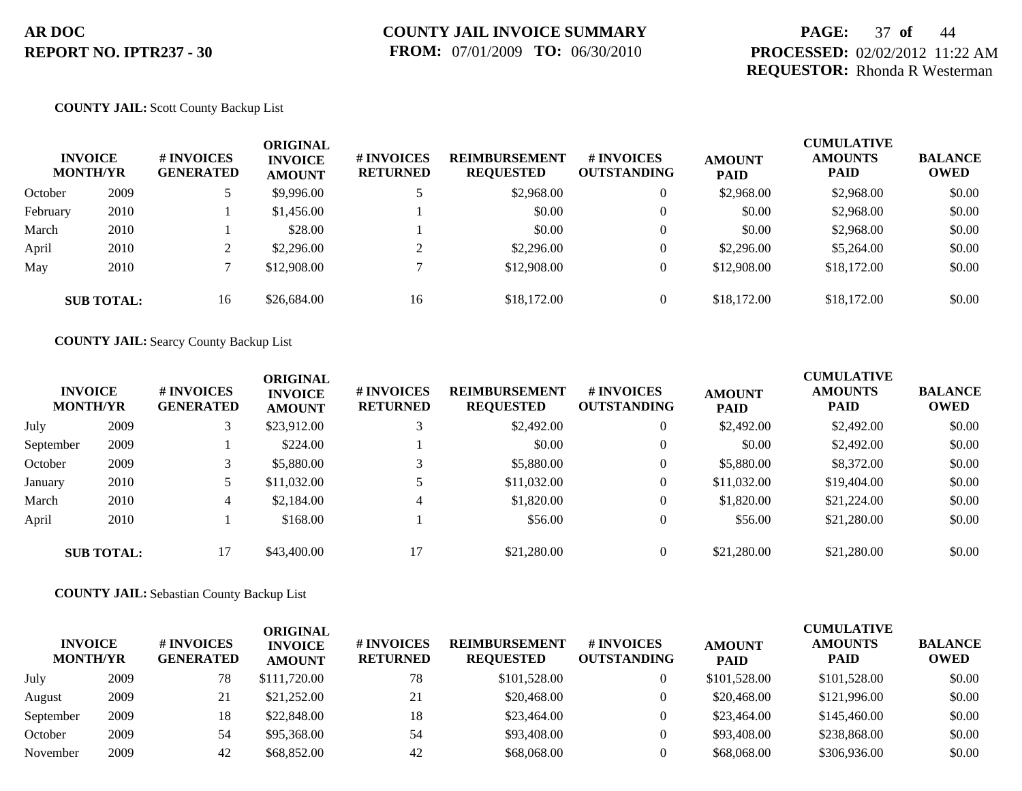## **PAGE:** 37 **of** 44 **PROCESSED:** 02/02/2012 11:22 AM **REQUESTOR:** Rhonda R Westerman

#### **COUNTY JAIL:** Scott County Backup List

|          | <b>INVOICE</b><br><b>MONTH/YR</b> | # INVOICES<br><b>GENERATED</b> | ORIGINAL<br><b>INVOICE</b><br><b>AMOUNT</b> | # INVOICES<br><b>RETURNED</b> | <b>REIMBURSEMENT</b><br><b>REQUESTED</b> | <b># INVOICES</b><br><b>OUTSTANDING</b> | <b>AMOUNT</b><br><b>PAID</b> | <b>CUMULATIVE</b><br><b>AMOUNTS</b><br><b>PAID</b> | <b>BALANCE</b><br><b>OWED</b> |
|----------|-----------------------------------|--------------------------------|---------------------------------------------|-------------------------------|------------------------------------------|-----------------------------------------|------------------------------|----------------------------------------------------|-------------------------------|
| October  | 2009                              |                                | \$9,996.00                                  |                               | \$2,968.00                               | $\overline{0}$                          | \$2,968.00                   | \$2,968.00                                         | \$0.00                        |
| February | 2010                              |                                | \$1,456.00                                  |                               | \$0.00                                   | $\mathbf{0}$                            | \$0.00                       | \$2,968.00                                         | \$0.00                        |
| March    | 2010                              |                                | \$28.00                                     |                               | \$0.00                                   | $\overline{0}$                          | \$0.00                       | \$2,968.00                                         | \$0.00                        |
| April    | 2010                              |                                | \$2,296.00                                  | ◠                             | \$2,296.00                               | $\overline{0}$                          | \$2,296.00                   | \$5,264.00                                         | \$0.00                        |
| May      | 2010                              |                                | \$12,908.00                                 |                               | \$12,908.00                              | $\overline{0}$                          | \$12,908.00                  | \$18,172.00                                        | \$0.00                        |
|          | <b>SUB TOTAL:</b>                 | 16                             | \$26,684.00                                 | 16                            | \$18,172.00                              | $\overline{0}$                          | \$18,172.00                  | \$18,172.00                                        | \$0.00                        |

**COUNTY JAIL:** Searcy County Backup List

|           | <b>INVOICE</b><br><b>MONTH/YR</b> | # INVOICES<br><b>GENERATED</b> | ORIGINAL<br><b>INVOICE</b><br><b>AMOUNT</b> | <b># INVOICES</b><br><b>RETURNED</b> | <b>REIMBURSEMENT</b><br><b>REQUESTED</b> | # INVOICES<br><b>OUTSTANDING</b> | <b>AMOUNT</b><br><b>PAID</b> | <b>CUMULATIVE</b><br><b>AMOUNTS</b><br><b>PAID</b> | <b>BALANCE</b><br><b>OWED</b> |
|-----------|-----------------------------------|--------------------------------|---------------------------------------------|--------------------------------------|------------------------------------------|----------------------------------|------------------------------|----------------------------------------------------|-------------------------------|
| July      | 2009                              |                                | \$23,912.00                                 |                                      | \$2,492.00                               | $\overline{0}$                   | \$2,492.00                   | \$2,492.00                                         | \$0.00                        |
| September | 2009                              |                                | \$224.00                                    |                                      | \$0.00                                   | $\theta$                         | \$0.00                       | \$2,492.00                                         | \$0.00                        |
| October   | 2009                              |                                | \$5,880.00                                  |                                      | \$5,880.00                               | $\overline{0}$                   | \$5,880.00                   | \$8,372.00                                         | \$0.00                        |
| January   | 2010                              |                                | \$11,032.00                                 |                                      | \$11,032.00                              | $\overline{0}$                   | \$11,032.00                  | \$19,404.00                                        | \$0.00                        |
| March     | 2010                              | 4                              | \$2,184.00                                  |                                      | \$1,820.00                               | $\theta$                         | \$1,820.00                   | \$21,224.00                                        | \$0.00                        |
| April     | 2010                              |                                | \$168.00                                    |                                      | \$56.00                                  | $\theta$                         | \$56.00                      | \$21,280.00                                        | \$0.00                        |
|           | <b>SUB TOTAL:</b>                 | 17                             | \$43,400.00                                 |                                      | \$21,280.00                              | $\Omega$                         | \$21,280.00                  | \$21,280.00                                        | \$0.00                        |

**COUNTY JAIL:** Sebastian County Backup List

| <b>INVOICE</b><br><b>MONTH/YR</b> |      | # INVOICES<br><b>GENERATED</b> | ORIGINAL<br><b>INVOICE</b><br><b>AMOUNT</b> | <b># INVOICES</b><br><b>RETURNED</b> | <b>REIMBURSEMENT</b><br><b>REQUESTED</b> | <b># INVOICES</b><br><b>OUTSTANDING</b> | <b>AMOUNT</b><br><b>PAID</b> | <b>CUMULATIVE</b><br><b>AMOUNTS</b><br><b>PAID</b> | <b>BALANCE</b><br><b>OWED</b> |
|-----------------------------------|------|--------------------------------|---------------------------------------------|--------------------------------------|------------------------------------------|-----------------------------------------|------------------------------|----------------------------------------------------|-------------------------------|
| July                              | 2009 | 78                             | \$111,720.00                                | 78                                   | \$101,528.00                             |                                         | \$101,528.00                 | \$101,528.00                                       | \$0.00                        |
| August                            | 2009 | 21                             | \$21,252.00                                 | 21                                   | \$20,468.00                              |                                         | \$20,468.00                  | \$121,996.00                                       | \$0.00                        |
| September                         | 2009 | 18                             | \$22,848.00                                 | 18                                   | \$23,464.00                              |                                         | \$23,464.00                  | \$145,460.00                                       | \$0.00                        |
| October                           | 2009 | 54                             | \$95,368,00                                 | 54                                   | \$93,408.00                              |                                         | \$93,408.00                  | \$238,868,00                                       | \$0.00                        |
| November                          | 2009 | 42                             | \$68,852.00                                 | 42                                   | \$68,068,00                              |                                         | \$68,068,00                  | \$306,936.00                                       | \$0.00                        |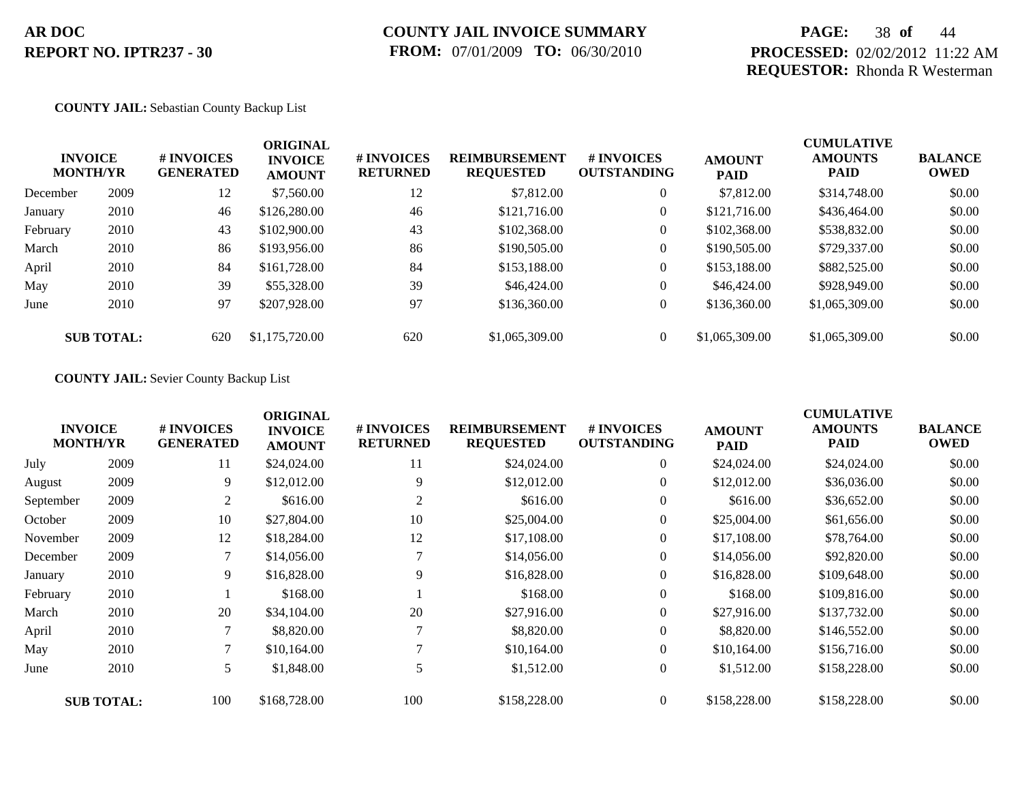## **PAGE:** 38 **of** 44 **PROCESSED:** 02/02/2012 11:22 AM **REQUESTOR:** Rhonda R Westerman

#### **COUNTY JAIL:** Sebastian County Backup List

| <b>INVOICE</b><br><b>MONTH/YR</b> |                   | # INVOICES<br><b>GENERATED</b> | <b>ORIGINAL</b><br><b>INVOICE</b><br><b>AMOUNT</b> | # INVOICES<br><b>RETURNED</b> | <b>REIMBURSEMENT</b><br><b>REQUESTED</b> | <b>#INVOICES</b><br><b>OUTSTANDING</b> | <b>AMOUNT</b><br><b>PAID</b> | <b>CUMULATIVE</b><br><b>AMOUNTS</b><br>PAID | <b>BALANCE</b><br>OWED |
|-----------------------------------|-------------------|--------------------------------|----------------------------------------------------|-------------------------------|------------------------------------------|----------------------------------------|------------------------------|---------------------------------------------|------------------------|
| December                          | 2009              | 12                             | \$7,560.00                                         | 12                            | \$7,812.00                               | $\overline{0}$                         | \$7,812.00                   | \$314,748.00                                | \$0.00                 |
| January                           | 2010              | 46                             | \$126,280.00                                       | 46                            | \$121,716.00                             | $\overline{0}$                         | \$121,716.00                 | \$436,464.00                                | \$0.00                 |
| February                          | 2010              | 43                             | \$102,900.00                                       | 43                            | \$102,368.00                             | $\overline{0}$                         | \$102,368.00                 | \$538,832.00                                | \$0.00                 |
| March                             | 2010              | 86                             | \$193,956.00                                       | 86                            | \$190,505.00                             | $\overline{0}$                         | \$190,505.00                 | \$729,337.00                                | \$0.00                 |
| April                             | 2010              | 84                             | \$161,728.00                                       | 84                            | \$153,188.00                             | $\overline{0}$                         | \$153,188.00                 | \$882,525.00                                | \$0.00                 |
| May                               | 2010              | 39                             | \$55,328.00                                        | 39                            | \$46,424.00                              | $\overline{0}$                         | \$46,424.00                  | \$928,949.00                                | \$0.00                 |
| June                              | 2010              | 97                             | \$207,928.00                                       | 97                            | \$136,360.00                             | $\overline{0}$                         | \$136,360.00                 | \$1,065,309.00                              | \$0.00                 |
|                                   | <b>SUB TOTAL:</b> | 620                            | \$1,175,720.00                                     | 620                           | \$1,065,309.00                           | $\overline{0}$                         | \$1,065,309,00               | \$1,065,309.00                              | \$0.00                 |

#### **COUNTY JAIL:** Sevier County Backup List

|           | <b>INVOICE</b><br><b>MONTH/YR</b> | # INVOICES<br><b>GENERATED</b> | <b>ORIGINAL</b><br><b>INVOICE</b><br><b>AMOUNT</b> | # INVOICES<br><b>RETURNED</b> | <b>REIMBURSEMENT</b><br><b>REQUESTED</b> | <b># INVOICES</b><br><b>OUTSTANDING</b> | <b>AMOUNT</b><br><b>PAID</b> | <b>CUMULATIVE</b><br><b>AMOUNTS</b><br>PAID | <b>BALANCE</b><br><b>OWED</b> |
|-----------|-----------------------------------|--------------------------------|----------------------------------------------------|-------------------------------|------------------------------------------|-----------------------------------------|------------------------------|---------------------------------------------|-------------------------------|
| July      | 2009                              | 11                             | \$24,024.00                                        | 11                            | \$24,024.00                              | $\overline{0}$                          | \$24,024.00                  | \$24,024.00                                 | \$0.00                        |
| August    | 2009                              | 9                              | \$12,012.00                                        | 9                             | \$12,012.00                              | $\overline{0}$                          | \$12,012.00                  | \$36,036.00                                 | \$0.00                        |
| September | 2009                              | 2                              | \$616.00                                           | 2                             | \$616.00                                 | $\overline{0}$                          | \$616.00                     | \$36,652.00                                 | \$0.00                        |
| October   | 2009                              | 10                             | \$27,804.00                                        | 10                            | \$25,004.00                              | $\overline{0}$                          | \$25,004.00                  | \$61,656.00                                 | \$0.00                        |
| November  | 2009                              | 12                             | \$18,284.00                                        | 12                            | \$17,108.00                              | $\overline{0}$                          | \$17,108.00                  | \$78,764.00                                 | \$0.00                        |
| December  | 2009                              |                                | \$14,056.00                                        |                               | \$14,056.00                              | $\overline{0}$                          | \$14,056.00                  | \$92,820.00                                 | \$0.00                        |
| January   | 2010                              | 9                              | \$16,828.00                                        | 9                             | \$16,828.00                              | $\overline{0}$                          | \$16,828.00                  | \$109,648.00                                | \$0.00                        |
| February  | 2010                              |                                | \$168.00                                           |                               | \$168.00                                 | $\overline{0}$                          | \$168.00                     | \$109,816.00                                | \$0.00                        |
| March     | 2010                              | 20                             | \$34,104.00                                        | 20                            | \$27,916.00                              | $\overline{0}$                          | \$27,916.00                  | \$137,732.00                                | \$0.00                        |
| April     | 2010                              | 7                              | \$8,820.00                                         |                               | \$8,820.00                               | $\overline{0}$                          | \$8,820.00                   | \$146,552.00                                | \$0.00                        |
| May       | 2010                              | 7                              | \$10,164.00                                        |                               | \$10,164.00                              | $\overline{0}$                          | \$10,164.00                  | \$156,716.00                                | \$0.00                        |
| June      | 2010                              | 5                              | \$1,848.00                                         |                               | \$1,512.00                               | $\overline{0}$                          | \$1,512.00                   | \$158,228.00                                | \$0.00                        |
|           | <b>SUB TOTAL:</b>                 | 100                            | \$168,728.00                                       | 100                           | \$158,228.00                             | $\overline{0}$                          | \$158,228.00                 | \$158,228.00                                | \$0.00                        |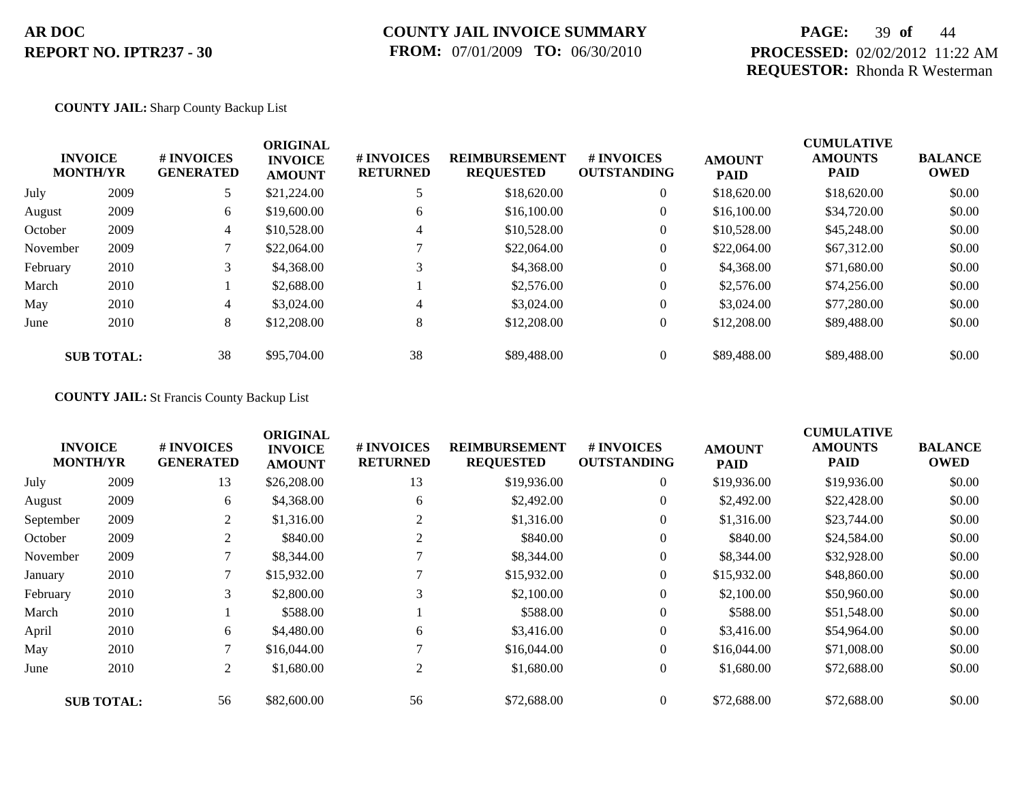## **COUNTY JAIL INVOICE SUMMARY FROM:** 07/01/2009 **TO:** 06/30/2010

## **PAGE:** 39 **of** 44 **PROCESSED:** 02/02/2012 11:22 AM **REQUESTOR:** Rhonda R Westerman

#### **COUNTY JAIL:** Sharp County Backup List

|          | <b>INVOICE</b><br><b>MONTH/YR</b> | # INVOICES<br><b>GENERATED</b> | <b>ORIGINAL</b><br><b>INVOICE</b><br><b>AMOUNT</b> | # INVOICES<br><b>RETURNED</b> | <b>REIMBURSEMENT</b><br><b>REQUESTED</b> | <b>#INVOICES</b><br><b>OUTSTANDING</b> | <b>AMOUNT</b><br><b>PAID</b> | <b>CUMULATIVE</b><br><b>AMOUNTS</b><br><b>PAID</b> | <b>BALANCE</b><br><b>OWED</b> |
|----------|-----------------------------------|--------------------------------|----------------------------------------------------|-------------------------------|------------------------------------------|----------------------------------------|------------------------------|----------------------------------------------------|-------------------------------|
| July     | 2009                              | 5                              | \$21,224.00                                        |                               | \$18,620.00                              | $\overline{0}$                         | \$18,620.00                  | \$18,620.00                                        | \$0.00                        |
| August   | 2009                              | 6                              | \$19,600.00                                        | 6                             | \$16,100.00                              | $\overline{0}$                         | \$16,100.00                  | \$34,720.00                                        | \$0.00                        |
| October  | 2009                              | 4                              | \$10,528.00                                        | 4                             | \$10,528.00                              | $\overline{0}$                         | \$10,528.00                  | \$45,248,00                                        | \$0.00                        |
| November | 2009                              |                                | \$22,064.00                                        |                               | \$22,064.00                              | $\overline{0}$                         | \$22,064.00                  | \$67,312.00                                        | \$0.00                        |
| February | 2010                              | 3                              | \$4,368.00                                         |                               | \$4,368.00                               | $\overline{0}$                         | \$4,368.00                   | \$71,680.00                                        | \$0.00                        |
| March    | 2010                              |                                | \$2,688.00                                         |                               | \$2,576.00                               | $\overline{0}$                         | \$2,576.00                   | \$74,256.00                                        | \$0.00                        |
| May      | 2010                              | 4                              | \$3,024.00                                         | 4                             | \$3,024.00                               | $\overline{0}$                         | \$3,024.00                   | \$77,280.00                                        | \$0.00                        |
| June     | 2010                              | 8                              | \$12,208.00                                        | 8                             | \$12,208.00                              | $\overline{0}$                         | \$12,208.00                  | \$89,488.00                                        | \$0.00                        |
|          | <b>SUB TOTAL:</b>                 | 38                             | \$95,704.00                                        | 38                            | \$89,488,00                              | $\Omega$                               | \$89,488,00                  | \$89,488,00                                        | \$0.00                        |

### **COUNTY JAIL:** St Francis County Backup List

|           |                                   |                                | <b>ORIGINAL</b>                 |                               |                                          |                                  |                              | <b>CUMULATIVE</b>             |                               |
|-----------|-----------------------------------|--------------------------------|---------------------------------|-------------------------------|------------------------------------------|----------------------------------|------------------------------|-------------------------------|-------------------------------|
|           | <b>INVOICE</b><br><b>MONTH/YR</b> | # INVOICES<br><b>GENERATED</b> | <b>INVOICE</b><br><b>AMOUNT</b> | # INVOICES<br><b>RETURNED</b> | <b>REIMBURSEMENT</b><br><b>REQUESTED</b> | # INVOICES<br><b>OUTSTANDING</b> | <b>AMOUNT</b><br><b>PAID</b> | <b>AMOUNTS</b><br><b>PAID</b> | <b>BALANCE</b><br><b>OWED</b> |
| July      | 2009                              | 13                             | \$26,208.00                     | 13                            | \$19,936.00                              | $\overline{0}$                   | \$19,936.00                  | \$19,936.00                   | \$0.00                        |
| August    | 2009                              | 6                              | \$4,368.00                      | 6                             | \$2,492.00                               | $\overline{0}$                   | \$2,492.00                   | \$22,428.00                   | \$0.00                        |
| September | 2009                              | 2                              | \$1,316.00                      |                               | \$1,316.00                               | $\overline{0}$                   | \$1,316.00                   | \$23,744.00                   | \$0.00                        |
| October   | 2009                              | 2                              | \$840.00                        |                               | \$840.00                                 | $\overline{0}$                   | \$840.00                     | \$24,584.00                   | \$0.00                        |
| November  | 2009                              | 7                              | \$8,344.00                      |                               | \$8,344.00                               | $\overline{0}$                   | \$8,344.00                   | \$32,928.00                   | \$0.00                        |
| January   | 2010                              | 7                              | \$15,932.00                     |                               | \$15,932.00                              | $\overline{0}$                   | \$15,932.00                  | \$48,860.00                   | \$0.00                        |
| February  | 2010                              | 3                              | \$2,800.00                      | 3                             | \$2,100.00                               | $\overline{0}$                   | \$2,100.00                   | \$50,960.00                   | \$0.00                        |
| March     | 2010                              |                                | \$588.00                        |                               | \$588.00                                 | $\overline{0}$                   | \$588.00                     | \$51,548.00                   | \$0.00                        |
| April     | 2010                              | 6                              | \$4,480.00                      | 6                             | \$3,416.00                               | $\overline{0}$                   | \$3,416.00                   | \$54,964.00                   | \$0.00                        |
| May       | 2010                              | 7                              | \$16,044.00                     |                               | \$16,044.00                              | $\overline{0}$                   | \$16,044.00                  | \$71,008.00                   | \$0.00                        |
| June      | 2010                              | $\overline{2}$                 | \$1,680.00                      | 2                             | \$1,680.00                               | $\overline{0}$                   | \$1,680.00                   | \$72,688.00                   | \$0.00                        |
|           | <b>SUB TOTAL:</b>                 | 56                             | \$82,600.00                     | 56                            | \$72,688.00                              | $\overline{0}$                   | \$72,688.00                  | \$72,688.00                   | \$0.00                        |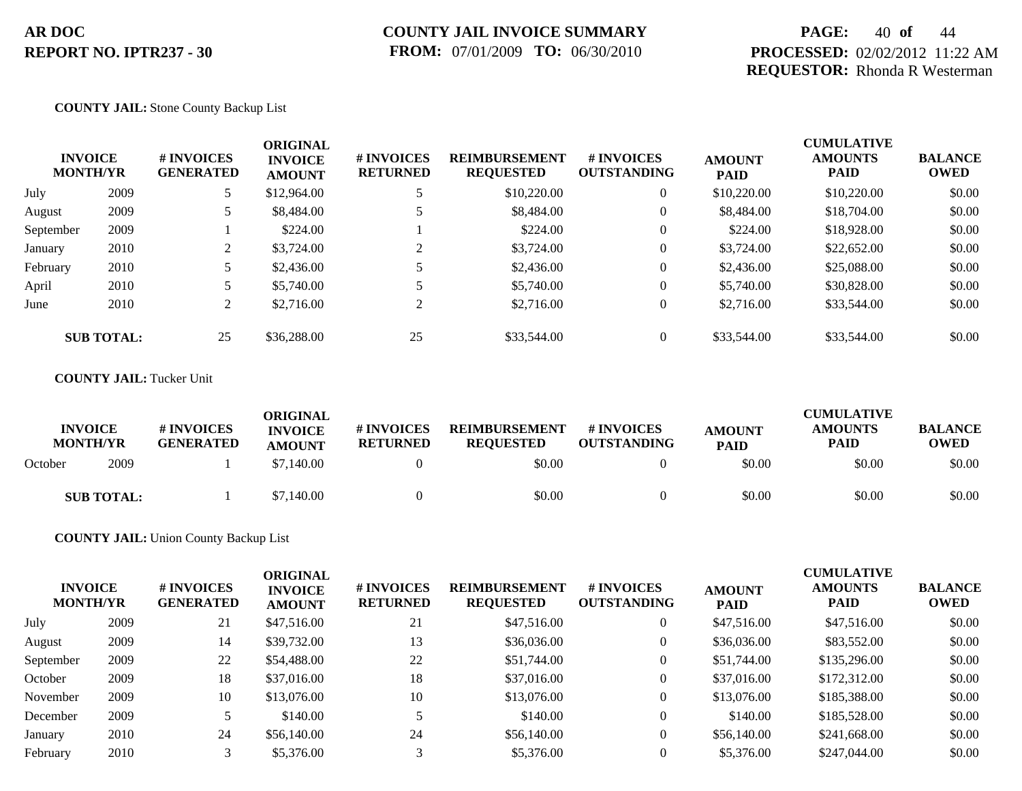## **PAGE:** 40 **of** 44 **PROCESSED:** 02/02/2012 11:22 AM **REQUESTOR:** Rhonda R Westerman

#### **COUNTY JAIL:** Stone County Backup List

| <b>INVOICE</b><br><b>MONTH/YR</b> |                   | # INVOICES<br><b>GENERATED</b> | <b>ORIGINAL</b><br><b>INVOICE</b><br><b>AMOUNT</b> | # INVOICES<br><b>RETURNED</b> | <b>REIMBURSEMENT</b><br><b>REQUESTED</b> | # INVOICES<br><b>OUTSTANDING</b> | <b>AMOUNT</b><br><b>PAID</b> | <b>CUMULATIVE</b><br><b>AMOUNTS</b><br><b>PAID</b> | <b>BALANCE</b><br><b>OWED</b> |
|-----------------------------------|-------------------|--------------------------------|----------------------------------------------------|-------------------------------|------------------------------------------|----------------------------------|------------------------------|----------------------------------------------------|-------------------------------|
| July                              | 2009              |                                | \$12,964.00                                        |                               | \$10,220.00                              | $\theta$                         | \$10,220.00                  | \$10,220.00                                        | \$0.00                        |
| August                            | 2009              |                                | \$8,484.00                                         | 5                             | \$8,484.00                               | $\overline{0}$                   | \$8,484.00                   | \$18,704.00                                        | \$0.00                        |
| September                         | 2009              |                                | \$224.00                                           |                               | \$224.00                                 | $\overline{0}$                   | \$224.00                     | \$18,928.00                                        | \$0.00                        |
| January                           | 2010              | 2                              | \$3,724.00                                         | 2                             | \$3,724.00                               | $\theta$                         | \$3,724.00                   | \$22,652.00                                        | \$0.00                        |
| February                          | 2010              |                                | \$2,436.00                                         |                               | \$2,436.00                               | $\overline{0}$                   | \$2,436.00                   | \$25,088.00                                        | \$0.00                        |
| April                             | 2010              |                                | \$5,740.00                                         |                               | \$5,740.00                               | $\boldsymbol{0}$                 | \$5,740.00                   | \$30,828.00                                        | \$0.00                        |
| June                              | 2010              | ∠                              | \$2,716.00                                         | $\bigcap$                     | \$2,716.00                               | $\theta$                         | \$2,716.00                   | \$33,544.00                                        | \$0.00                        |
|                                   | <b>SUB TOTAL:</b> | 25                             | \$36,288,00                                        | 25                            | \$33,544.00                              | $\overline{0}$                   | \$33,544.00                  | \$33,544.00                                        | \$0.00                        |

#### **COUNTY JAIL:** Tucker Unit

| <b>INVOICE</b><br><b>MONTH/YR</b> |                   | <b>#INVOICES</b><br><b>GENERATED</b> | ORIGINAL<br><b>INVOICE</b><br><b>AMOUNT</b> | # INVOICES<br><b>RETURNED</b> | <b>REIMBURSEMENT</b><br><b>REQUESTED</b> | <b>#INVOICES</b><br><b>OUTSTANDING</b> | <b>AMOUNT</b><br><b>PAID</b> | <b>CUMULATIVE</b><br><b>AMOUNTS</b><br>PAID | <b>BALANCE</b><br>OWED |
|-----------------------------------|-------------------|--------------------------------------|---------------------------------------------|-------------------------------|------------------------------------------|----------------------------------------|------------------------------|---------------------------------------------|------------------------|
| October                           | 2009              |                                      | \$7,140.00                                  |                               | \$0.00                                   |                                        | \$0.00                       | \$0.00                                      | \$0.00                 |
|                                   | <b>SUB TOTAL:</b> |                                      | \$7,140.00                                  |                               | \$0.00                                   |                                        | \$0.00                       | \$0.00                                      | \$0.00                 |

#### **COUNTY JAIL:** Union County Backup List

| <b>INVOICE</b><br><b>MONTH/YR</b> |      | <b># INVOICES</b><br><b>GENERATED</b> | <b>ORIGINAL</b><br><b>INVOICE</b><br><b>AMOUNT</b> | # INVOICES<br><b>RETURNED</b> | <b>REIMBURSEMENT</b><br><b>REQUESTED</b> | # INVOICES<br><b>OUTSTANDING</b> | <b>AMOUNT</b><br><b>PAID</b> | <b>CUMULATIVE</b><br><b>AMOUNTS</b><br><b>PAID</b> | <b>BALANCE</b><br><b>OWED</b> |
|-----------------------------------|------|---------------------------------------|----------------------------------------------------|-------------------------------|------------------------------------------|----------------------------------|------------------------------|----------------------------------------------------|-------------------------------|
| July                              | 2009 | 21                                    | \$47,516.00                                        | 21                            | \$47,516.00                              | $\theta$                         | \$47,516.00                  | \$47,516.00                                        | \$0.00                        |
| August                            | 2009 | 14                                    | \$39,732.00                                        | 13                            | \$36,036.00                              | 0                                | \$36,036.00                  | \$83,552.00                                        | \$0.00                        |
| September                         | 2009 | 22                                    | \$54,488.00                                        | 22                            | \$51,744.00                              | $\overline{0}$                   | \$51,744.00                  | \$135,296.00                                       | \$0.00                        |
| October                           | 2009 | 18                                    | \$37,016.00                                        | 18                            | \$37,016.00                              | $\overline{0}$                   | \$37,016.00                  | \$172,312.00                                       | \$0.00                        |
| November                          | 2009 | 10                                    | \$13,076.00                                        | 10                            | \$13,076.00                              | $\theta$                         | \$13,076.00                  | \$185,388.00                                       | \$0.00                        |
| December                          | 2009 |                                       | \$140.00                                           |                               | \$140.00                                 | $\Omega$                         | \$140.00                     | \$185,528.00                                       | \$0.00                        |
| January                           | 2010 | 24                                    | \$56,140.00                                        | 24                            | \$56,140.00                              | $\overline{0}$                   | \$56,140.00                  | \$241,668.00                                       | \$0.00                        |
| February                          | 2010 |                                       | \$5,376.00                                         |                               | \$5,376.00                               |                                  | \$5,376.00                   | \$247,044.00                                       | \$0.00                        |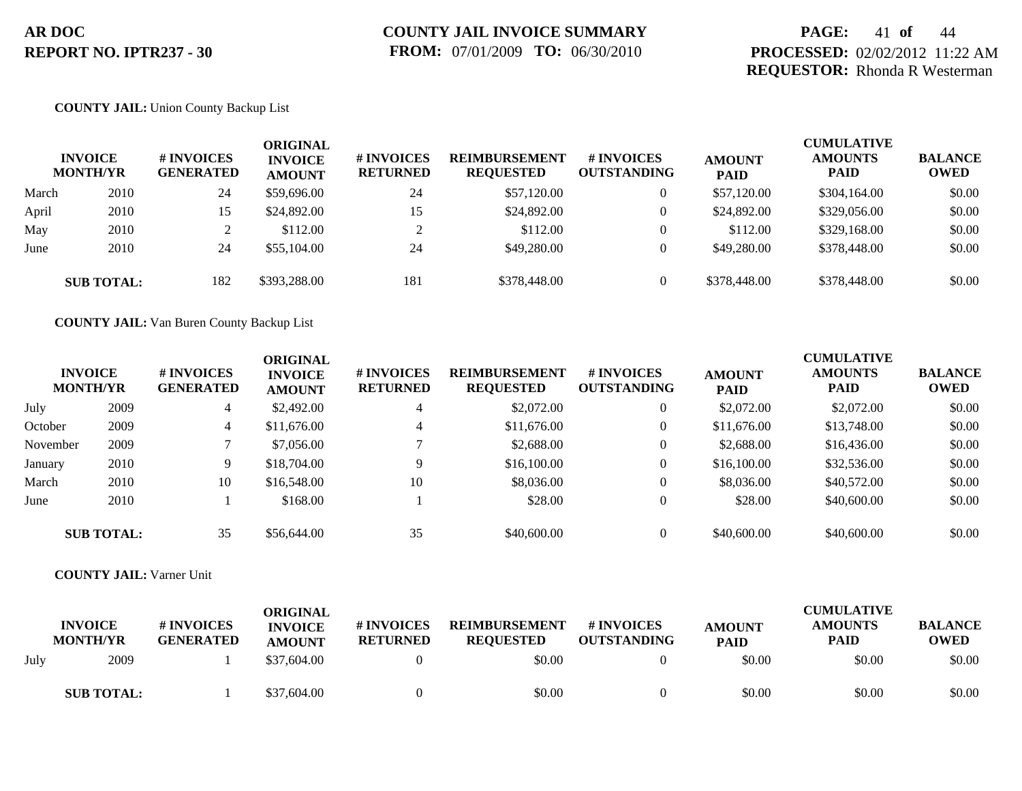## **PAGE:** 41 **of** 44 **PROCESSED:** 02/02/2012 11:22 AM **REQUESTOR:** Rhonda R Westerman

#### **COUNTY JAIL:** Union County Backup List

|       | <b>INVOICE</b><br><b>MONTH/YR</b> | # INVOICES<br><b>GENERATED</b> | ORIGINAL<br><b>INVOICE</b><br><b>AMOUNT</b> | # INVOICES<br><b>RETURNED</b> | <b>REIMBURSEMENT</b><br><b>REQUESTED</b> | # INVOICES<br><b>OUTSTANDING</b> | <b>AMOUNT</b><br><b>PAID</b> | <b>CUMULATIVE</b><br><b>AMOUNTS</b><br><b>PAID</b> | <b>BALANCE</b><br><b>OWED</b> |
|-------|-----------------------------------|--------------------------------|---------------------------------------------|-------------------------------|------------------------------------------|----------------------------------|------------------------------|----------------------------------------------------|-------------------------------|
| March | 2010                              | 24                             | \$59,696.00                                 | 24                            | \$57,120.00                              | 0                                | \$57,120.00                  | \$304,164.00                                       | \$0.00                        |
| April | 2010                              | 15                             | \$24,892.00                                 | 15                            | \$24,892.00                              | 0                                | \$24,892.00                  | \$329,056.00                                       | \$0.00                        |
| May   | 2010                              |                                | \$112.00                                    | $\bigcap$                     | \$112.00                                 |                                  | \$112.00                     | \$329,168.00                                       | \$0.00                        |
| June  | 2010                              | 24                             | \$55,104.00                                 | 24                            | \$49,280.00                              |                                  | \$49,280.00                  | \$378,448.00                                       | \$0.00                        |
|       | <b>SUB TOTAL:</b>                 | 182                            | \$393,288.00                                | 181                           | \$378,448.00                             |                                  | \$378,448.00                 | \$378,448.00                                       | \$0.00                        |

**COUNTY JAIL:** Van Buren County Backup List

| <b>INVOICE</b><br><b>MONTH/YR</b> |                   | # INVOICES<br><b>GENERATED</b><br>4 | ORIGINAL<br><b>INVOICE</b><br><b>AMOUNT</b> | <b># INVOICES</b><br><b>RETURNED</b> | <b>REIMBURSEMENT</b><br><b>REQUESTED</b> | <b># INVOICES</b><br><b>OUTSTANDING</b> | <b>AMOUNT</b><br><b>PAID</b> | <b>CUMULATIVE</b><br><b>AMOUNTS</b><br><b>PAID</b> | <b>BALANCE</b><br><b>OWED</b> |
|-----------------------------------|-------------------|-------------------------------------|---------------------------------------------|--------------------------------------|------------------------------------------|-----------------------------------------|------------------------------|----------------------------------------------------|-------------------------------|
| July                              | 2009              |                                     | \$2,492.00                                  | 4                                    | \$2,072.00                               | $\theta$                                | \$2,072.00                   | \$2,072.00                                         | \$0.00                        |
| October                           | 2009              | 4                                   | \$11,676.00                                 | 4                                    | \$11,676.00                              | $\theta$                                | \$11,676.00                  | \$13,748.00                                        | \$0.00                        |
| November                          | 2009              |                                     | \$7,056.00                                  |                                      | \$2,688.00                               | $\theta$                                | \$2,688.00                   | \$16,436.00                                        | \$0.00                        |
| January                           | 2010              | 9                                   | \$18,704.00                                 | $\mathbf Q$                          | \$16,100.00                              | $\overline{0}$                          | \$16,100.00                  | \$32,536.00                                        | \$0.00                        |
| March                             | 2010              | 10                                  | \$16,548.00                                 | 10                                   | \$8,036.00                               | $\theta$                                | \$8,036.00                   | \$40,572.00                                        | \$0.00                        |
| June                              | 2010              |                                     | \$168.00                                    |                                      | \$28.00                                  | $\theta$                                | \$28.00                      | \$40,600.00                                        | \$0.00                        |
|                                   | <b>SUB TOTAL:</b> | 35                                  | \$56,644.00                                 | 35                                   | \$40,600.00                              | $\Omega$                                | \$40,600.00                  | \$40,600.00                                        | \$0.00                        |

**COUNTY JAIL:** Varner Unit

|      | <b>INVOICE</b><br><b>MONTH/YR</b> | # INVOICES<br><b>GENERATED</b> | ORIGINAL<br><b>INVOICE</b><br><b>AMOUNT</b> | # INVOICES<br><b>RETURNED</b> | <b>REIMBURSEMENT</b><br><b>REQUESTED</b> | # INVOICES<br><b>OUTSTANDING</b> | <b>AMOUNT</b><br><b>PAID</b> | <b>CUMULATIVE</b><br><b>AMOUNTS</b><br><b>PAID</b> | <b>BALANCE</b><br><b>OWED</b> |
|------|-----------------------------------|--------------------------------|---------------------------------------------|-------------------------------|------------------------------------------|----------------------------------|------------------------------|----------------------------------------------------|-------------------------------|
| July | 2009                              |                                | \$37,604.00                                 |                               | \$0.00                                   |                                  | \$0.00                       | \$0.00                                             | \$0.00                        |
|      | <b>SUB TOTAL:</b>                 |                                | \$37,604.00                                 |                               | \$0.00                                   |                                  | \$0.00                       | \$0.00                                             | \$0.00                        |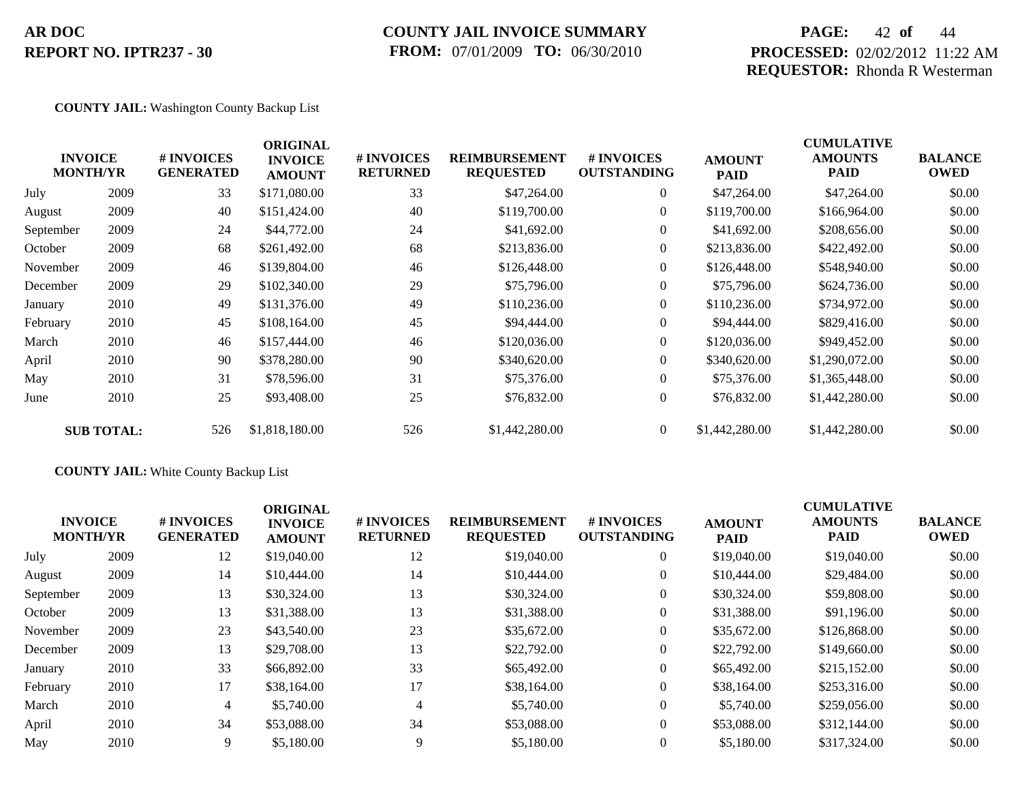### **COUNTY JAIL INVOICE SUMMARY FROM:** 07/01/2009 **TO:** 06/30/2010

## **PAGE:** 42 **of** 44 **PROCESSED:** 02/02/2012 11:22 AM **REQUESTOR:** Rhonda R Westerman

CUMU<del>LATIVE</del>

#### **COUNTY JAIL:** Washington County Backup List

|           | <b>INVOICE</b><br><b>MONTH/YR</b> | # INVOICES<br><b>GENERATED</b> | <b>ORIGINAL</b><br><b>INVOICE</b><br><b>AMOUNT</b> | # INVOICES<br><b>RETURNED</b> | <b>REIMBURSEMENT</b><br><b>REQUESTED</b> | <b># INVOICES</b><br><b>OUTSTANDING</b> | <b>AMOUNT</b><br><b>PAID</b> | <b>CUMULATIVE</b><br><b>AMOUNTS</b><br>PAID | <b>BALANCE</b><br><b>OWED</b> |
|-----------|-----------------------------------|--------------------------------|----------------------------------------------------|-------------------------------|------------------------------------------|-----------------------------------------|------------------------------|---------------------------------------------|-------------------------------|
| July      | 2009                              | 33                             | \$171,080.00                                       | 33                            | \$47,264.00                              | $\overline{0}$                          | \$47,264.00                  | \$47,264.00                                 | \$0.00                        |
| August    | 2009                              | 40                             | \$151,424.00                                       | 40                            | \$119,700.00                             | $\overline{0}$                          | \$119,700.00                 | \$166,964.00                                | \$0.00                        |
| September | 2009                              | 24                             | \$44,772.00                                        | 24                            | \$41,692.00                              | $\overline{0}$                          | \$41,692.00                  | \$208,656.00                                | \$0.00                        |
| October   | 2009                              | 68                             | \$261,492.00                                       | 68                            | \$213,836.00                             | $\overline{0}$                          | \$213,836.00                 | \$422,492.00                                | \$0.00                        |
| November  | 2009                              | 46                             | \$139,804.00                                       | 46                            | \$126,448.00                             | $\overline{0}$                          | \$126,448.00                 | \$548,940.00                                | \$0.00                        |
| December  | 2009                              | 29                             | \$102,340.00                                       | 29                            | \$75,796.00                              | $\overline{0}$                          | \$75,796.00                  | \$624,736.00                                | \$0.00                        |
| January   | 2010                              | 49                             | \$131,376.00                                       | 49                            | \$110,236.00                             | $\Omega$                                | \$110,236.00                 | \$734,972.00                                | \$0.00                        |
| February  | 2010                              | 45                             | \$108,164.00                                       | 45                            | \$94,444.00                              | $\overline{0}$                          | \$94,444.00                  | \$829,416.00                                | \$0.00                        |
| March     | 2010                              | 46                             | \$157,444.00                                       | 46                            | \$120,036.00                             | $\overline{0}$                          | \$120,036.00                 | \$949,452.00                                | \$0.00                        |
| April     | 2010                              | 90                             | \$378,280.00                                       | 90                            | \$340,620.00                             | $\Omega$                                | \$340,620.00                 | \$1,290,072.00                              | \$0.00                        |
| May       | 2010                              | 31                             | \$78,596.00                                        | 31                            | \$75,376.00                              | $\overline{0}$                          | \$75,376.00                  | \$1,365,448.00                              | \$0.00                        |
| June      | 2010                              | 25                             | \$93,408.00                                        | 25                            | \$76,832.00                              | $\mathbf{0}$                            | \$76,832.00                  | \$1,442,280.00                              | \$0.00                        |
|           | <b>SUB TOTAL:</b>                 | 526                            | \$1,818,180.00                                     | 526                           | \$1,442,280.00                           | $\overline{0}$                          | \$1,442,280.00               | \$1,442,280.00                              | \$0.00                        |

### **COUNTY JAIL:** White County Backup List

| <b>INVOICE</b><br><b>MONTH/YR</b> |      | # INVOICES<br><b>GENERATED</b> | <b>ORIGINAL</b><br><b>INVOICE</b><br><b>AMOUNT</b> | # INVOICES<br><b>RETURNED</b> | <b>REIMBURSEMENT</b><br><b>REQUESTED</b> | <b>#INVOICES</b><br><b>OUTSTANDING</b> | <b>AMOUNT</b><br><b>PAID</b> | <b>CUMULATIVE</b><br><b>AMOUNTS</b><br><b>PAID</b> | <b>BALANCE</b><br><b>OWED</b> |
|-----------------------------------|------|--------------------------------|----------------------------------------------------|-------------------------------|------------------------------------------|----------------------------------------|------------------------------|----------------------------------------------------|-------------------------------|
| July                              | 2009 | 12                             | \$19,040.00                                        | 12                            | \$19,040.00                              | $\overline{0}$                         | \$19,040.00                  | \$19,040.00                                        | \$0.00                        |
| August                            | 2009 | 14                             | \$10,444.00                                        | 14                            | \$10,444.00                              | $\overline{0}$                         | \$10,444.00                  | \$29,484.00                                        | \$0.00                        |
| September                         | 2009 | 13                             | \$30,324.00                                        | 13                            | \$30,324.00                              | $\overline{0}$                         | \$30,324.00                  | \$59,808,00                                        | \$0.00                        |
| October                           | 2009 | 13                             | \$31,388.00                                        | 13                            | \$31,388.00                              | $\overline{0}$                         | \$31,388.00                  | \$91,196.00                                        | \$0.00                        |
| November                          | 2009 | 23                             | \$43,540.00                                        | 23                            | \$35,672.00                              | $\overline{0}$                         | \$35,672.00                  | \$126,868.00                                       | \$0.00                        |
| December                          | 2009 | 13                             | \$29,708.00                                        | 13                            | \$22,792.00                              | $\overline{0}$                         | \$22,792.00                  | \$149,660.00                                       | \$0.00                        |
| January                           | 2010 | 33                             | \$66,892.00                                        | 33                            | \$65,492.00                              | $\overline{0}$                         | \$65,492.00                  | \$215,152.00                                       | \$0.00                        |
| February                          | 2010 | 17                             | \$38,164.00                                        | 17                            | \$38,164.00                              | $\overline{0}$                         | \$38,164.00                  | \$253,316.00                                       | \$0.00                        |
| March                             | 2010 | 4                              | \$5,740.00                                         | 4                             | \$5,740.00                               | $\overline{0}$                         | \$5,740.00                   | \$259,056.00                                       | \$0.00                        |
| April                             | 2010 | 34                             | \$53,088.00                                        | 34                            | \$53,088,00                              | $\Omega$                               | \$53,088.00                  | \$312,144.00                                       | \$0.00                        |
| May                               | 2010 | 9                              | \$5,180.00                                         | $\mathbf Q$                   | \$5,180.00                               | $\theta$                               | \$5,180.00                   | \$317,324.00                                       | \$0.00                        |
|                                   |      |                                |                                                    |                               |                                          |                                        |                              |                                                    |                               |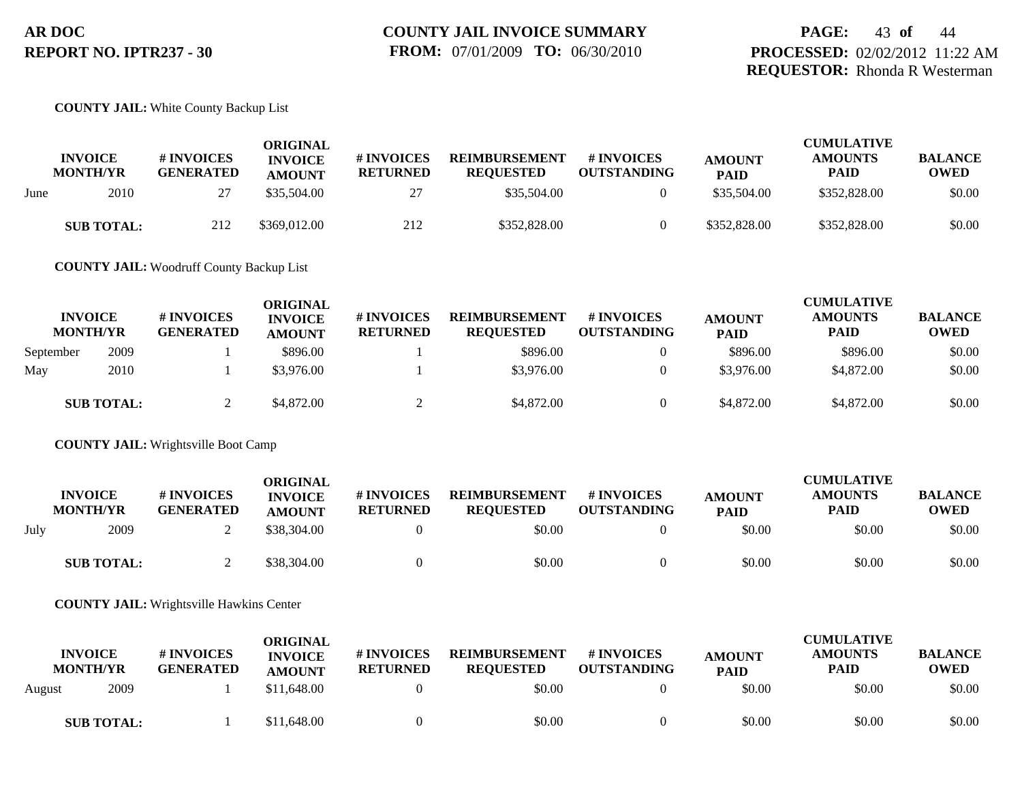#### **COUNTY JAIL:** White County Backup List

| <b>INVOICE</b><br><b>MONTH/YR</b> |                   | # INVOICES<br><b>GENERATED</b> | ORIGINAL<br><b>INVOICE</b><br><b>AMOUNT</b> | # INVOICES<br><b>RETURNED</b> | <b>REIMBURSEMENT</b><br><b>REOUESTED</b> | # INVOICES<br><b>OUTSTANDING</b> | <b>AMOUNT</b><br><b>PAID</b> | <b>CUMULATIVE</b><br><b>AMOUNTS</b><br><b>PAID</b> | <b>BALANCE</b><br><b>OWED</b> |
|-----------------------------------|-------------------|--------------------------------|---------------------------------------------|-------------------------------|------------------------------------------|----------------------------------|------------------------------|----------------------------------------------------|-------------------------------|
| June                              | 2010              | 27                             | \$35,504.00                                 | 27                            | \$35,504.00                              |                                  | \$35,504.00                  | \$352,828.00                                       | \$0.00                        |
|                                   | <b>SUB TOTAL:</b> | 212                            | \$369,012.00                                | 212                           | \$352,828.00                             |                                  | \$352,828.00                 | \$352,828.00                                       | \$0.00                        |

**COUNTY JAIL:** Woodruff County Backup List

| <b>INVOICE</b><br><b>MONTH/YR</b> |                   | # INVOICES<br><b>GENERATED</b> | ORIGINAL<br><b>INVOICE</b><br><b>AMOUNT</b> | # INVOICES<br><b>RETURNED</b> | <b>REIMBURSEMENT</b><br><b>REQUESTED</b> | # INVOICES<br><b>OUTSTANDING</b> | <b>AMOUNT</b><br><b>PAID</b> | <b>CUMULATIVE</b><br><b>AMOUNTS</b><br><b>PAID</b> | <b>BALANCE</b><br><b>OWED</b> |
|-----------------------------------|-------------------|--------------------------------|---------------------------------------------|-------------------------------|------------------------------------------|----------------------------------|------------------------------|----------------------------------------------------|-------------------------------|
| September                         | 2009              |                                | \$896.00                                    |                               | \$896.00                                 |                                  | \$896.00                     | \$896.00                                           | \$0.00                        |
| May                               | 2010              |                                | \$3,976.00                                  |                               | \$3,976.00                               | $\overline{0}$                   | \$3,976.00                   | \$4,872.00                                         | \$0.00                        |
|                                   | <b>SUB TOTAL:</b> |                                | \$4,872.00                                  |                               | \$4,872.00                               | $\Omega$                         | \$4,872.00                   | \$4,872.00                                         | \$0.00                        |

**COUNTY JAIL:** Wrightsville Boot Camp

|      | <b>INVOICE</b><br><b>MONTH/YR</b> | # INVOICES<br><b>GENERATED</b> | ORIGINAL<br><b>INVOICE</b><br><b>AMOUNT</b> | # INVOICES<br><b>RETURNED</b> | <b>REIMBURSEMENT</b><br><b>REOUESTED</b> | <b>#INVOICES</b><br><b>OUTSTANDING</b> | <b>AMOUNT</b><br><b>PAID</b> | <b>CUMULATIVE</b><br><b>AMOUNTS</b><br>PAID | <b>BALANCE</b><br><b>OWED</b> |
|------|-----------------------------------|--------------------------------|---------------------------------------------|-------------------------------|------------------------------------------|----------------------------------------|------------------------------|---------------------------------------------|-------------------------------|
| July | 2009                              |                                | \$38,304.00                                 |                               | \$0.00                                   |                                        | \$0.00                       | \$0.00                                      | \$0.00                        |
|      | <b>SUB TOTAL:</b>                 |                                | \$38,304.00                                 |                               | \$0.00                                   |                                        | \$0.00                       | \$0.00                                      | \$0.00                        |

**COUNTY JAIL:** Wrightsville Hawkins Center

| <b>INVOICE</b><br><b>MONTH/YR</b> |                   | # INVOICES<br><b>GENERATED</b> | <b>ORIGINAL</b><br><b>INVOICE</b><br><b>AMOUNT</b> | # INVOICES<br><b>RETURNED</b> | <b>REIMBURSEMENT</b><br><b>REQUESTED</b> | <b>#INVOICES</b><br><b>OUTSTANDING</b> | <b>AMOUNT</b><br><b>PAID</b> | <b>CUMULATIVE</b><br><b>AMOUNTS</b><br><b>PAID</b> | <b>BALANCE</b><br><b>OWED</b> |
|-----------------------------------|-------------------|--------------------------------|----------------------------------------------------|-------------------------------|------------------------------------------|----------------------------------------|------------------------------|----------------------------------------------------|-------------------------------|
| August                            | 2009              |                                | \$11,648.00                                        |                               | \$0.00                                   |                                        | \$0.00                       | \$0.00                                             | \$0.00                        |
|                                   | <b>SUB TOTAL:</b> |                                | \$11,648.00                                        |                               | \$0.00                                   |                                        | \$0.00                       | \$0.00                                             | \$0.00                        |